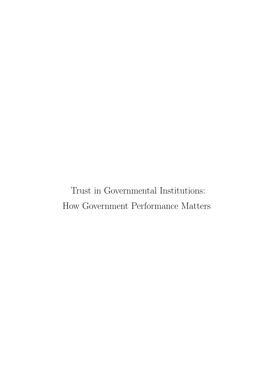Trust in Governmental Institutions: How Government Performance Matters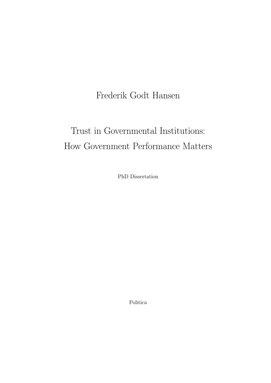### Frederik Godt Hansen

# Trust in Governmental Institutions: How Government Performance Matters

PhD Dissertation

Politica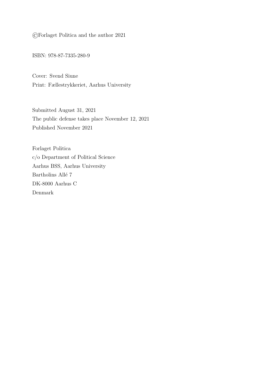©Forlaget Politica and the author 2021

ISBN: 978-87-7335-280-9

Cover: Svend Siune Print: Fællestrykkeriet, Aarhus University

Submitted August 31, 2021 The public defense takes place November 12, 2021 Published November 2021

Forlaget Politica c/o Department of Political Science Aarhus BSS, Aarhus University Bartholins Allé $\sqrt{7}$ DK-8000 Aarhus C Denmark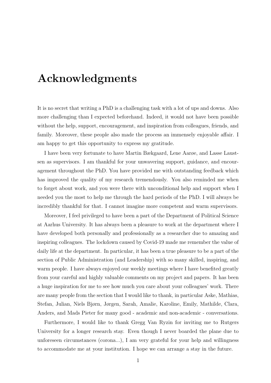## <span id="page-4-0"></span>Acknowledgments

It is no secret that writing a PhD is a challenging task with a lot of ups and downs. Also more challenging than I expected beforehand. Indeed, it would not have been possible without the help, support, encouragement, and inspiration from colleagues, friends, and family. Moreover, these people also made the process an immensely enjoyable affair. I am happy to get this opportunity to express my gratitude.

I have been very fortunate to have Martin Bækgaard, Lene Aarøe, and Lasse Laustsen as supervisors. I am thankful for your unwavering support, guidance, and encouragement throughout the PhD. You have provided me with outstanding feedback which has improved the quality of my research tremendously. You also reminded me when to forget about work, and you were there with unconditional help and support when I needed you the most to help me through the hard periods of the PhD. I will always be incredibly thankful for that. I cannot imagine more competent and warm supervisors.

Moreover, I feel privileged to have been a part of the Department of Political Science at Aarhus University. It has always been a pleasure to work at the department where I have developed both personally and professionally as a researcher due to amazing and inspiring colleagues. The lockdown caused by Covid-19 made me remember the value of daily life at the department. In particular, it has been a true pleasure to be a part of the section of Public Administration (and Leadership) with so many skilled, inspiring, and warm people. I have always enjoyed our weekly meetings where I have benefited greatly from your careful and highly valuable comments on my project and papers. It has been a huge inspiration for me to see how much you care about your colleagues' work. There are many people from the section that I would like to thank, in particular Aske, Mathias, Stefan, Julian, Niels Bjørn, Jørgen, Sarah, Amalie, Karoline, Emily, Mathilde, Clara, Anders, and Mads Pieter for many good - academic and non-academic - conversations.

Furthermore, I would like to thank Gregg Van Ryzin for inviting me to Rutgers University for a longer research stay. Even though I never boarded the plane due to unforeseen circumstances (corona...), I am very grateful for your help and willingness to accommodate me at your institution. I hope we can arrange a stay in the future.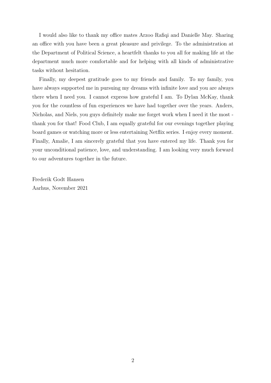I would also like to thank my office mates Arzoo Rafiqi and Danielle May. Sharing an office with you have been a great pleasure and privilege. To the administration at the Department of Political Science, a heartfelt thanks to you all for making life at the department much more comfortable and for helping with all kinds of administrative tasks without hesitation.

Finally, my deepest gratitude goes to my friends and family. To my family, you have always supported me in pursuing my dreams with infinite love and you are always there when I need you. I cannot express how grateful I am. To Dylan McKay, thank you for the countless of fun experiences we have had together over the years. Anders, Nicholas, and Niels, you guys definitely make me forget work when I need it the most thank you for that! Food Club, I am equally grateful for our evenings together playing board games or watching more or less entertaining Netflix series. I enjoy every moment. Finally, Amalie, I am sincerely grateful that you have entered my life. Thank you for your unconditional patience, love, and understanding. I am looking very much forward to our adventures together in the future.

Frederik Godt Hansen Aarhus, November 2021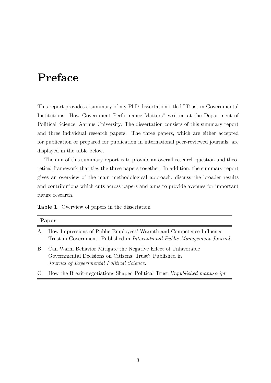## <span id="page-6-0"></span>Preface

This report provides a summary of my PhD dissertation titled "Trust in Governmental Institutions: How Government Performance Matters" written at the Department of Political Science, Aarhus University. The dissertation consists of this summary report and three individual research papers. The three papers, which are either accepted for publication or prepared for publication in international peer-reviewed journals, are displayed in the table below.

The aim of this summary report is to provide an overall research question and theoretical framework that ties the three papers together. In addition, the summary report gives an overview of the main methodological approach, discuss the broader results and contributions which cuts across papers and aims to provide avenues for important future research.

Table 1. Overview of papers in the dissertation

| Paper |                                                                                                                                                                        |  |  |  |  |
|-------|------------------------------------------------------------------------------------------------------------------------------------------------------------------------|--|--|--|--|
|       | A. How Impressions of Public Employees' Warmth and Competence Influence<br>Trust in Government. Published in <i>International Public Management Journal</i> .          |  |  |  |  |
| В.    | Can Warm Behavior Mitigate the Negative Effect of Unfavorable<br>Governmental Decisions on Citizens' Trust? Published in<br>Journal of Experimental Political Science. |  |  |  |  |

C. How the Brexit-negotiations Shaped Political Trust.Unpublished manuscript.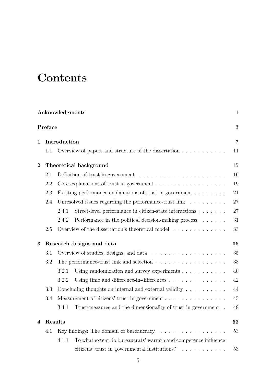# **Contents**

| Acknowledgments<br>$\mathbf{1}$<br>Preface<br>3 |                                 |                                                                                      |    |  |  |  |  |
|-------------------------------------------------|---------------------------------|--------------------------------------------------------------------------------------|----|--|--|--|--|
|                                                 |                                 |                                                                                      |    |  |  |  |  |
|                                                 | $1.1\,$                         | Overview of papers and structure of the dissertation $\ldots \ldots \ldots$          | 11 |  |  |  |  |
| $\overline{2}$                                  | Theoretical background<br>15    |                                                                                      |    |  |  |  |  |
|                                                 | 2.1                             |                                                                                      | 16 |  |  |  |  |
|                                                 | 2.2                             | Core explanations of trust in government $\ldots \ldots \ldots \ldots \ldots$        | 19 |  |  |  |  |
|                                                 | 2.3                             | Existing performance explanations of trust in government                             | 21 |  |  |  |  |
|                                                 | 2.4                             | Unresolved issues regarding the performance-trust $\lim_{x \to 0} x^2 + \dots + x^2$ | 27 |  |  |  |  |
|                                                 |                                 | 2.4.1<br>Street-level performance in citizen-state interactions                      | 27 |  |  |  |  |
|                                                 |                                 | Performance in the political decision-making process<br>2.4.2                        | 31 |  |  |  |  |
|                                                 | 2.5                             | Overview of the dissertation's theoretical model                                     | 33 |  |  |  |  |
| 3                                               | Research designs and data<br>35 |                                                                                      |    |  |  |  |  |
|                                                 | 3.1                             |                                                                                      |    |  |  |  |  |
|                                                 | 3.2                             | The performance-trust link and selection                                             |    |  |  |  |  |
|                                                 |                                 | Using randomization and survey experiments<br>3.2.1                                  | 40 |  |  |  |  |
|                                                 |                                 | Using time and difference-in-differences<br>3.2.2                                    | 42 |  |  |  |  |
|                                                 | 3.3                             | Concluding thoughts on internal and external validity $\dots \dots \dots$            | 44 |  |  |  |  |
|                                                 | 3.4                             | Measurement of citizens' trust in government                                         |    |  |  |  |  |
|                                                 |                                 | 3.4.1<br>Trust-measures and the dimensionality of trust in government.               | 48 |  |  |  |  |
| 4                                               | Results<br>53                   |                                                                                      |    |  |  |  |  |
|                                                 | 4.1                             | Key findings: The domain of bureaucracy                                              | 53 |  |  |  |  |
|                                                 |                                 | To what extent do bureaucrats' warmth and competence influence<br>4.1.1              |    |  |  |  |  |
|                                                 |                                 | citizens' trust in governmental institutions?                                        | 53 |  |  |  |  |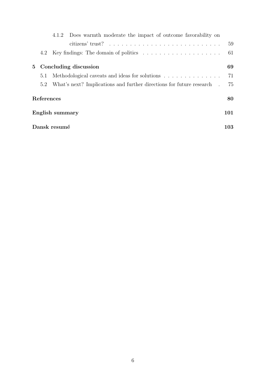|                                         |                 | 4.1.2 | Does warmth moderate the impact of outcome favorability on                       |    |  |  |  |
|-----------------------------------------|-----------------|-------|----------------------------------------------------------------------------------|----|--|--|--|
|                                         |                 |       |                                                                                  | 59 |  |  |  |
|                                         | 4.2             |       | Key findings: The domain of politics $\ldots \ldots \ldots \ldots \ldots \ldots$ | 61 |  |  |  |
| Concluding discussion<br>5 <sup>5</sup> |                 |       |                                                                                  | 69 |  |  |  |
|                                         | 5.1             |       | Methodological caveats and ideas for solutions                                   | 71 |  |  |  |
|                                         | 5.2             |       | What's next? Implications and further directions for future research .           | 75 |  |  |  |
| References<br>80                        |                 |       |                                                                                  |    |  |  |  |
|                                         | English summary |       |                                                                                  |    |  |  |  |
| Dansk resumé                            |                 |       |                                                                                  |    |  |  |  |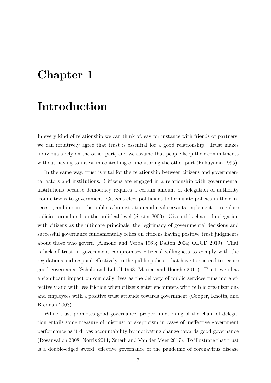## <span id="page-10-0"></span>Chapter 1

#### Introduction

In every kind of relationship we can think of, say for instance with friends or partners, we can intuitively agree that trust is essential for a good relationship. Trust makes individuals rely on the other part, and we assume that people keep their commitments without having to invest in controlling or monitoring the other part (Fukuyama [1995\)](#page-90-0).

In the same way, trust is vital for the relationship between citizens and governmental actors and institutions. Citizens are engaged in a relationship with governmental institutions because democracy requires a certain amount of delegation of authority from citizens to government. Citizens elect politicians to formulate policies in their interests, and in turn, the public administration and civil servants implement or regulate policies formulated on the political level (Strøm [2000\)](#page-99-0). Given this chain of delegation with citizens as the ultimate principals, the legitimacy of governmental decisions and successful governance fundamentally relies on citizens having positive trust judgments about those who govern (Almond and Verba [1963;](#page-84-0) Dalton [2004;](#page-88-0) OECD [2019\)](#page-96-0). That is lack of trust in government compromises citizens' willingness to comply with the regulations and respond effectively to the public policies that have to succeed to secure good governance (Scholz and Lubell [1998;](#page-98-0) Marien and Hooghe [2011\)](#page-94-0). Trust even has a significant impact on our daily lives as the delivery of public services runs more effectively and with less friction when citizens enter encounters with public organizations and employees with a positive trust attitude towards government (Cooper, Knotts, and Brennan [2008\)](#page-88-1).

While trust promotes good governance, proper functioning of the chain of delegation entails some measure of mistrust or skepticism in cases of ineffective government performance as it drives accountability by motivating change towards good governance (Rosanvallon [2008;](#page-98-1) Norris [2011;](#page-96-1) Zmerli and Van der Meer [2017\)](#page-102-0). To illustrate that trust is a double-edged sword, effective governance of the pandemic of coronavirus disease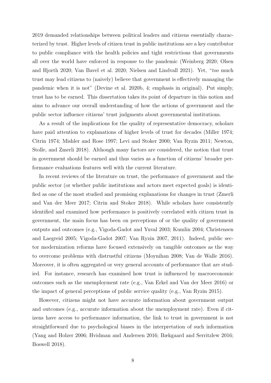2019 demanded relationships between political leaders and citizens essentially characterized by trust. Higher levels of citizen trust in public institutions are a key contributor to public compliance with the health policies and tight restrictions that governments all over the world have enforced in response to the pandemic (Weinberg [2020;](#page-102-1) Olsen and Hjorth [2020;](#page-96-2) Van Bavel et al. [2020;](#page-100-0) Nielsen and Lindvall [2021\)](#page-96-3). Yet, "too much trust may lead citizens to (naively) believe that government is effectively managing the pandemic when it is not" (Devine et al. [2020b,](#page-88-2) 4; emphasis in original). Put simply, trust has to be earned. This dissertation takes its point of departure in this notion and aims to advance our overall understanding of how the actions of government and the public sector influence citizens' trust judgments about governmental institutions.

As a result of the implications for the quality of representative democracy, scholars have paid attention to explanations of higher levels of trust for decades (Miller [1974;](#page-95-0) Citrin [1974;](#page-87-0) Mishler and Rose [1997;](#page-95-1) Levi and Stoker [2000;](#page-94-1) Van Ryzin [2011;](#page-101-0) Newton, Stolle, and Zmerli [2018\)](#page-96-4). Although many factors are considered, the notion that trust in government should be earned and thus varies as a function of citizens' broader performance evaluations features well with the current literature.

In recent reviews of the literature on trust, the performance of government and the public sector (or whether public institutions and actors meet expected goals) is identified as one of the most studied and promising explanations for changes in trust (Zmerli and Van der Meer [2017;](#page-102-0) Citrin and Stoker [2018\)](#page-87-1). While scholars have consistently identified and examined how performance is positively correlated with citizen trust in government, the main focus has been on perceptions of or the quality of government outputs and outcomes (e.g., Vigoda-Gadot and Yuval [2003;](#page-101-1) Kumlin [2004;](#page-93-0) Christensen and Laegreid [2005;](#page-87-2) Vigoda-Gadot [2007;](#page-101-2) Van Ryzin [2007,](#page-101-3) [2011\)](#page-101-0). Indeed, public sector modernization reforms have focused extensively on tangible outcomes as the way to overcome problems with distrustful citizens (Moynihan [2008;](#page-95-2) Van de Walle [2016\)](#page-100-1). Moreover, it is often aggregated or very general accounts of performance that are studied. For instance, research has examined how trust is influenced by macroeconomic outcomes such as the unemployment rate (e.g., Van Erkel and Van der Meer [2016\)](#page-101-4) or the impact of general perceptions of public service quality (e.g., Van Ryzin [2015\)](#page-101-5).

However, citizens might not have accurate information about government output and outcomes (e.g., accurate information about the unemployment rate). Even if citizens have access to performance information, the link to trust in government is not straightforward due to psychological biases in the interpretation of such information (Yang and Holzer [2006;](#page-102-2) Hvidman and Andersen [2016;](#page-92-0) Bækgaard and Serritzlew [2016;](#page-85-0) Boswell [2018\)](#page-86-0).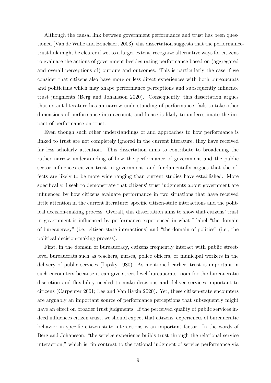Although the causal link between government performance and trust has been questioned (Van de Walle and Bouckaert [2003\)](#page-100-2), this dissertation suggests that the performancetrust link might be clearer if we, to a larger extent, recognize alternative ways for citizens to evaluate the actions of government besides rating performance based on (aggregated and overall perceptions of) outputs and outcomes. This is particularly the case if we consider that citizens also have more or less direct experiences with both bureaucrats and politicians which may shape performance perceptions and subsequently influence trust judgments (Berg and Johansson [2020\)](#page-85-1). Consequently, this dissertation argues that extant literature has an narrow understanding of performance, fails to take other dimensions of performance into account, and hence is likely to underestimate the impact of performance on trust.

Even though such other understandings of and approaches to how performance is linked to trust are not completely ignored in the current literature, they have received far less scholarly attention. This dissertation aims to contribute to broadening the rather narrow understanding of how the performance of government and the public sector influences citizen trust in government, and fundamentally argues that the effects are likely to be more wide ranging than current studies have established. More specifically, I seek to demonstrate that citizens' trust judgments about government are influenced by how citizens evaluate performance in two situations that have received little attention in the current literature: specific citizen-state interactions and the political decision-making process. Overall, this dissertation aims to show that citizens' trust in government is influenced by performance experienced in what I label "the domain of bureaucracy" (i.e., citizen-state interactions) and "the domain of politics" (i.e., the political decision-making process).

First, in the domain of bureaucracy, citizens frequently interact with public streetlevel bureaucrats such as teachers, nurses, police officers, or municipal workers in the delivery of public services (Lipsky [1980\)](#page-94-2). As mentioned earlier, trust is important in such encounters because it can give street-level bureaucrats room for the bureaucratic discretion and flexibility needed to make decisions and deliver services important to citizens (Carpenter [2001;](#page-87-3) Lee and Van Ryzin [2020\)](#page-94-3). Yet, these citizen-state encounters are arguably an important source of performance perceptions that subsequently might have an effect on broader trust judgments. If the perceived quality of public services indeed influences citizen trust, we should expect that citizens' experiences of bureaucratic behavior in specific citizen-state interactions is an important factor. In the words of Berg and Johansson, "the service experience builds trust through the relational service interaction," which is "in contrast to the rational judgment of service performance via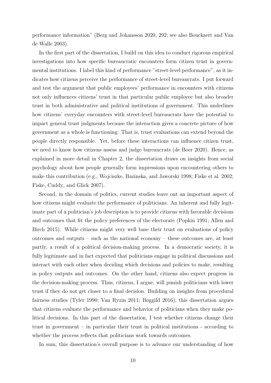performance information" (Berg and Johansson [2020,](#page-85-1) 292; see also Bouckaert and Van de Walle 2003).

In the first part of the dissertation, I build on this idea to conduct rigorous empirical investigations into how specific bureaucratic encounters form citizen trust in governmental institutions. I label this kind of performance "street-level performance", as it indicates how citizens perceive the performance of street-level bureaucrats. I put forward and test the argument that public employees' performance in encounters with citizens not only influences citizens' trust in that particular public employee but also broader trust in both administrative and political institutions of government. This underlines how citizens' everyday encounters with street-level bureaucrats have the potential to impact general trust judgments because the interaction gives a concrete picture of how government as a whole is functioning. That is, trust evaluations can extend beyond the people directly responsible. Yet, before these interactions can influence citizen trust, we need to know how citizens assess and judge bureaucrats (de Boer [2020\)](#page-88-3). Hence, as explained in more detail in Chapter 2, the dissertation draws on insights from social psychology about how people generally form impressions upon encountering others to make this contribution (e.g., Wojciszke, Bazinska, and Jaworski [1998;](#page-102-3) Fiske et al. [2002;](#page-89-0) Fiske, Cuddy, and Glick [2007\)](#page-89-1).

Second, in the domain of politics, current studies leave out an important aspect of how citizens might evaluate the performance of politicians. An inherent and fully legitimate part of a politician's job description is to provide citizens with favorable decisions and outcomes that fit the policy preferences of the electorate (Popkin [1991;](#page-97-0) Allen and Birch [2015\)](#page-84-1). While citizens might very well base their trust on evaluations of policy outcomes and outputs – such as the national economy – these outcomes are, at least partly, a result of a political decision-making process. In a democratic society, it is fully legitimate and in fact expected that politicians engage in political discussions and interact with each other when deciding which decisions and policies to make, resulting in policy outputs and outcomes. On the other hand, citizens also expect progress in the decision-making process. Thus, citizens, I argue, will punish politicians with lower trust if they do not get closer to a final decision. Building on insights from procedural fairness studies (Tyler [1990;](#page-100-3) Van Ryzin [2011;](#page-101-0) Bøggild [2016\)](#page-86-1), this dissertation argues that citizens evaluate the performance and behavior of politicians when they make political decisions. In this part of the dissertation, I test whether citizens change their trust in government – in particular their trust in political institutions - according to whether the process reflects that politicians work towards outcomes.

In sum, this dissertation's overall purpose is to advance our understanding of how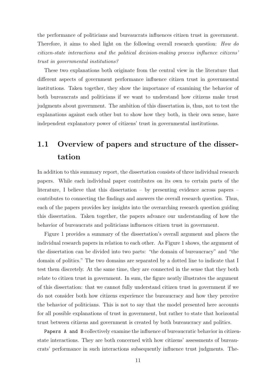the performance of politicians and bureaucrats influences citizen trust in government. Therefore, it aims to shed light on the following overall research question: How do citizen-state interactions and the political decision-making process influence citizens' trust in governmental institutions?

These two explanations both originate from the central view in the literature that different aspects of government performance influence citizen trust in governmental institutions. Taken together, they show the importance of examining the behavior of both bureaucrats and politicians if we want to understand how citizens make trust judgments about government. The ambition of this dissertation is, thus, not to test the explanations against each other but to show how they both, in their own sense, have independent explanatory power of citizens' trust in governmental institutions.

#### <span id="page-14-0"></span>1.1 Overview of papers and structure of the dissertation

In addition to this summary report, the dissertation consists of three individual research papers. While each individual paper contributes on its own to certain parts of the literature, I believe that this dissertation – by presenting evidence across papers – contributes to connecting the findings and answers the overall research question. Thus, each of the papers provides key insights into the overarching research question guiding this dissertation. Taken together, the papers advance our understanding of how the behavior of bureaucrats and politicians influences citizen trust in government.

Figure [1](#page-16-0) provides a summary of the dissertation's overall argument and places the individual research papers in relation to each other. As Figure 1 shows, the argument of the dissertation can be divided into two parts: "the domain of bureaucracy" and "the domain of politics." The two domains are separated by a dotted line to indicate that I test them discretely. At the same time, they are connected in the sense that they both relate to citizen trust in government. In sum, the figure neatly illustrates the argument of this dissertation: that we cannot fully understand citizen trust in government if we do not consider both how citizens experience the bureaucracy and how they perceive the behavior of politicians. This is not to say that the model presented here accounts for all possible explanations of trust in government, but rather to state that horizontal trust between citizens and government is created by both bureaucracy and politics.

Papers A and B collectively examine the influence of bureaucratic behavior in citizenstate interactions. They are both concerned with how citizens' assessments of bureaucrats' performance in such interactions subsequently influence trust judgments. The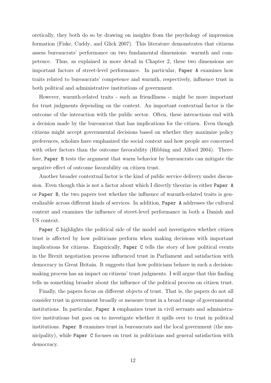oretically, they both do so by drawing on insights from the psychology of impression formation (Fiske, Cuddy, and Glick [2007\)](#page-89-1). This literature demonstrates that citizens assess bureaucrats' performance on two fundamental dimensions: warmth and competence. Thus, as explained in more detail in Chapter 2, these two dimensions are important factors of street-level performance. In particular, Paper A examines how traits related to bureaucrats' competence and warmth, respectively, influence trust in both political and administrative institutions of government.

However, warmth-related traits - such as friendliness - might be more important for trust judgments depending on the context. An important contextual factor is the outcome of the interaction with the public sector. Often, these interactions end with a decision made by the bureaucrat that has implications for the citizen. Even though citizens might accept governmental decisions based on whether they maximize policy preferences, scholars have emphasized the social context and how people are concerned with other factors than the outcome favorability (Hibbing and Alford [2004\)](#page-91-0). Therefore, Paper B tests the argument that warm behavior by bureaucrats can mitigate the negative effect of outcome favorability on citizen trust.

Another broader contextual factor is the kind of public service delivery under discussion. Even though this is not a factor about which I directly theorize in either Paper A or Paper B, the two papers test whether the influence of warmth-related traits is generalizable across different kinds of services. In addition, Paper A addresses the cultural context and examines the influence of street-level performance in both a Danish and US context.

Paper C highlights the political side of the model and investigates whether citizen trust is affected by how politicians perform when making decisions with important implications for citizens. Empirically, Paper C tells the story of how political events in the Brexit negotiation process influenced trust in Parliament and satisfaction with democracy in Great Britain. It suggests that how politicians behave in such a decisionmaking process has an impact on citizens' trust judgments. I will argue that this finding tells us something broader about the influence of the political process on citizen trust.

Finally, the papers focus on different objects of trust. That is, the papers do not all consider trust in government broadly or measure trust in a broad range of governmental institutions. In particular, Paper A emphasizes trust in civil servants and administrative institutions but goes on to investigate whether it spills over to trust in political institutions. Paper B examines trust in bureaucrats and the local government (the municipality), while Paper C focuses on trust in politicians and general satisfaction with democracy.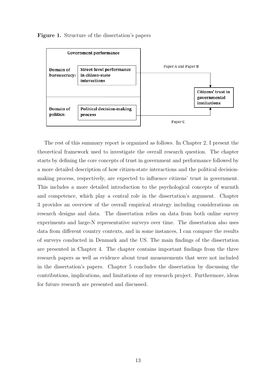<span id="page-16-0"></span>



The rest of this summary report is organized as follows. In Chapter 2, I present the theoretical framework used to investigate the overall research question. The chapter starts by defining the core concepts of trust in government and performance followed by a more detailed description of how citizen-state interactions and the political decisionmaking process, respectively, are expected to influence citizens' trust in government. This includes a more detailed introduction to the psychological concepts of warmth and competence, which play a central role in the dissertation's argument. Chapter 3 provides an overview of the overall empirical strategy including considerations on research designs and data. The dissertation relies on data from both online survey experiments and large-N representative surveys over time. The dissertation also uses data from different country contexts, and in some instances, I can compare the results of surveys conducted in Denmark and the US. The main findings of the dissertation are presented in Chapter 4. The chapter contains important findings from the three research papers as well as evidence about trust measurements that were not included in the dissertation's papers. Chapter 5 concludes the dissertation by discussing the contributions, implications, and limitations of my research project. Furthermore, ideas for future research are presented and discussed.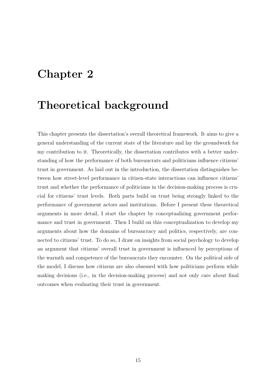#### <span id="page-18-0"></span>Chapter 2

#### Theoretical background

This chapter presents the dissertation's overall theoretical framework. It aims to give a general understanding of the current state of the literature and lay the groundwork for my contribution to it. Theoretically, the dissertation contributes with a better understanding of how the performance of both bureaucrats and politicians influence citizens' trust in government. As laid out in the introduction, the dissertation distinguishes between how street-level performance in citizen-state interactions can influence citizens' trust and whether the performance of politicians in the decision-making process is crucial for citizens' trust levels. Both parts build on trust being strongly linked to the performance of government actors and institutions. Before I present these theoretical arguments in more detail, I start the chapter by conceptualizing government performance and trust in government. Then I build on this conceptualization to develop my arguments about how the domains of bureaucracy and politics, respectively, are connected to citizens' trust. To do so, I draw on insights from social psychology to develop an argument that citizens' overall trust in government is influenced by perceptions of the warmth and competence of the bureaucrats they encounter. On the political side of the model, I discuss how citizens are also obsessed with how politicians perform while making decisions (i.e., in the decision-making process) and not only care about final outcomes when evaluating their trust in government.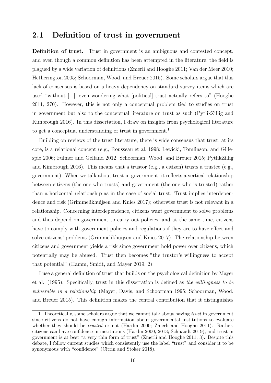#### <span id="page-19-0"></span>2.1 Definition of trust in government

Definition of trust. Trust in government is an ambiguous and contested concept, and even though a common definition has been attempted in the literature, the field is plagued by a wide variation of definitions (Zmerli and Hooghe [2011;](#page-102-4) Van der Meer [2010;](#page-101-6) Hetherington [2005;](#page-91-1) Schoorman, Wood, and Breuer [2015\)](#page-98-2). Some scholars argue that this lack of consensus is based on a heavy dependency on standard survey items which are used "without [...] even wondering what [political] trust actually refers to" (Hooghe [2011,](#page-92-1) 270). However, this is not only a conceptual problem tied to studies on trust in government but also to the conceptual literature on trust as such (PytlikZillig and Kimbrough [2016\)](#page-97-1). In this dissertation, I draw on insights from psychological literature to get a conceptual understanding of trust in government.<sup>[1](#page-19-1)</sup>

Building on reviews of the trust literature, there is wide consensus that trust, at its core, is a relational concept (e.g., Rousseau et al. [1998;](#page-98-3) Lewicki, Tomlinson, and Gillespie [2006;](#page-94-4) Fulmer and Gelfand [2012;](#page-90-1) Schoorman, Wood, and Breuer [2015;](#page-98-2) PytlikZillig and Kimbrough [2016\)](#page-97-1). This means that a trustor (e.g., a citizen) trusts a trustee (e.g., government). When we talk about trust in government, it reflects a vertical relationship between citizens (the one who trusts) and government (the one who is trusted) rather than a horizontal relationship as in the case of social trust. Trust implies interdependence and risk (Grimmelikhuijsen and Knies [2017\)](#page-90-2); otherwise trust is not relevant in a relationship. Concerning interdependence, citizens want government to solve problems and thus depend on government to carry out policies, and at the same time, citizens have to comply with government policies and regulations if they are to have effect and solve citizens' problems (Grimmelikhuijsen and Knies [2017\)](#page-90-2). The relationship between citizens and government yields a risk since government hold power over citizens, which potentially may be abused. Trust then becomes "the trustor's willingness to accept that potential" (Hamm, Smidt, and Mayer [2019,](#page-91-2) 2).

I use a general definition of trust that builds on the psychological definition by Mayer et al. [\(1995\)](#page-94-5). Specifically, trust in this dissertation is defined as the willingness to be vulnerable in a relationship (Mayer, Davis, and Schoorman [1995;](#page-94-5) Schoorman, Wood, and Breuer [2015\)](#page-98-2). This definition makes the central contribution that it distinguishes

<span id="page-19-1"></span><sup>1.</sup> Theoretically, some scholars argue that we cannot talk about having trust in government since citizens do not have enough information about governmental institutions to evaluate whether they should be *trusted* or not (Hardin [2000;](#page-91-3) Zmerli and Hooghe [2011\)](#page-102-4). Rather, citizens can have confidence in institutions (Hardin [2000,](#page-91-3) [2013;](#page-91-4) Schnaudt [2019\)](#page-98-4), and trust in government is at best "a very thin form of trust" (Zmerli and Hooghe [2011,](#page-102-4) 3). Despite this debate, I follow current studies which consistently use the label "trust" and consider it to be synonymous with "confidence" (Citrin and Stoker [2018\)](#page-87-1).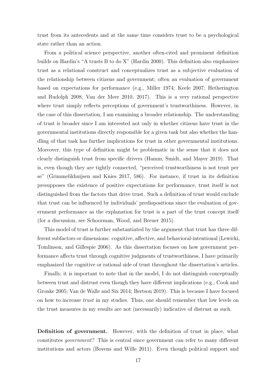trust from its antecedents and at the same time considers trust to be a psychological state rather than an action.

From a political science perspective, another often-cited and prominent definition builds on Hardin's "A trusts B to do X" (Hardin [2000\)](#page-91-3). This definition also emphasizes trust as a relational construct and conceptualizes trust as a subjective evaluation of the relationship between citizens and government; often an evaluation of government based on expectations for performance (e.g., Miller [1974;](#page-95-0) Keele [2007;](#page-93-1) Hetherington and Rudolph [2008;](#page-91-5) Van der Meer [2010,](#page-101-6) [2017\)](#page-100-4). This is a very rational perspective where trust simply reflects perceptions of government's trustworthiness. However, in the case of this dissertation, I am examining a broader relationship. The understanding of trust is broader since I am interested not only in whether citizens have trust in the governmental institutions directly responsible for a given task but also whether the handling of that task has further implications for trust in other governmental institutions. Moreover, this type of definition might be problematic in the sense that it does not clearly distinguish trust from specific drivers (Hamm, Smidt, and Mayer [2019\)](#page-91-2). That is, even though they are tightly connected, "perceived trustworthiness is not trust per se" (Grimmelikhuijsen and Knies [2017,](#page-90-2) 586). For instance, if trust in its definition presupposes the existence of positive expectations for performance, trust itself is not distinguished from the factors that drive trust. Such a definition of trust would exclude that trust can be influenced by individuals' predispositions since the evaluation of government performance as the explanation for trust is a part of the trust concept itself (for a discussion, see Schoorman, Wood, and Breuer [2015\)](#page-98-2).

This model of trust is further substantiated by the argument that trust has three different subfactors or dimensions: cognitive, affective, and behavioral-intentional (Lewicki, Tomlinson, and Gillespie [2006\)](#page-94-4). As this dissertation focuses on how government performance affects trust through cognitive judgments of trustworthiness, I have primarily emphasized the cognitive or rational side of trust throughout the dissertation's articles.

Finally, it is important to note that in the model, I do not distinguish conceptually between trust and distrust even though they have different implications (e.g., Cook and Gronke [2005;](#page-87-4) Van de Walle and Six [2014;](#page-100-5) Bertsou [2019\)](#page-85-2). This is because I have focused on how to increase trust in my studies. Thus, one should remember that low levels on the trust measures in my results are not (necessarily) indicative of distrust as such.

Definition of government. However, with the definition of trust in place, what constitutes government? This is central since government can refer to many different institutions and actors (Bovens and Wille [2011\)](#page-86-2). Even though political support and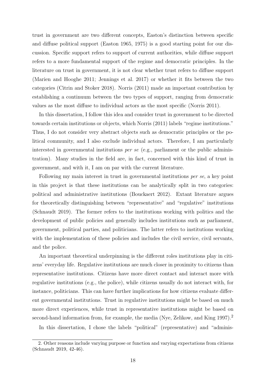trust in government are two different concepts, Easton's distinction between specific and diffuse political support (Easton [1965,](#page-89-2) [1975\)](#page-89-3) is a good starting point for our discussion. Specific support refers to support of current authorities, while diffuse support refers to a more fundamental support of the regime and democratic principles. In the literature on trust in government, it is not clear whether trust refers to diffuse support (Marien and Hooghe [2011;](#page-94-0) Jennings et al. [2017\)](#page-93-2) or whether it fits between the two categories (Citrin and Stoker [2018\)](#page-87-1). Norris [\(2011\)](#page-96-1) made an important contribution by establishing a continuum between the two types of support, ranging from democratic values as the most diffuse to individual actors as the most specific (Norris [2011\)](#page-96-1).

In this dissertation, I follow this idea and consider trust in government to be directed towards certain institutions or objects, which Norris [\(2011\)](#page-96-1) labels "regime institutions." Thus, I do not consider very abstract objects such as democratic principles or the political community, and I also exclude individual actors. Therefore, I am particularly interested in governmental institutions *per se* (e.g., parliament or the public administration). Many studies in the field are, in fact, concerned with this kind of trust in government, and with it, I am on par with the current literature.

Following my main interest in trust in governmental institutions per se, a key point in this project is that these institutions can be analytically split in two categories: political and administrative institutions (Bouckaert [2012\)](#page-86-3). Extant literature argues for theoretically distinguishing between "representative" and "regulative" institutions (Schnaudt [2019\)](#page-98-4). The former refers to the institutions working with politics and the development of public policies and generally includes institutions such as parliament, government, political parties, and politicians. The latter refers to institutions working with the implementation of these policies and includes the civil service, civil servants, and the police.

An important theoretical underpinning is the different roles institutions play in citizens' everyday life. Regulative institutions are much closer in proximity to citizens than representative institutions. Citizens have more direct contact and interact more with regulative institutions (e.g., the police), while citizens usually do not interact with, for instance, politicians. This can have further implications for how citizens evaluate different governmental institutions. Trust in regulative institutions might be based on much more direct experiences, while trust in representative institutions might be based on second-hand information from, for example, the media (Nye, Zelikow, and King [1997\)](#page-96-5).<sup>[2](#page-21-0)</sup>

In this dissertation, I chose the labels "political" (representative) and "adminis-

<span id="page-21-0"></span><sup>2.</sup> Other reasons include varying purpose or function and varying expectations from citizens (Schnaudt [2019,](#page-98-4) 42-46).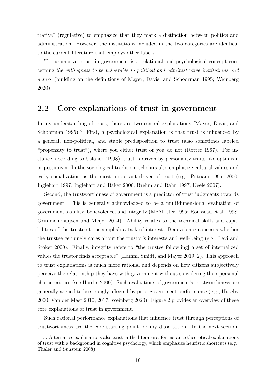trative" (regulative) to emphasize that they mark a distinction between politics and administration. However, the institutions included in the two categories are identical to the current literature that employs other labels.

To summarize, trust in government is a relational and psychological concept concerning the willingness to be vulnerable to political and administrative institutions and actors (building on the definitions of Mayer, Davis, and Schoorman [1995;](#page-94-5) Weinberg [2020\)](#page-102-1).

#### <span id="page-22-0"></span>2.2 Core explanations of trust in government

In my understanding of trust, there are two central explanations (Mayer, Davis, and Schoorman [1995\)](#page-94-5).<sup>[3](#page-22-1)</sup> First, a psychological explanation is that trust is influenced by a general, non-political, and stable predisposition to trust (also sometimes labeled "propensity to trust"), where you either trust or you do not (Rotter [1967\)](#page-98-5). For instance, according to Uslaner [\(1998\)](#page-100-6), trust is driven by personality traits like optimism or pessimism. In the sociological tradition, scholars also emphasize cultural values and early socialization as the most important driver of trust (e.g., Putnam [1995,](#page-97-2) [2000;](#page-97-3) Inglehart [1997;](#page-92-2) Inglehart and Baker [2000;](#page-92-3) Brehm and Rahn [1997;](#page-86-4) Keele [2007\)](#page-93-1).

Second, the trustworthiness of government is a predictor of trust judgments towards government. This is generally acknowledged to be a multidimensional evaluation of government's ability, benevolence, and integrity (McAllister [1995;](#page-95-3) Rousseau et al. [1998;](#page-98-3) Grimmelikhuijsen and Meijer [2014\)](#page-90-3). Ability relates to the technical skills and capabilities of the trustee to accomplish a task of interest. Benevolence concerns whether the trustee genuinely cares about the trustor's interests and well-being (e.g., Levi and Stoker [2000\)](#page-94-1). Finally, integrity refers to "the trustee follow[ing] a set of internalized values the trustor finds acceptable" (Hamm, Smidt, and Mayer [2019,](#page-91-2) 2). This approach to trust explanations is much more rational and depends on how citizens subjectively perceive the relationship they have with government without considering their personal characteristics (see Hardin [2000\)](#page-91-3). Such evaluations of government's trustworthiness are generally argued to be strongly affected by prior government performance (e.g., Huseby [2000;](#page-92-4) Van der Meer [2010,](#page-101-6) [2017;](#page-100-4) Weinberg [2020\)](#page-102-1). Figure [2](#page-23-0) provides an overview of these core explanations of trust in government.

Such rational performance explanations that influence trust through perceptions of trustworthiness are the core starting point for my dissertation. In the next section,

<span id="page-22-1"></span><sup>3.</sup> Alternative explanations also exist in the literature, for instance theoretical explanations of trust with a background in cognitive psychology, which emphasize heuristic shortcuts (e.g., Thaler and Sunstein [2008\)](#page-99-1).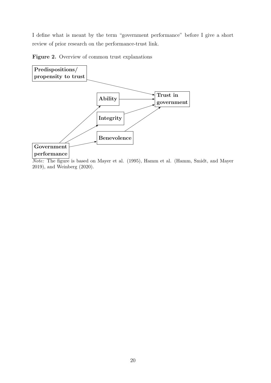I define what is meant by the term "government performance" before I give a short review of prior research on the performance-trust link.

<span id="page-23-0"></span>Figure 2. Overview of common trust explanations



Note: The figure is based on Mayer et al. [\(1995\)](#page-94-5), Hamm et al. (Hamm, Smidt, and Mayer [2019\)](#page-91-2), and Weinberg [\(2020\)](#page-102-1).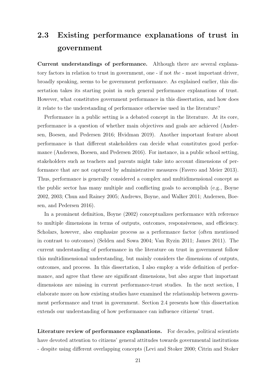#### <span id="page-24-0"></span>2.3 Existing performance explanations of trust in government

Current understandings of performance. Although there are several explanatory factors in relation to trust in government, one - if not the - most important driver, broadly speaking, seems to be government performance. As explained earlier, this dissertation takes its starting point in such general performance explanations of trust. However, what constitutes government performance in this dissertation, and how does it relate to the understanding of performance otherwise used in the literature?

Performance in a public setting is a debated concept in the literature. At its core, performance is a question of whether main objectives and goals are achieved (Andersen, Boesen, and Pedersen [2016;](#page-84-2) Hvidman [2019\)](#page-92-5). Another important feature about performance is that different stakeholders can decide what constitutes good performance (Andersen, Boesen, and Pedersen [2016\)](#page-84-2). For instance, in a public school setting, stakeholders such as teachers and parents might take into account dimensions of performance that are not captured by administrative measures (Favero and Meier [2013\)](#page-89-4). Thus, performance is generally considered a complex and multidimensional concept as the public sector has many multiple and conflicting goals to accomplish (e.g., Boyne [2002,](#page-86-5) [2003;](#page-86-6) Chun and Rainey [2005;](#page-87-5) Andrews, Boyne, and Walker [2011;](#page-85-3) Andersen, Boesen, and Pedersen [2016\)](#page-84-2).

In a prominent definition, Boyne [\(2002\)](#page-86-5) conceptualizes performance with reference to multiple dimensions in terms of outputs, outcomes, responsiveness, and efficiency. Scholars, however, also emphasize process as a performance factor (often mentioned in contrast to outcomes) (Selden and Sowa [2004;](#page-98-6) Van Ryzin [2011;](#page-101-0) James [2011\)](#page-92-6). The current understanding of performance in the literature on trust in government follow this multidimensional understanding, but mainly considers the dimensions of outputs, outcomes, and process. In this dissertation, I also employ a wide definition of performance, and agree that these are significant dimensions, but also argue that important dimensions are missing in current performance-trust studies. In the next section, I elaborate more on how existing studies have examined the relationship between government performance and trust in government. Section 2.4 presents how this dissertation extends our understanding of how performance can influence citizens' trust.

Literature review of performance explanations. For decades, political scientists have devoted attention to citizens' general attitudes towards governmental institutions - despite using different overlapping concepts (Levi and Stoker [2000;](#page-94-1) Citrin and Stoker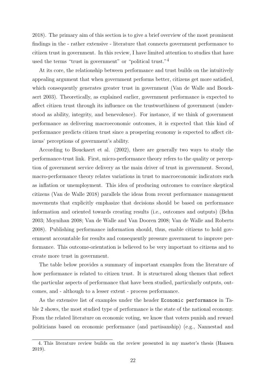[2018\)](#page-87-1). The primary aim of this section is to give a brief overview of the most prominent findings in the - rather extensive - literature that connects government performance to citizen trust in government. In this review, I have limited attention to studies that have used the terms "trust in government" or "political trust."[4](#page-25-0)

At its core, the relationship between performance and trust builds on the intuitively appealing argument that when government performs better, citizens get more satisfied, which consequently generates greater trust in government (Van de Walle and Bouckaert [2003\)](#page-100-2). Theoretically, as explained earlier, government performance is expected to affect citizen trust through its influence on the trustworthiness of government (understood as ability, integrity, and benevolence). For instance, if we think of government performance as delivering macroeconomic outcomes, it is expected that this kind of performance predicts citizen trust since a prospering economy is expected to affect citizens' perceptions of government's ability.

According to Bouckaert et al. [\(2002\)](#page-86-7), there are generally two ways to study the performance-trust link. First, micro-performance theory refers to the quality or perception of government service delivery as the main driver of trust in government. Second, macro-performance theory relates variations in trust to macroeconomic indicators such as inflation or unemployment. This idea of producing outcomes to convince skeptical citizens (Van de Walle [2018\)](#page-100-7) parallels the ideas from recent performance management movements that explicitly emphasize that decisions should be based on performance information and oriented towards creating results (i.e., outcomes and outputs) (Behn [2003;](#page-85-4) Moynihan [2008;](#page-95-2) Van de Walle and Van Dooren [2008;](#page-100-8) Van de Walle and Roberts [2008\)](#page-100-9). Publishing performance information should, thus, enable citizens to hold government accountable for results and consequently pressure government to improve performance. This outcome-orientation is believed to be very important to citizens and to create more trust in government.

The table below provides a summary of important examples from the literature of how performance is related to citizen trust. It is structured along themes that reflect the particular aspects of performance that have been studied, particularly outputs, outcomes, and - although to a lesser extent - process performance.

As the extensive list of examples under the header Economic performance in [Ta](#page-28-0)[ble 2](#page-28-0) shows, the most studied type of performance is the state of the national economy. From the related literature on economic voting, we know that voters punish and reward politicians based on economic performance (and partisanship) (e.g., Nannestad and

<span id="page-25-0"></span><sup>4.</sup> This literature review builds on the review presented in my master's thesis (Hansen [2019\)](#page-91-6).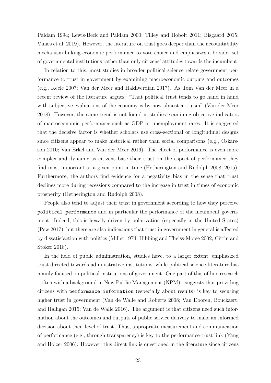Paldam [1994;](#page-96-6) Lewis-Beck and Paldam [2000;](#page-94-6) Tilley and Hobolt [2011;](#page-99-2) Bisgaard [2015;](#page-86-8) Vinæs et al. [2019\)](#page-102-5). However, the literature on trust goes deeper than the accountability mechanism linking economic performance to vote choice and emphasizes a broader set of governmental institutions rather than only citizens' attitudes towards the incumbent.

In relation to this, most studies in broader political science relate government performance to trust in government by examining macroeconomic outputs and outcomes (e.g., Keele [2007;](#page-93-1) Van der Meer and Hakhverdian [2017\)](#page-101-7). As Tom Van der Meer in a recent review of the literature argues: "That political trust tends to go hand in hand with subjective evaluations of the economy is by now almost a truism" (Van der Meer [2018\)](#page-101-8). However, the same trend is not found in studies examining objective indicators of macroeconomic performance such as GDP or unemployment rates. It is suggested that the decisive factor is whether scholars use cross-sectional or longitudinal designs since citizens appear to make historical rather than social comparisons (e.g., Oskarsson [2010;](#page-97-4) Van Erkel and Van der Meer [2016\)](#page-101-4). The effect of performance is even more complex and dynamic as citizens base their trust on the aspect of performance they find most important at a given point in time (Hetherington and Rudolph [2008,](#page-91-5) [2015\)](#page-91-7). Furthermore, the authors find evidence for a negativity bias in the sense that trust declines more during recessions compared to the increase in trust in times of economic prosperity (Hetherington and Rudolph [2008\)](#page-91-5).

People also tend to adjust their trust in government according to how they perceive political performance and in particular the performance of the incumbent government. Indeed, this is heavily driven by polarization (especially in the United States) (Pew [2017\)](#page-97-5), but there are also indications that trust in government in general is affected by dissatisfaction with politics (Miller [1974;](#page-95-0) Hibbing and Theiss-Morse [2002;](#page-92-7) Citrin and Stoker [2018\)](#page-87-1).

In the field of public administration, studies have, to a larger extent, emphasized trust directed towards administrative institutions, while political science literature has mainly focused on political institutions of government. One part of this of line research - often with a background in New Public Management (NPM) - suggests that providing citizens with performance information (especially about results) is key to securing higher trust in government (Van de Walle and Roberts [2008;](#page-100-9) Van Dooren, Bouckaert, and Halligan [2015;](#page-101-9) Van de Walle [2016\)](#page-100-1). The argument is that citizens need such information about the outcomes and outputs of public service delivery to make an informed decision about their level of trust. Thus, appropriate measurement and communication of performance (e.g., through transparency) is key to the performance-trust link (Yang and Holzer [2006\)](#page-102-2). However, this direct link is questioned in the literature since citizens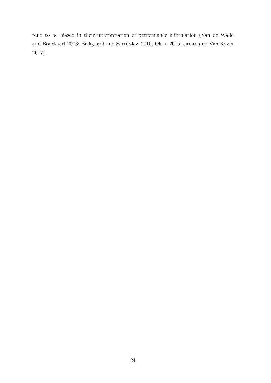tend to be biased in their interpretation of performance information (Van de Walle and Bouckaert [2003;](#page-100-2) Bækgaard and Serritzlew [2016;](#page-85-0) Olsen [2015;](#page-96-7) James and Van Ryzin [2017\)](#page-93-3).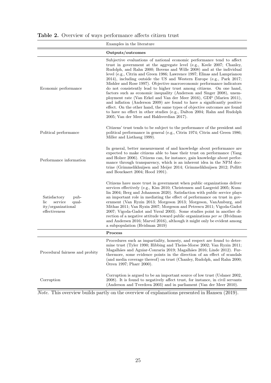|                                                                                        | Examples in the literature                                                                                                                                                                                                                                                                                                                                                                                                                                                                                                                                                                                                                                                                                                                                                                                                                                                                                                                                       |
|----------------------------------------------------------------------------------------|------------------------------------------------------------------------------------------------------------------------------------------------------------------------------------------------------------------------------------------------------------------------------------------------------------------------------------------------------------------------------------------------------------------------------------------------------------------------------------------------------------------------------------------------------------------------------------------------------------------------------------------------------------------------------------------------------------------------------------------------------------------------------------------------------------------------------------------------------------------------------------------------------------------------------------------------------------------|
|                                                                                        | Outputs/outcomes                                                                                                                                                                                                                                                                                                                                                                                                                                                                                                                                                                                                                                                                                                                                                                                                                                                                                                                                                 |
| Economic performance                                                                   | Subjective evaluations of national economic performance tend to affect<br>trust in government at the aggregate level (e.g., Keele 2007; Chanley,<br>Rudolph, and Rahn 2000; Bovens and Wille 2008) and at the individual<br>level (e.g., Citrin and Green 1986; Lawrence 1997; Elinas and Lamprianou<br>2014), including outside the US and Western Europe (e.g., Park 2017;<br>Mishler and Rose 1997). Objective macroeconomic performance indicators<br>do not consistently lead to higher trust among citizens. On one hand,<br>factors such as economic inequality (Anderson and Singer 2008), unem-<br>ployment rate (Van Erkel and Van der Meer 2016), GDP (Marien 2011),<br>and inflation (Anderson 2009) are found to have a significantly positive<br>effect. On the other hand, the same types of objective outcomes are found<br>to have no effect in other studies (e.g., Dalton 2004; Rahn and Rudolph<br>2005; Van der Meer and Hakhverdian 2017). |
| Political performance                                                                  | Citizens' trust tends to be subject to the performance of the president and<br>political performance in general (e.g., Citrin 1974; Citrin and Green 1986;<br>Miller and Listhaug 1999).                                                                                                                                                                                                                                                                                                                                                                                                                                                                                                                                                                                                                                                                                                                                                                         |
| Performance information                                                                | In general, better measurement of and knowledge about performance are<br>expected to make citizens able to base their trust on performance (Yang<br>and Holzer 2006). Citizens can, for instance, gain knowledge about perfor-<br>mance through transparency, which is an inherent idea in the NPM doc-<br>trine (Grimmelikhuijsen and Meijer 2014; Grimmelikhuijsen 2012; Pollitt<br>and Bouckaert 2004; Hood 1991).                                                                                                                                                                                                                                                                                                                                                                                                                                                                                                                                            |
| Satisfactory<br>pub-<br>service<br>qual-<br>lic<br>ity/organizational<br>effectiveness | Citizens have more trust in government when public organizations deliver<br>services effectively (e.g., Kim 2010; Christensen and Laegreid 2005; Kum-<br>lin 2004; Berg and Johansson 2020). Satisfaction with public service plays<br>an important role in mediating the effect of performance on trust in gov-<br>ernment (Van Ryzin 2013; Morgeson 2013; Morgeson, VanAmburg, and<br>Mithas 2011; Van Ryzin 2007; Morgeson and Petrescu 2011; Vigoda-Gadot<br>2007; Vigoda-Gadot and Yuval 2003). Some studies point in another di-<br>rection of a negative attitude toward public organizations per se (Hvidman<br>and Andersen 2016; Marvel 2016), although it might only be evident among<br>a subpopulation (Hvidman 2019)                                                                                                                                                                                                                               |
|                                                                                        | Process                                                                                                                                                                                                                                                                                                                                                                                                                                                                                                                                                                                                                                                                                                                                                                                                                                                                                                                                                          |
| Procedural fairness and probity                                                        | Procedures such as impartiality, honesty, and respect are found to deter-<br>mine trust (Tyler 1990; Hibbing and Theiss-Morse 2002; Van Ryzin 2011;<br>Magalhães and Aguiar-Conraria 2019; Magalhães 2016; Linde 2012). Fur-<br>thermore, some evidence points in the direction of an effect of scandals<br>(and media coverage thereof) on trust (Chanley, Rudolph, and Rahn 2000;<br>Orren 1997; Pharr 2000).                                                                                                                                                                                                                                                                                                                                                                                                                                                                                                                                                  |
| Corruption                                                                             | Corruption is argued to be an important source of low trust (Uslaner 2002,<br>2008). It is found to negatively affect trust, for instance, in civil servants<br>(Anderson and Tverdova 2003) and in parliament (Van der Meer 2010).                                                                                                                                                                                                                                                                                                                                                                                                                                                                                                                                                                                                                                                                                                                              |

<span id="page-28-0"></span>Table 2. Overview of ways performance affects citizen trust

 $\overline{Note.}$  This overview builds partly on the overview of explanations presented in Hansen [\(2019\)](#page-91-6).

=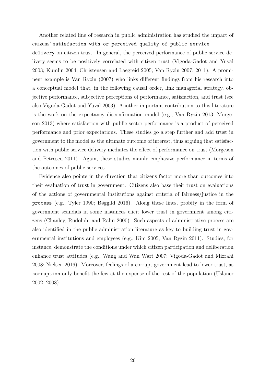Another related line of research in public administration has studied the impact of citizens' satisfaction with or perceived quality of public service delivery on citizen trust. In general, the perceived performance of public service delivery seems to be positively correlated with citizen trust (Vigoda-Gadot and Yuval [2003;](#page-101-1) Kumlin [2004;](#page-93-0) Christensen and Laegreid [2005;](#page-87-2) Van Ryzin [2007,](#page-101-3) [2011\)](#page-101-0). A prominent example is Van Ryzin [\(2007\)](#page-101-3) who links different findings from his research into a conceptual model that, in the following causal order, link managerial strategy, objective performance, subjective perceptions of performance, satisfaction, and trust (see also Vigoda-Gadot and Yuval [2003\)](#page-101-1). Another important contribution to this literature is the work on the expectancy disconfirmation model (e.g., Van Ryzin [2013;](#page-101-10) Morgeson [2013\)](#page-95-5) where satisfaction with public sector performance is a product of perceived performance and prior expectations. These studies go a step further and add trust in government to the model as the ultimate outcome of interest, thus arguing that satisfaction with public service delivery mediates the effect of performance on trust (Morgeson and Petrescu [2011\)](#page-95-7). Again, these studies mainly emphasize performance in terms of the outcomes of public services.

Evidence also points in the direction that citizens factor more than outcomes into their evaluation of trust in government. Citizens also base their trust on evaluations of the actions of governmental institutions against criteria of fairness/justice in the process (e.g., Tyler [1990;](#page-100-3) Bøggild [2016\)](#page-86-1). Along these lines, probity in the form of government scandals in some instances elicit lower trust in government among citizens (Chanley, Rudolph, and Rahn [2000\)](#page-87-6). Such aspects of administrative process are also identified in the public administration literature as key to building trust in governmental institutions and employees (e.g., Kim [2005;](#page-93-5) Van Ryzin [2011\)](#page-101-0). Studies, for instance, demonstrate the conditions under which citizen participation and deliberation enhance trust attitudes (e.g., Wang and Wan Wart [2007;](#page-102-6) Vigoda-Gadot and Mizrahi [2008;](#page-101-11) Nielsen [2016\)](#page-96-9). Moreover, feelings of a corrupt government lead to lower trust, as corruption only benefit the few at the expense of the rest of the population (Uslaner [2002,](#page-100-10) [2008\)](#page-100-11).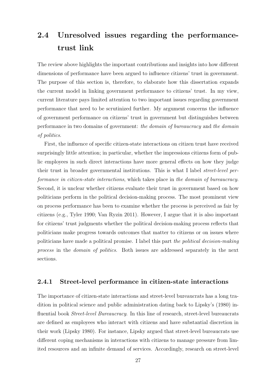#### <span id="page-30-0"></span>2.4 Unresolved issues regarding the performancetrust link

The review above highlights the important contributions and insights into how different dimensions of performance have been argued to influence citizens' trust in government. The purpose of this section is, therefore, to elaborate how this dissertation expands the current model in linking government performance to citizens' trust. In my view, current literature pays limited attention to two important issues regarding government performance that need to be scrutinized further. My argument concerns the influence of government performance on citizens' trust in government but distinguishes between performance in two domains of government: the domain of bureaucracy and the domain of politics.

First, the influence of specific citizen-state interactions on citizen trust have received surprisingly little attention; in particular, whether the impressions citizens form of public employees in such direct interactions have more general effects on how they judge their trust in broader governmental institutions. This is what I label street-level performance in citizen-state interactions, which takes place in the domain of bureaucracy. Second, it is unclear whether citizens evaluate their trust in government based on how politicians perform in the political decision-making process. The most prominent view on process performance has been to examine whether the process is perceived as fair by citizens (e.g., Tyler [1990;](#page-100-3) Van Ryzin [2011\)](#page-101-0). However, I argue that it is also important for citizens' trust judgments whether the political decision-making process reflects that politicians make progress towards outcomes that matter to citizens or on issues where politicians have made a political promise. I label this part the political decision-making process in the domain of politics. Both issues are addressed separately in the next sections.

#### <span id="page-30-1"></span>2.4.1 Street-level performance in citizen-state interactions

The importance of citizen-state interactions and street-level bureaucrats has a long tradition in political science and public administration dating back to Lipsky's [\(1980\)](#page-94-2) influential book *Street-level Bureaucracy*. In this line of research, street-level bureaucrats are defined as employees who interact with citizens and have substantial discretion in their work (Lipsky [1980\)](#page-94-2). For instance, Lipsky argued that street-level bureaucrats use different coping mechanisms in interactions with citizens to manage pressure from limited resources and an infinite demand of services. Accordingly, research on street-level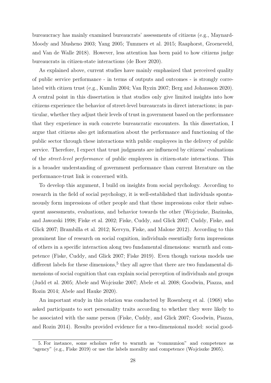bureaucracy has mainly examined bureaucrats' assessments of citizens (e.g., Maynard-Moody and Musheno [2003;](#page-95-8) Yang [2005;](#page-102-7) Tummers et al. [2015;](#page-99-3) Raaphorst, Groeneveld, and Van de Walle [2018\)](#page-97-9). However, less attention has been paid to how citizens judge bureaucrats in citizen-state interactions (de Boer [2020\)](#page-88-3).

As explained above, current studies have mainly emphasized that perceived quality of public service performance - in terms of outputs and outcomes - is strongly correlated with citizen trust (e.g., Kumlin [2004;](#page-93-0) Van Ryzin [2007;](#page-101-3) Berg and Johansson [2020\)](#page-85-1). A central point in this dissertation is that studies only give limited insights into how citizens experience the behavior of street-level bureaucrats in direct interactions; in particular, whether they adjust their levels of trust in government based on the performance that they experience in such concrete bureaucratic encounters. In this dissertation, I argue that citizens also get information about the performance and functioning of the public sector through these interactions with public employees in the delivery of public service. Therefore, I expect that trust judgments are influenced by citizens' evaluations of the street-level performance of public employees in citizen-state interactions. This is a broader understanding of government performance than current literature on the performance-trust link is concerned with.

To develop this argument, I build on insights from social psychology. According to research in the field of social psychology, it is well-established that individuals spontaneously form impressions of other people and that these impressions color their subsequent assessments, evaluations, and behavior towards the other (Wojciszke, Bazinska, and Jaworski [1998;](#page-102-3) Fiske et al. [2002;](#page-89-0) Fiske, Cuddy, and Glick [2007;](#page-89-1) Cuddy, Fiske, and Glick [2007;](#page-88-4) Brambilla et al. [2012;](#page-86-10) Kervyn, Fiske, and Malone [2012\)](#page-93-6). According to this prominent line of research on social cognition, individuals essentially form impressions of others in a specific interaction along two fundamental dimensions: warmth and competence (Fiske, Cuddy, and Glick [2007;](#page-89-1) Fiske [2019\)](#page-89-6). Even though various models use different labels for these dimensions,<sup>[5](#page-31-0)</sup> they all agree that there are two fundamental dimensions of social cognition that can explain social perception of individuals and groups (Judd et al. [2005;](#page-93-7) Abele and Wojciszke [2007;](#page-84-3) Abele et al. [2008;](#page-84-4) Goodwin, Piazza, and Rozin [2014;](#page-90-5) Abele and Hauke [2020\)](#page-84-5).

An important study in this relation was conducted by Rosenberg et al. [\(1968\)](#page-98-8) who asked participants to sort personality traits according to whether they were likely to be associated with the same person (Fiske, Cuddy, and Glick [2007;](#page-89-1) Goodwin, Piazza, and Rozin [2014\)](#page-90-5). Results provided evidence for a two-dimensional model: social good-

<span id="page-31-0"></span><sup>5.</sup> For instance, some scholars refer to warmth as "communion" and competence as "agency" (e.g., Fiske [2019\)](#page-89-6) or use the labels morality and competence (Wojciszke [2005\)](#page-102-8).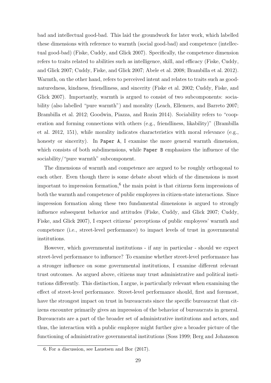bad and intellectual good-bad. This laid the groundwork for later work, which labelled these dimensions with reference to warmth (social good-bad) and competence (intellectual good-bad) (Fiske, Cuddy, and Glick [2007\)](#page-89-1). Specifically, the competence dimension refers to traits related to abilities such as intelligence, skill, and efficacy (Fiske, Cuddy, and Glick [2007;](#page-89-1) Cuddy, Fiske, and Glick [2007;](#page-88-4) Abele et al. [2008;](#page-84-4) Brambilla et al. [2012\)](#page-86-10). Warmth, on the other hand, refers to perceived intent and relates to traits such as goodnaturedness, kindness, friendliness, and sincerity (Fiske et al. [2002;](#page-89-0) Cuddy, Fiske, and Glick [2007\)](#page-88-4). Importantly, warmth is argued to consist of two subcomponents: sociability (also labelled "pure warmth") and morality (Leach, Ellemers, and Barreto [2007;](#page-94-13) Brambilla et al. [2012;](#page-86-10) Goodwin, Piazza, and Rozin [2014\)](#page-90-5). Sociability refers to "cooperation and forming connections with others (e.g., friendliness, likability)" (Brambilla et al. [2012,](#page-86-10) 151), while morality indicates characteristics with moral relevance (e.g., honesty or sincerity). In Paper A, I examine the more general warmth dimension, which consists of both subdimensions, while Paper B emphasizes the influence of the sociability/"pure warmth" subcomponent.

The dimensions of warmth and competence are argued to be roughly orthogonal to each other. Even though there is some debate about which of the dimensions is most important to impression formation,<sup>[6](#page-32-0)</sup> the main point is that citizens form impressions of both the warmth and competence of public employees in citizen-state interactions. Since impression formation along these two fundamental dimensions is argued to strongly influence subsequent behavior and attitudes (Fiske, Cuddy, and Glick [2007;](#page-89-1) Cuddy, Fiske, and Glick [2007\)](#page-88-4), I expect citizens' perceptions of public employees' warmth and competence (i.e., street-level performance) to impact levels of trust in governmental institutions.

However, which governmental institutions - if any in particular - should we expect street-level performance to influence? To examine whether street-level performance has a stronger influence on some governmental institutions, I examine different relevant trust outcomes. As argued above, citizens may trust administrative and political institutions differently. This distinction, I argue, is particularly relevant when examining the effect of street-level performance. Street-level performance should, first and foremost, have the strongest impact on trust in bureaucrats since the specific bureaucrat that citizens encounter primarily gives an impression of the behavior of bureaucrats in general. Bureaucrats are a part of the broader set of administrative institutions and actors, and thus, the interaction with a public employee might further give a broader picture of the functioning of administrative governmental institutions (Soss [1999;](#page-99-4) Berg and Johansson

<span id="page-32-0"></span><sup>6.</sup> For a discussion, see Laustsen and Bor [\(2017\)](#page-93-8).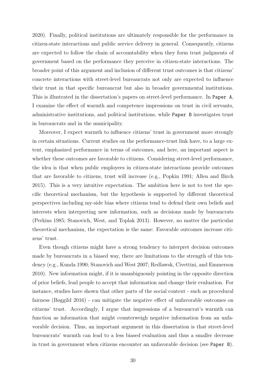[2020\)](#page-85-1). Finally, political institutions are ultimately responsible for the performance in citizen-state interactions and public service delivery in general. Consequently, citizens are expected to follow the chain of accountability when they form trust judgments of government based on the performance they perceive in citizen-state interactions. The broader point of this argument and inclusion of different trust outcomes is that citizens' concrete interactions with street-level bureaucrats not only are expected to influence their trust in that specific bureaucrat but also in broader governmental institutions. This is illustrated in the dissertation's papers on street-level performance. In Paper A, I examine the effect of warmth and competence impressions on trust in civil servants, administrative institutions, and political institutions, while Paper B investigates trust in bureaucrats and in the municipality.

Moreover, I expect warmth to influence citizens' trust in government more strongly in certain situations. Current studies on the performance-trust link have, to a large extent, emphasized performance in terms of outcomes, and here, an important aspect is whether these outcomes are favorable to citizens. Considering street-level performance, the idea is that when public employees in citizen-state interactions provide outcomes that are favorable to citizens, trust will increase (e.g., Popkin [1991;](#page-97-0) Allen and Birch [2015\)](#page-84-1). This is a very intuitive expectation. The ambition here is not to test the specific theoretical mechanism, but the hypothesis is supported by different theoretical perspectives including my-side bias where citizens tend to defend their own beliefs and interests when interpreting new information, such as decisions made by bureaucrats (Perkins [1985;](#page-97-10) Stanovich, West, and Toplak [2013\)](#page-99-5). However, no matter the particular theoretical mechanism, the expectation is the same: Favorable outcomes increase citizens' trust.

Even though citizens might have a strong tendency to interpret decision outcomes made by bureaucrats in a biased way, there are limitations to the strength of this tendency (e.g., Kunda [1990;](#page-93-9) Stanovich and West [2007;](#page-99-6) Redlawsk, Civettini, and Emmerson [2010\)](#page-98-9). New information might, if it is unambiguously pointing in the opposite direction of prior beliefs, lead people to accept that information and change their evaluation. For instance, studies have shown that other parts of the social context - such as procedural fairness (Bøggild [2016\)](#page-86-1) - can mitigate the negative effect of unfavorable outcomes on citizens' trust. Accordingly, I argue that impressions of a bureaucrat's warmth can function as information that might counterweigh negative information from an unfavorable decision. Thus, an important argument in this dissertation is that street-level bureaucrats' warmth can lead to a less biased evaluation and thus a smaller decrease in trust in government when citizens encounter an unfavorable decision (see Paper B).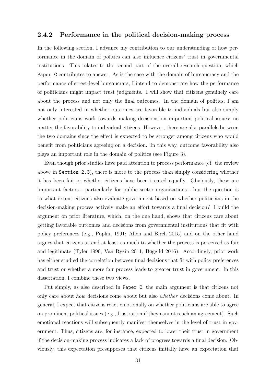#### <span id="page-34-0"></span>2.4.2 Performance in the political decision-making process

In the following section, I advance my contribution to our understanding of how performance in the domain of politics can also influence citizens' trust in governmental institutions. This relates to the second part of the overall research question, which Paper C contributes to answer. As is the case with the domain of bureaucracy and the performance of street-level bureaucrats, I intend to demonstrate how the performance of politicians might impact trust judgments. I will show that citizens genuinely care about the process and not only the final outcomes. In the domain of politics, I am not only interested in whether outcomes are favorable to individuals but also simply whether politicians work towards making decisions on important political issues; no matter the favorability to individual citizens. However, there are also parallels between the two domains since the effect is expected to be stronger among citizens who would benefit from politicians agreeing on a decision. In this way, outcome favorability also plays an important role in the domain of politics (see [Figure 3\)](#page-36-1).

Even though prior studies have paid attention to process performance (cf. the review above in Section 2.3), there is more to the process than simply considering whether it has been fair or whether citizens have been treated equally. Obviously, these are important factors - particularly for public sector organizations - but the question is to what extent citizens also evaluate government based on whether politicians in the decision-making process actively make an effort towards a final decision? I build the argument on prior literature, which, on the one hand, shows that citizens care about getting favorable outcomes and decisions from governmental institutions that fit with policy preferences (e.g., Popkin [1991;](#page-97-0) Allen and Birch [2015\)](#page-84-1) and on the other hand argues that citizens attend at least as much to whether the process is perceived as fair and legitimate (Tyler [1990;](#page-100-3) Van Ryzin [2011;](#page-101-0) Bøggild [2016\)](#page-86-1). Accordingly, prior work has either studied the correlation between final decisions that fit with policy preferences and trust or whether a more fair process leads to greater trust in government. In this dissertation, I combine these two views.

Put simply, as also described in Paper C, the main argument is that citizens not only care about how decisions come about but also whether decisions come about. In general, I expect that citizens react emotionally on whether politicians are able to agree on prominent political issues (e.g., frustration if they cannot reach an agreement). Such emotional reactions will subsequently manifest themselves in the level of trust in government. Thus, citizens are, for instance, expected to lower their trust in government if the decision-making process indicates a lack of progress towards a final decision. Obviously, this expectation presupposes that citizens initially have an expectation that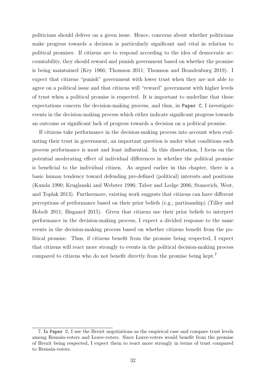politicians should deliver on a given issue. Hence, concerns about whether politicians make progress towards a decision is particularly significant and vital in relation to political promises. If citizens are to respond according to the idea of democratic accountability, they should reward and punish government based on whether the promise is being maintained (Key [1966;](#page-93-10) Thomson [2011;](#page-99-7) Thomson and Brandenburg [2019\)](#page-99-8). I expect that citizens "punish" government with lower trust when they are not able to agree on a political issue and that citizens will "reward" government with higher levels of trust when a political promise is respected. It is important to underline that these expectations concern the decision-making process, and thus, in Paper C, I investigate events in the decision-making process which either indicate significant progress towards an outcome or significant lack of progress towards a decision on a political promise.

If citizens take performance in the decision-making process into account when evaluating their trust in government, an important question is under what conditions such process performance is most and least influential. In this dissertation, I focus on the potential moderating effect of individual differences in whether the political promise is beneficial to the individual citizen. As argued earlier in this chapter, there is a basic human tendency toward defending pre-defined (political) interests and positions (Kunda [1990;](#page-93-9) Kruglanski and Webster [1996;](#page-93-11) Taber and Lodge [2006;](#page-99-9) Stanovich, West, and Toplak [2013\)](#page-99-5). Furthermore, existing work suggests that citizens can have different perceptions of performance based on their prior beliefs (e.g., partisanship) (Tilley and Hobolt [2011;](#page-99-2) Bisgaard [2015\)](#page-86-8). Given that citizens use their prior beliefs to interpret performance in the decision-making process, I expect a divided response to the same events in the decision-making process based on whether citizens benefit from the political promise. Thus, if citizens benefit from the promise being respected, I expect that citizens will react more strongly to events in the political decision-making process compared to citizens who do not benefit directly from the promise being kept.[7](#page-35-0)

<span id="page-35-0"></span><sup>7.</sup> In Paper C, I use the Brexit negotiations as the empirical case and compare trust levels among Remain-voters and Leave-voters. Since Leave-voters would benefit from the promise of Brexit being respected, I expect them to react more strongly in terms of trust compared to Remain-voters.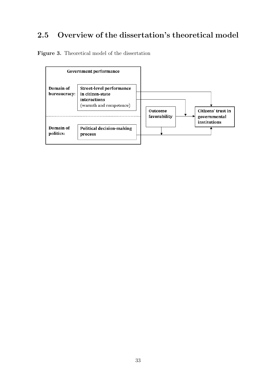## 2.5 Overview of the dissertation's theoretical model

Figure 3. Theoretical model of the dissertation

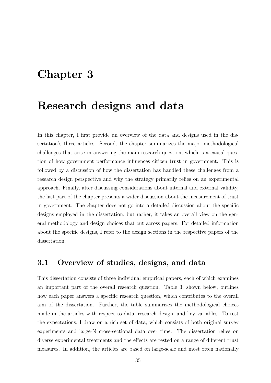# Chapter 3

# Research designs and data

In this chapter, I first provide an overview of the data and designs used in the dissertation's three articles. Second, the chapter summarizes the major methodological challenges that arise in answering the main research question, which is a causal question of how government performance influences citizen trust in government. This is followed by a discussion of how the dissertation has handled these challenges from a research design perspective and why the strategy primarily relies on an experimental approach. Finally, after discussing considerations about internal and external validity, the last part of the chapter presents a wider discussion about the measurement of trust in government. The chapter does not go into a detailed discussion about the specific designs employed in the dissertation, but rather, it takes an overall view on the general methodology and design choices that cut across papers. For detailed information about the specific designs, I refer to the design sections in the respective papers of the dissertation.

### 3.1 Overview of studies, designs, and data

This dissertation consists of three individual empirical papers, each of which examines an important part of the overall research question. Table [3,](#page-40-0) shown below, outlines how each paper answers a specific research question, which contributes to the overall aim of the dissertation. Further, the table summarizes the methodological choices made in the articles with respect to data, research design, and key variables. To test the expectations, I draw on a rich set of data, which consists of both original survey experiments and large-N cross-sectional data over time. The dissertation relies on diverse experimental treatments and the effects are tested on a range of different trust measures. In addition, the articles are based on large-scale and most often nationally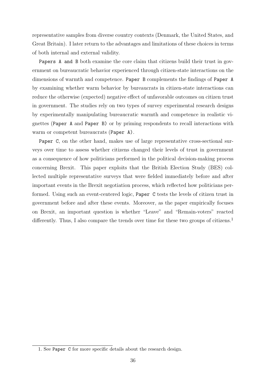representative samples from diverse country contexts (Denmark, the United States, and Great Britain). I later return to the advantages and limitations of these choices in terms of both internal and external validity.

Papers A and B both examine the core claim that citizens build their trust in government on bureaucratic behavior experienced through citizen-state interactions on the dimensions of warmth and competence. Paper B complements the findings of Paper A by examining whether warm behavior by bureaucrats in citizen-state interactions can reduce the otherwise (expected) negative effect of unfavorable outcomes on citizen trust in government. The studies rely on two types of survey experimental research designs by experimentally manipulating bureaucratic warmth and competence in realistic vignettes (Paper A and Paper B) or by priming respondents to recall interactions with warm or competent bureaucrats (Paper A).

Paper C, on the other hand, makes use of large representative cross-sectional surveys over time to assess whether citizens changed their levels of trust in government as a consequence of how politicians performed in the political decision-making process concerning Brexit. This paper exploits that the British Election Study (BES) collected multiple representative surveys that were fielded immediately before and after important events in the Brexit negotiation process, which reflected how politicians performed. Using such an event-centered logic, Paper C tests the levels of citizen trust in government before and after these events. Moreover, as the paper empirically focuses on Brexit, an important question is whether "Leave" and "Remain-voters" reacted differently. Thus, I also compare the trends over time for these two groups of citizens.<sup>[1](#page-39-0)</sup>

<span id="page-39-0"></span><sup>1.</sup> See Paper C for more specific details about the research design.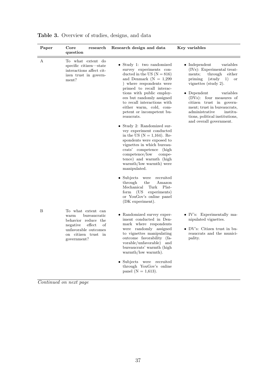| Paper | Core<br>research<br>question                                                                                                                                | Research design and data                                                                                                                                                                                                                                                                                                                                                                                                                                                                                                                                                                                                                                              | Key variables                                                                                                                                                                                                                                                                                                                                                                   |
|-------|-------------------------------------------------------------------------------------------------------------------------------------------------------------|-----------------------------------------------------------------------------------------------------------------------------------------------------------------------------------------------------------------------------------------------------------------------------------------------------------------------------------------------------------------------------------------------------------------------------------------------------------------------------------------------------------------------------------------------------------------------------------------------------------------------------------------------------------------------|---------------------------------------------------------------------------------------------------------------------------------------------------------------------------------------------------------------------------------------------------------------------------------------------------------------------------------------------------------------------------------|
| А     | To what extent do<br>specific citizen-state<br>interactions affect cit-<br>izen trust in govern-<br>ment?                                                   | • Study 1: two randomized<br>survey experiments con-<br>ducted in the US $(N = 816)$<br>and Denmark $(N = 1,299)$<br>) where respondents were<br>primed to recall interac-<br>tions with public employ-<br>ees but randomly assigned<br>to recall interactions with<br>either warm, cold, com-<br>petent or incompetent bu-<br>reaucrats.<br>Study 2: Randomized sur-<br>vey experiment conducted<br>in the US $(N = 1,164)$ . Re-<br>spondents were exposed to<br>vignettes in which bureau-<br>crats' competence (high<br>competence/low<br>compe-<br>tence) and warmth (high<br>warmth/low warmth) were<br>manipulated.<br>$\bullet$ Subjects<br>recruited<br>were | $\bullet\,$ Independent<br>variables<br>(IVs): Experimental treat-<br>through either<br>ments;<br>priming<br>(study<br>1)<br><sub>or</sub><br>vignettes (study 2).<br>variables<br>• Dependent<br>(DVs): four measures of<br>citizen trust in govern-<br>ment; trust in bureaucrats,<br>administrative<br>institu-<br>tions, political institutions,<br>and overall government. |
|       |                                                                                                                                                             | through<br>Amazon<br>the<br>Mechanical<br>Plat-<br>Turk<br>(US)<br>experiments)<br>form<br>or YouGov's online panel<br>(DK experiment).                                                                                                                                                                                                                                                                                                                                                                                                                                                                                                                               |                                                                                                                                                                                                                                                                                                                                                                                 |
| B     | To what extent can<br>warm<br>bureaucratic<br>behavior reduce the<br>effect<br>negative<br>of<br>unfavorable outcomes<br>on citizen trust in<br>government? | • Randomized survey exper-<br>iment conducted in Den-<br>mark where respondents<br>were randomly assigned<br>to vignettes manipulating<br>outcome favorability (fa-<br>vorable/unfavorable) and<br>bureaucrats' warmth (high<br>warmth/low warmth).<br>Subjects<br>were recruited<br>through YouGov's online<br>panel ( $N = 1,613$ ).                                                                                                                                                                                                                                                                                                                                | • IV's: Experimentally ma-<br>nipulated vignettes.<br>• $DV$ 's: Citizen trust in bu-<br>reaucrats and the munici-<br>pality.                                                                                                                                                                                                                                                   |

<span id="page-40-0"></span>Table 3. Overview of studies, designs, and data

Continued on next page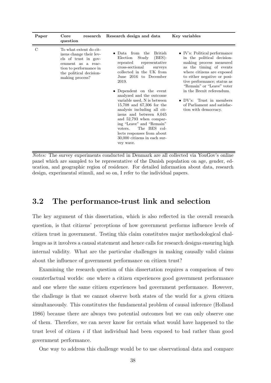| Paper         | Core<br>question                                                                                                                                                        | research Research design and data                                                                                                                                                                                                                                                                                                                                                                                                                                                                                                | Key variables                                                                                                                                                                                                                                                                                                                                                      |
|---------------|-------------------------------------------------------------------------------------------------------------------------------------------------------------------------|----------------------------------------------------------------------------------------------------------------------------------------------------------------------------------------------------------------------------------------------------------------------------------------------------------------------------------------------------------------------------------------------------------------------------------------------------------------------------------------------------------------------------------|--------------------------------------------------------------------------------------------------------------------------------------------------------------------------------------------------------------------------------------------------------------------------------------------------------------------------------------------------------------------|
| $\mathcal{C}$ | To what extent do cit-<br>izens change their lev-<br>els of trust in gov-<br>ernment as a reac-<br>tion to performance in<br>the political decision-<br>making process? | • Data from the<br>British<br>(BES):<br>Study<br>Election<br>representative<br>repeated<br>cross-sectional<br>surveys<br>collected in the UK from<br>June 2016 to December<br>2019.<br>• Dependent on the event<br>analyzed and the outcome<br>variable used, N is between<br>$15,708$ and 67,306 for the<br>analysis including all cit-<br>izens and between 8,045<br>and 52,793 when compar-<br>ing "Leave" and "Remain"<br>The BES col-<br>voters.<br>lects responses from about<br>30,000 citizens in each sur-<br>vey wave. | $\bullet$ IV's: Political performance<br>in the political decision-<br>making process measured<br>as the timing of events<br>where citizens are exposed<br>to either negative or posi-<br>tive performance; status as<br>"Remain" or "Leave" voter<br>in the Brexit referendum.<br>• DV's: Trust in members<br>of Parliament and satisfac-<br>tion with democracy. |

Notes: The survey experiments conducted in Denmark are all collected via YouGov's online panel which are sampled to be representative of the Danish population on age, gender, education, and geographic region of residence. For detailed information about data, research design, experimental stimuli, and so on, I refer to the individual papers.

### 3.2 The performance-trust link and selection

The key argument of this dissertation, which is also reflected in the overall research question, is that citizens' perceptions of how government performs influence levels of citizen trust in government. Testing this claim constitutes major methodological challenges as it involves a causal statement and hence calls for research designs ensuring high internal validity. What are the particular challenges in making causally valid claims about the influence of government performance on citizen trust?

Examining the research question of this dissertation requires a comparison of two counterfactual worlds: one where a citizen experiences good government performance and one where the same citizen experiences bad government performance. However, the challenge is that we cannot observe both states of the world for a given citizen simultaneously. This constitutes the fundamental problem of causal inference (Holland [1986\)](#page-92-0) because there are always two potential outcomes but we can only observe one of them. Therefore, we can never know for certain what would have happened to the trust level of citizen i if that individual had been exposed to bad rather than good government performance.

One way to address this challenge would be to use observational data and compare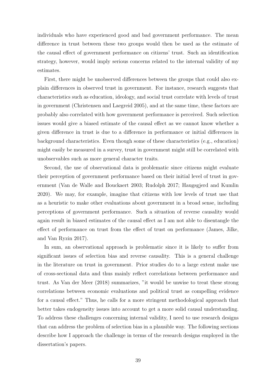individuals who have experienced good and bad government performance. The mean difference in trust between these two groups would then be used as the estimate of the causal effect of government performance on citizens' trust. Such an identification strategy, however, would imply serious concerns related to the internal validity of my estimates.

First, there might be unobserved differences between the groups that could also explain differences in observed trust in government. For instance, research suggests that characteristics such as education, ideology, and social trust correlate with levels of trust in government (Christensen and Laegreid [2005\)](#page-87-0), and at the same time, these factors are probably also correlated with how government performance is perceived. Such selection issues would give a biased estimate of the causal effect as we cannot know whether a given difference in trust is due to a difference in performance or initial differences in background characteristics. Even though some of these characteristics (e.g., education) might easily be measured in a survey, trust in government might still be correlated with unobservables such as more general character traits.

Second, the use of observational data is problematic since citizens might evaluate their perception of government performance based on their initial level of trust in government (Van de Walle and Bouckaert [2003;](#page-100-0) Rudolph [2017;](#page-98-0) Haugsgjerd and Kumlin [2020\)](#page-91-0). We may, for example, imagine that citizens with low levels of trust use that as a heuristic to make other evaluations about government in a broad sense, including perceptions of government performance. Such a situation of reverse causality would again result in biased estimates of the causal effect as I am not able to disentangle the effect of performance on trust from the effect of trust on performance (James, Jilke, and Van Ryzin [2017\)](#page-92-1).

In sum, an observational approach is problematic since it is likely to suffer from significant issues of selection bias and reverse causality. This is a general challenge in the literature on trust in government. Prior studies do to a large extent make use of cross-sectional data and thus mainly reflect correlations between performance and trust. As Van der Meer [\(2018\)](#page-101-0) summarizes, "it would be unwise to treat these strong correlations between economic evaluations and political trust as compelling evidence for a causal effect." Thus, he calls for a more stringent methodological approach that better takes endogeneity issues into account to get a more solid causal understanding. To address these challenges concerning internal validity, I need to use research designs that can address the problem of selection bias in a plausible way. The following sections describe how I approach the challenge in terms of the research designs employed in the dissertation's papers.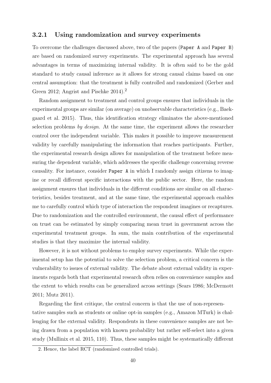#### 3.2.1 Using randomization and survey experiments

To overcome the challenges discussed above, two of the papers (Paper A and Paper B) are based on randomized survey experiments. The experimental approach has several advantages in terms of maximizing internal validity. It is often said to be the gold standard to study causal inference as it allows for strong causal claims based on one central assumption: that the treatment is fully controlled and randomized (Gerber and Green [2012;](#page-90-0) Angrist and Pischke [2014\)](#page-85-0).<sup>[2](#page-43-0)</sup>

Random assignment to treatment and control groups ensures that individuals in the experimental groups are similar (on average) on unobservable characteristics (e.g., Baekgaard et al. [2015\)](#page-85-1). Thus, this identification strategy eliminates the above-mentioned selection problems by design. At the same time, the experiment allows the researcher control over the independent variable. This makes it possible to improve measurement validity by carefully manipulating the information that reaches participants. Further, the experimental research design allows for manipulation of the treatment before measuring the dependent variable, which addresses the specific challenge concerning reverse causality. For instance, consider Paper A in which I randomly assign citizens to imagine or recall different specific interactions with the public sector. Here, the random assignment ensures that individuals in the different conditions are similar on all characteristics, besides treatment, and at the same time, the experimental approach enables me to carefully control which type of interaction the respondent imagines or recaptures. Due to randomization and the controlled environment, the causal effect of performance on trust can be estimated by simply comparing mean trust in government across the experimental treatment groups. In sum, the main contribution of the experimental studies is that they maximize the internal validity.

However, it is not without problems to employ survey experiments. While the experimental setup has the potential to solve the selection problem, a critical concern is the vulnerability to issues of external validity. The debate about external validity in experiments regards both that experimental research often relies on convenience samples and the extent to which results can be generalized across settings (Sears [1986;](#page-98-1) McDermott [2011;](#page-95-0) Mutz [2011\)](#page-96-0).

Regarding the first critique, the central concern is that the use of non-representative samples such as students or online opt-in samples (e.g., Amazon MTurk) is challenging for the external validity. Respondents in these convenience samples are not being drawn from a population with known probability but rather self-select into a given study (Mullinix et al. [2015,](#page-96-1) 110). Thus, these samples might be systematically different

<span id="page-43-0"></span><sup>2.</sup> Hence, the label RCT (randomized controlled trials).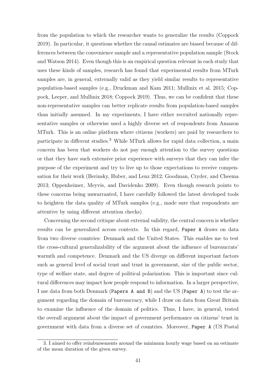from the population to which the researcher wants to generalize the results (Coppock [2019\)](#page-88-0). In particular, it questions whether the causal estimates are biased because of differences between the convenience sample and a representative population sample (Stock and Watson [2014\)](#page-99-0). Even though this is an empirical question relevant in each study that uses these kinds of samples, research has found that experimental results from MTurk samples are, in general, externally valid as they yield similar results to representative population-based samples (e.g., Druckman and Kam [2011;](#page-89-0) Mullinix et al. [2015;](#page-96-1) Coppock, Leeper, and Mullinix [2018;](#page-88-1) Coppock [2019\)](#page-88-0). Thus, we can be confident that these non-representative samples can better replicate results from population-based samples than initially assumed. In my experiments, I have either recruited nationally representative samples or otherwise used a highly diverse set of respondents from Amazon MTurk. This is an online platform where citizens (workers) are paid by researchers to participate in different studies.[3](#page-44-0) While MTurk allows for rapid data collection, a main concern has been that workers do not pay enough attention to the survey questions or that they have such extensive prior experience with surveys that they can infer the purpose of the experiment and try to live up to those expectations to receive compensation for their work (Berinsky, Huber, and Lenz [2012;](#page-85-2) Goodman, Cryder, and Cheema [2013;](#page-90-1) Oppenheimer, Meyvis, and Davidenko [2009\)](#page-96-2). Even though research points to these concerns being unwarranted, I have carefully followed the latest developed tools to heighten the data quality of MTurk samples (e.g., made sure that respondents are attentive by using different attention checks).

Concerning the second critique about external validity, the central concern is whether results can be generalized across contexts. In this regard, Paper A draws on data from two diverse countries: Denmark and the United States. This enables me to test the cross-cultural generalizability of the argument about the influence of bureaucrats' warmth and competence. Denmark and the US diverge on different important factors such as general level of social trust and trust in government, size of the public sector, type of welfare state, and degree of political polarization. This is important since cultural differences may impact how people respond to information. In a larger perspective, I use data from both Denmark (Papers A and B) and the US (Paper A) to test the argument regarding the domain of bureaucracy, while I draw on data from Great Britain to examine the influence of the domain of politics. Thus, I have, in general, tested the overall argument about the impact of government performance on citizens' trust in government with data from a diverse set of countries. Moreover, Paper A (US Postal

<span id="page-44-0"></span><sup>3.</sup> I aimed to offer reimbursements around the minimum hourly wage based on an estimate of the mean duration of the given survey.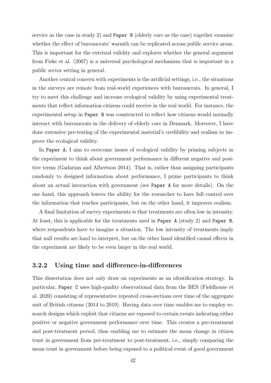service as the case in study 2) and Paper B (elderly care as the case) together examine whether the effect of bureaucrats' warmth can be replicated across public service areas. This is important for the external validity and explores whether the general argument from Fiske et al. (2007) is a universal psychological mechanism that is important in a public sector setting in general.

Another central concern with experiments is the artificial settings, i.e., the situations in the surveys are remote from real-world experiences with bureaucrats. In general, I try to meet this challenge and increase ecological validity by using experimental treatments that reflect information citizens could receive in the real world. For instance, the experimental setup in Paper B was constructed to reflect how citizens would normally interact with bureaucrats in the delivery of elderly care in Denmark. Moreover, I have done extensive pre-testing of the experimental material's credibility and realism to improve the ecological validity.

In Paper A, I aim to overcome issues of ecological validity by priming subjects in the experiment to think about government performance in different negative and positive terms (Gadarian and Albertson [2014\)](#page-90-2). That is, rather than assigning participants randomly to designed information about performance, I prime participants to think about an actual interaction with government (see Paper A for more details). On the one hand, this approach lowers the ability for the researcher to have full control over the information that reaches participants, but on the other hand, it improves realism.

A final limitation of survey experiments is that treatments are often low in intensity. At least, this is applicable for the treatments used in Paper A (study 2) and Paper B, where respondents have to imagine a situation. The low intensity of treatments imply that null results are hard to interpret, but on the other hand identified causal effects in the experiment are likely to be even larger in the real world.

#### 3.2.2 Using time and difference-in-differences

This dissertation does not only draw on experiments as an identification strategy. In particular, Paper C uses high-quality observational data from the BES (Fieldhouse et al. [2020\)](#page-89-1) consisting of representative repeated cross-sections over time of the aggregate unit of British citizens (2014 to 2019). Having data over time enables me to employ research designs which exploit that citizens are exposed to certain events indicating either positive or negative government performance over time. This creates a pre-treatment and post-treatment period, thus enabling me to estimate the mean change in citizen trust in government from pre-treatment to post-treatment, i.e., simply comparing the mean trust in government before being exposed to a political event of good government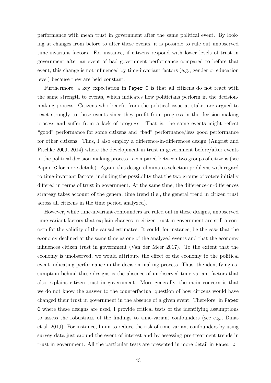performance with mean trust in government after the same political event. By looking at changes from before to after these events, it is possible to rule out unobserved time-invariant factors. For instance, if citizens respond with lower levels of trust in government after an event of bad government performance compared to before that event, this change is not influenced by time-invariant factors (e.g., gender or education level) because they are held constant.

Furthermore, a key expectation in Paper C is that all citizens do not react with the same strength to events, which indicates how politicians perform in the decisionmaking process. Citizens who benefit from the political issue at stake, are argued to react strongly to these events since they profit from progress in the decision-making process and suffer from a lack of progress. That is, the same events might reflect "good" performance for some citizens and "bad" performance/less good performance for other citizens. Thus, I also employ a difference-in-differences design (Angrist and Pischke [2009,](#page-85-3) [2014\)](#page-85-0) where the development in trust in government before/after events in the political decision-making process is compared between two groups of citizens (see Paper C for more details). Again, this design eliminates selection problems with regard to time-invariant factors, including the possibility that the two groups of voters initially differed in terms of trust in government. At the same time, the difference-in-differences strategy takes account of the general time trend (i.e., the general trend in citizen trust across all citizens in the time period analyzed).

However, while time-invariant confounders are ruled out in these designs, unobserved time-variant factors that explain changes in citizen trust in government are still a concern for the validity of the causal estimates. It could, for instance, be the case that the economy declined at the same time as one of the analyzed events and that the economy influences citizen trust in government (Van der Meer [2017\)](#page-100-1). To the extent that the economy is unobserved, we would attribute the effect of the economy to the political event indicating performance in the decision-making process. Thus, the identifying assumption behind these designs is the absence of unobserved time-variant factors that also explains citizen trust in government. More generally, the main concern is that we do not know the answer to the counterfactual question of how citizens would have changed their trust in government in the absence of a given event. Therefore, in Paper C where these designs are used, I provide critical tests of the identifying assumptions to assess the robustness of the findings to time-variant confounders (see e.g., Dinas et al. [2019\)](#page-88-2). For instance, I aim to reduce the risk of time-variant confounders by using survey data just around the event of interest and by assessing pre-treatment trends in trust in government. All the particular tests are presented in more detail in Paper C.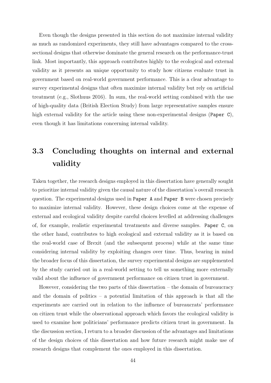Even though the designs presented in this section do not maximize internal validity as much as randomized experiments, they still have advantages compared to the crosssectional designs that otherwise dominate the general research on the performance-trust link. Most importantly, this approach contributes highly to the ecological and external validity as it presents an unique opportunity to study how citizens evaluate trust in government based on real-world government performance. This is a clear advantage to survey experimental designs that often maximize internal validity but rely on artificial treatment (e.g., Slothuus [2016\)](#page-99-1). In sum, the real-world setting combined with the use of high-quality data (British Election Study) from large representative samples ensure high external validity for the article using these non-experimental designs (Paper C), even though it has limitations concerning internal validity.

# 3.3 Concluding thoughts on internal and external validity

Taken together, the research designs employed in this dissertation have generally sought to prioritize internal validity given the causal nature of the dissertation's overall research question. The experimental designs used in Paper A and Paper B were chosen precisely to maximize internal validity. However, these design choices come at the expense of external and ecological validity despite careful choices levelled at addressing challenges of, for example, realistic experimental treatments and diverse samples. Paper C, on the other hand, contributes to high ecological and external validity as it is based on the real-world case of Brexit (and the subsequent process) while at the same time considering internal validity by exploiting changes over time. Thus, bearing in mind the broader focus of this dissertation, the survey experimental designs are supplemented by the study carried out in a real-world setting to tell us something more externally valid about the influence of government performance on citizen trust in government.

However, considering the two parts of this dissertation – the domain of bureaucracy and the domain of politics – a potential limitation of this approach is that all the experiments are carried out in relation to the influence of bureaucrats' performance on citizen trust while the observational approach which favors the ecological validity is used to examine how politicians' performance predicts citizen trust in government. In the discussion section, I return to a broader discussion of the advantages and limitations of the design choices of this dissertation and how future research might make use of research designs that complement the ones employed in this dissertation.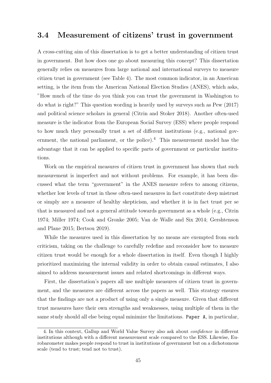#### 3.4 Measurement of citizens' trust in government

A cross-cutting aim of this dissertation is to get a better understanding of citizen trust in government. But how does one go about measuring this concept? This dissertation generally relies on measures from large national and international surveys to measure citizen trust in government (see Table [4\)](#page-50-0). The most common indicator, in an American setting, is the item from the American National Election Studies (ANES), which asks, "How much of the time do you think you can trust the government in Washington to do what is right?" This question wording is heavily used by surveys such as Pew [\(2017\)](#page-97-0) and political science scholars in general (Citrin and Stoker [2018\)](#page-87-1). Another often-used measure is the indicator from the European Social Survey (ESS) where people respond to how much they personally trust a set of different institutions (e.g., national gov-ernment, the national parliament, or the police).<sup>[4](#page-48-0)</sup> This measurement model has the advantage that it can be applied to specific parts of government or particular institutions.

Work on the empirical measures of citizen trust in government has shown that such measurement is imperfect and not without problems. For example, it has been discussed what the term "government" in the ANES measure refers to among citizens, whether low levels of trust in these often-used measures in fact constitute deep mistrust or simply are a measure of healthy skepticism, and whether it is in fact trust per se that is measured and not a general attitude towards government as a whole (e.g., Citrin [1974;](#page-87-2) Miller [1974;](#page-95-1) Cook and Gronke [2005;](#page-87-3) Van de Walle and Six [2014;](#page-100-2) Gershtenson and Plane [2015;](#page-90-3) Bertsou [2019\)](#page-85-4).

While the measures used in this dissertation by no means are exempted from such criticism, taking on the challenge to carefully redefine and reconsider how to measure citizen trust would be enough for a whole dissertation in itself. Even though I highly prioritized maximizing the internal validity in order to obtain causal estimates, I also aimed to address measurement issues and related shortcomings in different ways.

First, the dissertation's papers all use multiple measures of citizen trust in government, and the measures are different across the papers as well. This strategy ensures that the findings are not a product of using only a single measure. Given that different trust measures have their own strengths and weaknesses, using multiple of them in the same study should all else being equal minimize the limitations. Paper A, in particular,

<span id="page-48-0"></span><sup>4.</sup> In this context, Gallup and World Value Survey also ask about confidence in different institutions although with a different measurement scale compared to the ESS. Likewise, Eurobarometer makes people respond to trust in institutions of government but on a dichotomous scale (tend to trust; tend not to trust).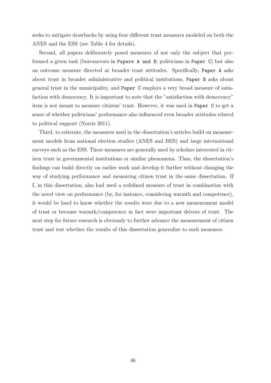seeks to mitigate drawbacks by using four different trust measures modeled on both the ANES and the ESS (see Table [4](#page-50-0) for details).

Second, all papers deliberately posed measures of not only the subject that performed a given task (bureaucrats in Papers A and B; politicians in Paper C) but also an outcome measure directed at broader trust attitudes. Specifically, Paper A asks about trust in broader administrative and political institutions, Paper B asks about general trust in the municipality, and Paper C employs a very broad measure of satisfaction with democracy. It is important to note that the "satisfaction with democracy" item is not meant to measure citizens' trust. However, it was used in Paper C to get a sense of whether politicians' performance also influenced even broader attitudes related to political support (Norris [2011\)](#page-96-3).

Third, to reiterate, the measures used in the dissertation's articles build on measurement models from national election studies (ANES and BES) and large international surveys such as the ESS. These measures are generally used by scholars interested in citizen trust in governmental institutions or similar phenomena. Thus, the dissertation's findings can build directly on earlier work and develop it further without changing the way of studying performance and measuring citizen trust in the same dissertation. If I, in this dissertation, also had used a redefined measure of trust in combination with the novel view on performance (by, for instance, considering warmth and competence), it would be hard to know whether the results were due to a new measurement model of trust or because warmth/competence in fact were important drivers of trust. The next step for future research is obviously to further advance the measurement of citizen trust and test whether the results of this dissertation generalize to such measures.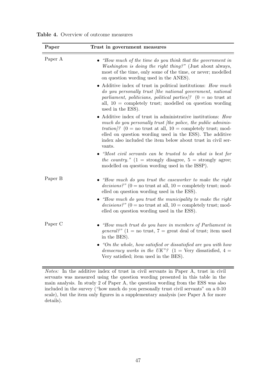| Paper   | Trust in government measures                                                                                                                                                                                                                                                                                                              |
|---------|-------------------------------------------------------------------------------------------------------------------------------------------------------------------------------------------------------------------------------------------------------------------------------------------------------------------------------------------|
| Paper A | "How much of the time do you think that the government in<br><i>Washington is doing the right thing?"</i> (Just about always,<br>most of the time, only some of the time, or never; modelled<br>on question wording used in the ANES).                                                                                                    |
|         | Additive index of trust in political institutions: How much<br>do you personally trust (the national government, national<br>parliament, politicians, political parties ? (0 = no trust at<br>all, $10 =$ completely trust; modelled on question wording<br>used in the ESS).                                                             |
|         | Additive index of trust in administrative institutions: How<br>much do you personally trust (the police, the public adminis-<br><i>tration</i> /? (0 = no trust at all, 10 = completely trust; mod-<br>elled on question wording used in the ESS). The additive<br>index also included the item below about trust in civil ser-<br>vants. |
|         | "Most civil servants can be trusted to do what is best for<br>the country." $(1 =$ strongly disagree, $5 =$ strongly agree;<br>modelled on question wording used in the ISSP).                                                                                                                                                            |
| Paper B | "How much do you trust the caseworker to make the right<br>decisions?" (0 = no trust at all, 10 = completely trust; mod-<br>elled on question wording used in the ESS).                                                                                                                                                                   |
|         | $\bullet$ "How much do you trust the municipality to make the right<br>decisions?" (0 = no trust at all, 10 = completely trust; mod-<br>elled on question wording used in the ESS).                                                                                                                                                       |
| Paper C | $\bullet$ "How much trust do you have in members of Parliament in<br><i>general?"</i> (1 = no trust, 7 = great deal of trust; item used<br>in the BES).                                                                                                                                                                                   |
|         | "On the whole, how satisfied or dissatisfied are you with how<br>democracy works in the UK"? $(1 = \text{Very dissatisfied}, 4 =$<br>Very satisfied; item used in the BES).                                                                                                                                                               |

<span id="page-50-0"></span>Table 4. Overview of outcome measures

Notes: In the additive index of trust in civil servants in Paper A, trust in civil servants was measured using the question wording presented in this table in the main analysis. In study 2 of Paper A, the question wording from the ESS was also included in the survey ("how much do you personally trust civil servants" on a 0-10 scale), but the item only figures in a supplementary analysis (see Paper A for more details).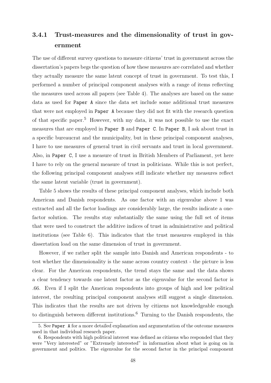## 3.4.1 Trust-measures and the dimensionality of trust in government

The use of different survey questions to measure citizens' trust in government across the dissertation's papers begs the question of how these measures are correlated and whether they actually measure the same latent concept of trust in government. To test this, I performed a number of principal component analyses with a range of items reflecting the measures used across all papers (see [Table 4\)](#page-50-0). The analyses are based on the same data as used for Paper A since the data set include some additional trust measures that were not employed in Paper A because they did not fit with the research question of that specific paper.[5](#page-51-0) However, with my data, it was not possible to use the exact measures that are employed in Paper B and Paper C. In Paper B, I ask about trust in a specific bureaucrat and the municipality, but in these principal component analyses, I have to use measures of general trust in civil servants and trust in local government. Also, in Paper C, I use a measure of trust in British Members of Parliament, yet here I have to rely on the general measure of trust in politicians. While this is not perfect, the following principal component analyses still indicate whether my measures reflect the same latent variable (trust in government).

Table [5](#page-52-0) shows the results of these principal component analyses, which include both American and Danish respondents. As one factor with an eigenvalue above 1 was extracted and all the factor loadings are considerably large, the results indicate a onefactor solution. The results stay substantially the same using the full set of items that were used to construct the additive indices of trust in administrative and political institutions (see Table [6\)](#page-52-1). This indicates that the trust measures employed in this dissertation load on the same dimension of trust in government.

However, if we rather split the sample into Danish and American respondents - to test whether the dimensionality is the same across country context - the picture is less clear. For the American respondents, the trend stays the same and the data shows a clear tendency towards one latent factor as the eigenvalue for the second factor is .66. Even if I split the American respondents into groups of high and low political interest, the resulting principal component analyses still suggest a single dimension. This indicates that the results are not driven by citizens not knowledgeable enough to distinguish between different institutions.<sup>[6](#page-51-1)</sup> Turning to the Danish respondents, the

<span id="page-51-0"></span><sup>5.</sup> See Paper A for a more detailed explanation and argumentation of the outcome measures used in that individual research paper.

<span id="page-51-1"></span><sup>6.</sup> Respondents with high political interest was defined as citizens who responded that they were "Very interested" or "Extremely interested" in information about what is going on in government and politics. The eigenvalue for the second factor in the principal component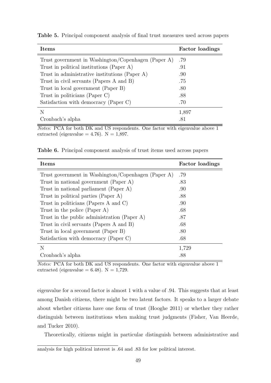| <b>Items</b>                                        | <b>Factor loadings</b> |
|-----------------------------------------------------|------------------------|
| Trust government in Washington/Copenhagen (Paper A) | .79                    |
| Trust in political institutions (Paper A)           | .91                    |
| Trust in administrative institutions (Paper A)      | .90                    |
| Trust in civil servants (Papers A and B)            | .75                    |
| Trust in local government (Paper B)                 | .80                    |
| Trust in politicians (Paper C)                      | .88                    |
| Satisfaction with democracy (Paper C)               | .70                    |
| N                                                   | 1,897                  |
| Cronbach's alpha                                    | .81                    |

<span id="page-52-0"></span>Table 5. Principal component analysis of final trust measures used across papers

Notes: PCA for both DK and US respondents. One factor with eigenvalue above 1 extracted (eigenvalue  $= 4.76$ ). N  $= 1,897$ .

<span id="page-52-1"></span>Table 6. Principal component analysis of trust items used across papers

| <b>Items</b>                                        | <b>Factor</b> loadings |
|-----------------------------------------------------|------------------------|
| Trust government in Washington/Copenhagen (Paper A) | .79                    |
| Trust in national government (Paper A)              | .83                    |
| Trust in national parliament (Paper A)              | .90                    |
| Trust in political parties (Paper A)                | .88                    |
| Trust in politicians (Papers A and C)               | .90                    |
| Trust in the police (Paper A)                       | .68                    |
| Trust in the public administration (Paper A)        | .87                    |
| Trust in civil servants (Papers A and B)            | .68                    |
| Trust in local government (Paper B)                 | .80                    |
| Satisfaction with democracy (Paper C)               | .68                    |
| N                                                   | 1,729                  |
| Cronbach's alpha                                    | .88                    |

Notes: PCA for both DK and US respondents. One factor with eigenvalue above 1 extracted (eigenvalue  $= 6.48$ ). N  $= 1,729$ .

eigenvalue for a second factor is almost 1 with a value of .94. This suggests that at least among Danish citizens, there might be two latent factors. It speaks to a larger debate about whether citizens have one form of trust (Hooghe [2011\)](#page-92-2) or whether they rather distinguish between institutions when making trust judgments (Fisher, Van Heerde, and Tucker [2010\)](#page-89-2).

Theoretically, citizens might in particular distinguish between administrative and

analysis for high political interest is .64 and .83 for low political interest.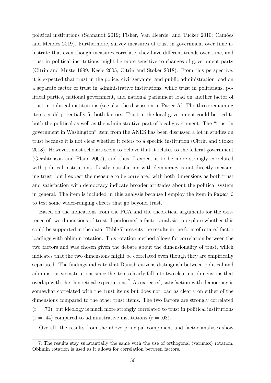political institutions (Schnaudt [2019;](#page-98-2) Fisher, Van Heerde, and Tucker [2010;](#page-89-2) Cam˜oes and Mendes [2019\)](#page-87-4). Furthermore, survey measures of trust in government over time illustrate that even though measures correlate, they have different trends over time, and trust in political institutions might be more sensitive to changes of government party (Citrin and Muste [1999;](#page-87-5) Keele [2005;](#page-93-0) Citrin and Stoker [2018\)](#page-87-1). From this perspective, it is expected that trust in the police, civil servants, and public administration load on a separate factor of trust in administrative institutions, while trust in politicians, political parties, national government, and national parliament load on another factor of trust in political institutions (see also the discussion in Paper A). The three remaining items could potentially fit both factors. Trust in the local government could be tied to both the political as well as the administrative part of local government. The "trust in government in Washington" item from the ANES has been discussed a lot in studies on trust because it is not clear whether it refers to a specific institution (Citrin and Stoker [2018\)](#page-87-1). However, most scholars seem to believe that it relates to the federal government (Gershtenson and Plane [2007\)](#page-90-4), and thus, I expect it to be more strongly correlated with political institutions. Lastly, satisfaction with democracy is not directly measuring trust, but I expect the measure to be correlated with both dimensions as both trust and satisfaction with democracy indicate broader attitudes about the political system in general. The item is included in this analysis because I employ the item in Paper C to test some wider-ranging effects that go beyond trust.

Based on the indications from the PCA and the theoretical arguments for the existence of two dimensions of trust, I performed a factor analysis to explore whether this could be supported in the data. Table [7](#page-54-0) presents the results in the form of rotated factor loadings with oblimin rotation. This rotation method allows for correlation between the two factors and was chosen given the debate about the dimensionality of trust, which indicates that the two dimensions might be correlated even though they are empirically separated. The findings indicate that Danish citizens distinguish between political and administrative institutions since the items clearly fall into two clear-cut dimensions that overlap with the theoretical expectations.<sup>[7](#page-53-0)</sup> As expected, satisfaction with democracy is somewhat correlated with the trust items but does not load as clearly on either of the dimensions compared to the other trust items. The two factors are strongly correlated  $(r = .70)$ , but ideology is much more strongly correlated to trust in political institutions  $(r = .44)$  compared to administrative institutions  $(r = .08)$ .

Overall, the results from the above principal component and factor analyses show

<span id="page-53-0"></span><sup>7.</sup> The results stay substantially the same with the use of orthogonal (varimax) rotation. Oblimin rotation is used as it allows for correlation between factors.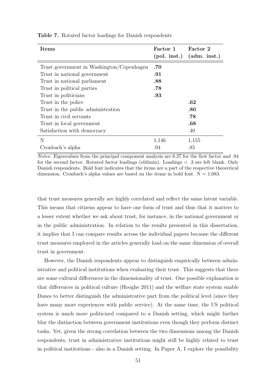| Items                                     | Factor 1       | Factor 2          |
|-------------------------------------------|----------------|-------------------|
|                                           | $(pol.$ inst.) | $(adm. \; inst.)$ |
| Trust government in Washington/Copenhagen | .70            |                   |
| Trust in national government              | .91            |                   |
| Trust in national parliament              | .88            |                   |
| Trust in political parties                | .78            |                   |
| Trust in politicians                      | .93            |                   |
| Trust in the police                       |                | .62               |
| Trust in the public administration        |                | .80               |
| Trust in civil servants                   |                | .78               |
| Trust in local government                 |                | .68               |
| Satisfaction with democracy               |                | .40               |
| N                                         | 1,146          | 1,155             |
| Cronbach's alpha                          | .94            | .85               |

<span id="page-54-0"></span>Table 7. Rotated factor loadings for Danish respondents

Notes: Eigenvalues from the principal component analysis are 6.27 for the first factor and .94 for the second factor. Rotated factor loadings (oblimin). Loadings  $\langle .3 \rangle$  are left blank. Only Danish respondents. Bold font indicates that the items are a part of the respective theoretical dimension. Cronbach's alpha values are based on the items in bold font.  $N = 1,083$ .

that trust measures generally are highly correlated and reflect the same latent variable. This means that citizens appear to have one form of trust and thus that it matters to a lesser extent whether we ask about trust, for instance, in the national government or in the public administration. In relation to the results presented in this dissertation, it implies that I can compare results across the individual papers because the different trust measures employed in the articles generally load on the same dimension of overall trust in government.

However, the Danish respondents appear to distinguish empirically between administrative and political institutions when evaluating their trust. This suggests that there are some cultural differences in the dimensionality of trust. One possible explanation is that differences in political culture (Hooghe [2011\)](#page-92-2) and the welfare state system enable Danes to better distinguish the administrative part from the political level (since they have many more experiences with public service). At the same time, the US political system is much more politicized compared to a Danish setting, which might further blur the distinction between government institutions even though they perform distinct tasks. Yet, given the strong correlation between the two dimensions among the Danish respondents, trust in administrative institutions might still be highly related to trust in political institutions - also in a Danish setting. In Paper A, I explore the possibility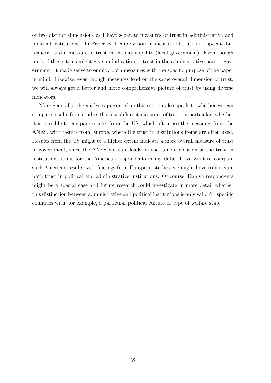of two distinct dimensions as I have separate measures of trust in administrative and political institutions. In Paper B, I employ both a measure of trust in a specific bureaucrat and a measure of trust in the municipality (local government). Even though both of these items might give an indication of trust in the administrative part of government, it made sense to employ both measures with the specific purpose of the paper in mind. Likewise, even though measures load on the same overall dimension of trust, we will always get a better and more comprehensive picture of trust by using diverse indicators.

More generally, the analyses presented in this section also speak to whether we can compare results from studies that use different measures of trust; in particular, whether it is possible to compare results from the US, which often use the measures from the ANES, with results from Europe, where the trust in institutions items are often used. Results from the US might to a higher extent indicate a more overall measure of trust in government, since the ANES measure loads on the same dimension as the trust in institutions items for the American respondents in my data. If we want to compare such American results with findings from European studies, we might have to measure both trust in political and administrative institutions. Of course, Danish respondents might be a special case and future research could investigate in more detail whether this distinction between administrative and political institutions is only valid for specific countries with, for example, a particular political culture or type of welfare state.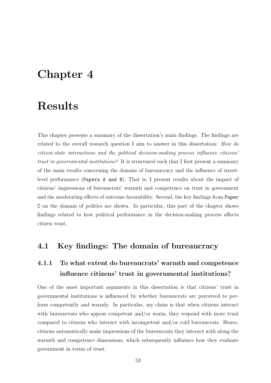# Chapter 4

# Results

This chapter presents a summary of the dissertation's main findings. The findings are related to the overall research question I aim to answer in this dissertation: How do citizen-state interactions and the political decision-making process influence citizens' trust in governmental institutions? It is structured such that I first present a summary of the main results concerning the domain of bureaucracy and the influence of streetlevel performance (Papers A and B). That is, I present results about the impact of citizens' impressions of bureaucrats' warmth and competence on trust in government and the moderating effects of outcome favorability. Second, the key findings from Paper C on the domain of politics are shown. In particular, this part of the chapter shows findings related to how political performance in the decision-making process affects citizen trust.

### 4.1 Key findings: The domain of bureaucracy

## 4.1.1 To what extent do bureaucrats' warmth and competence influence citizens' trust in governmental institutions?

One of the most important arguments in this dissertation is that citizens' trust in governmental institutions is influenced by whether bureaucrats are perceived to perform competently and warmly. In particular, my claim is that when citizens interact with bureaucrats who appear competent and/or warm, they respond with more trust compared to citizens who interact with incompetent and/or cold bureaucrats. Hence, citizens automatically make impressions of the bureaucrats they interact with along the warmth and competence dimensions, which subsequently influence how they evaluate government in terms of trust.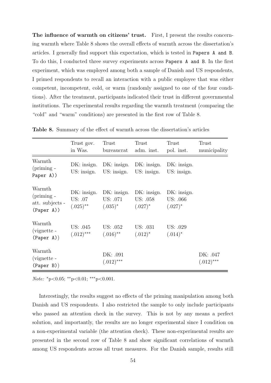The influence of warmth on citizens' trust. First, I present the results concerning warmth where Table [8](#page-57-0) shows the overall effects of warmth across the dissertation's articles. I generally find support this expectation, which is tested in Papers A and B. To do this, I conducted three survey experiments across Papers A and B. In the first experiment, which was employed among both a sample of Danish and US respondents, I primed respondents to recall an interaction with a public employee that was either competent, incompetent, cold, or warm (randomly assigned to one of the four conditions). After the treatment, participants indicated their trust in different governmental institutions. The experimental results regarding the warmth treatment (comparing the "cold" and "warm" conditions) are presented in the first row of Table [8.](#page-57-0)

|                                                         | Trust gov.<br>in Was.                 | Trust<br>bureaucrat                   | Trust<br>adm. inst.                   | Trust<br>pol. inst.                   | Trust<br>municipality    |
|---------------------------------------------------------|---------------------------------------|---------------------------------------|---------------------------------------|---------------------------------------|--------------------------|
| Warmth<br>$(priming -$<br>Paper A))                     | DK: insign.<br>US: insign.            | DK: insign.<br>US: insign.            | $DK:$ insign.<br>US: insign.          | $DK:$ insign.<br>US: insign.          |                          |
| Warmth<br>$(priming -$<br>att. subjects -<br>(Paper A)) | DK: insign.<br>US: .07<br>$(.025)$ ** | DK: insign.<br>US: .071<br>$(.035)^*$ | DK: insign.<br>US: .058<br>$(.027)^*$ | DK: insign.<br>US: .066<br>$(.027)^*$ |                          |
| Warmth<br>(vignette -<br>(Paper A)                      | US: .045<br>$(.012)$ ***              | US: .052<br>$(.016)$ **               | US: .031<br>$(.012)^*$                | US: .029<br>$(.014)^*$                |                          |
| Warmth<br>(vignette -<br>(Paper B)                      |                                       | DK: .091<br>$(.012)$ ***              |                                       |                                       | DK: .047<br>$(.012)$ *** |

<span id="page-57-0"></span>Table 8. Summary of the effect of warmth across the dissertation's articles

Note: <sup>∗</sup>p<0.05; ∗∗p<0.01; ∗∗∗p<0.001.

Interestingly, the results suggest no effects of the priming manipulation among both Danish and US respondents. I also restricted the sample to only include participants who passed an attention check in the survey. This is not by any means a perfect solution, and importantly, the results are no longer experimental since I condition on a non-experimental variable (the attention check). These non-experimental results are presented in the second row of Table [8](#page-57-0) and show significant correlations of warmth among US respondents across all trust measures. For the Danish sample, results still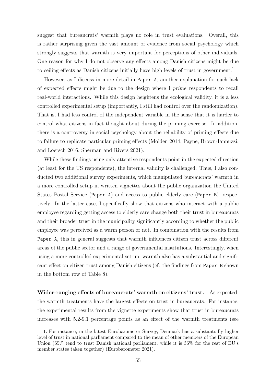suggest that bureaucrats' warmth plays no role in trust evaluations. Overall, this is rather surprising given the vast amount of evidence from social psychology which strongly suggests that warmth is very important for perceptions of other individuals. One reason for why I do not observe any effects among Danish citizens might be due to ceiling effects as Danish citizens initially have high levels of trust in government.<sup>[1](#page-58-0)</sup>

However, as I discuss in more detail in Paper A, another explanation for such lack of expected effects might be due to the design where I prime respondents to recall real-world interactions. While this design heightens the ecological validity, it is a less controlled experimental setup (importantly, I still had control over the randomization). That is, I had less control of the independent variable in the sense that it is harder to control what citizens in fact thought about during the priming exercise. In addition, there is a controversy in social psychology about the reliability of priming effects due to failure to replicate particular priming effects (Molden [2014;](#page-95-2) Payne, Brown-Iannuzzi, and Loersch [2016;](#page-97-1) Sherman and Rivers [2021\)](#page-99-2).

While these findings using only attentive respondents point in the expected direction (at least for the US respondents), the internal validity is challenged. Thus, I also conducted two additional survey experiments, which manipulated bureaucrats' warmth in a more controlled setup in written vignettes about the public organization the United States Postal Service (Paper A) and access to public elderly care (Paper B), respectively. In the latter case, I specifically show that citizens who interact with a public employee regarding getting access to elderly care change both their trust in bureaucrats and their broader trust in the municipality significantly according to whether the public employee was perceived as a warm person or not. In combination with the results from Paper A, this in general suggests that warmth influences citizen trust across different areas of the public sector and a range of governmental institutions. Interestingly, when using a more controlled experimental set-up, warmth also has a substantial and significant effect on citizen trust among Danish citizens (cf. the findings from Paper B shown in the bottom row of Table [8\)](#page-57-0).

Wider-ranging effects of bureaucrats' warmth on citizens' trust. As expected, the warmth treatments have the largest effects on trust in bureaucrats. For instance, the experimental results from the vignette experiments show that trust in bureaucrats increases with 5.2-9.1 percentage points as an effect of the warmth treatments (see

<span id="page-58-0"></span><sup>1.</sup> For instance, in the latest Eurobarometer Survey, Denmark has a substantially higher level of trust in national parliament compared to the mean of other members of the European Union (65% tend to trust Danish national parliament, while it is 36% for the rest of EU's member states taken together) (Eurobarometer [2021\)](#page-89-3).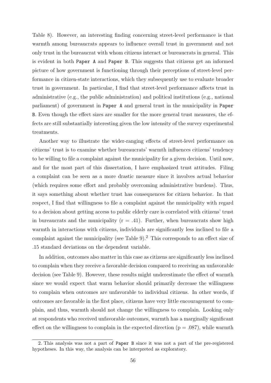Table [8\)](#page-57-0). However, an interesting finding concerning street-level performance is that warmth among bureaucrats appears to influence overall trust in government and not only trust in the bureaucrat with whom citizens interact or bureaucrats in general. This is evident in both Paper A and Paper B. This suggests that citizens get an informed picture of how government is functioning through their perceptions of street-level performance in citizen-state interactions, which they subsequently use to evaluate broader trust in government. In particular, I find that street-level performance affects trust in administrative (e.g., the public administration) and political institutions (e.g., national parliament) of government in Paper A and general trust in the municipality in Paper B. Even though the effect sizes are smaller for the more general trust measures, the effects are still substantially interesting given the low intensity of the survey experimental treatments.

Another way to illustrate the wider-ranging effects of street-level performance on citizens' trust is to examine whether bureaucrats' warmth influences citizens' tendency to be willing to file a complaint against the municipality for a given decision. Until now, and for the most part of this dissertation, I have emphasized trust attitudes. Filing a complaint can be seen as a more drastic measure since it involves actual behavior (which requires some effort and probably overcoming administrative burdens). Thus, it says something about whether trust has consequences for citizen behavior. In that respect, I find that willingness to file a complaint against the municipality with regard to a decision about getting access to public elderly care is correlated with citizens' trust in bureaucrats and the municipality  $(r = .41)$ . Further, when bureaucrats show high warmth in interactions with citizens, individuals are significantly less inclined to file a complaint against the municipality (see Table [9\)](#page-60-0).<sup>[2](#page-59-0)</sup> This corresponds to an effect size of .15 standard deviations on the dependent variable.

In addition, outcomes also matter in this case as citizens are significantly less inclined to complain when they receive a favorable decision compared to receiving an unfavorable decision (see Table [9\)](#page-60-0). However, these results might underestimate the effect of warmth since we would expect that warm behavior should primarily decrease the willingness to complain when outcomes are unfavorable to individual citizens. In other words, if outcomes are favorable in the first place, citizens have very little encouragement to complain, and thus, warmth should not change the willingness to complain. Looking only at respondents who received unfavorable outcomes, warmth has a marginally significant effect on the willingness to complain in the expected direction ( $p = .087$ ), while warmth

<span id="page-59-0"></span><sup>2.</sup> This analysis was not a part of Paper B since it was not a part of the pre-registered hypotheses. In this way, the analysis can be interpreted as exploratory.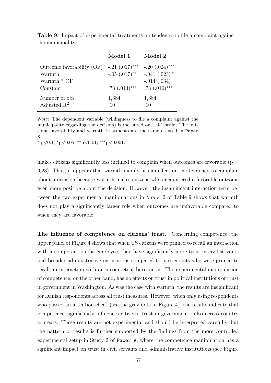|                                                        | Model 1                       | Model 2          |
|--------------------------------------------------------|-------------------------------|------------------|
| Outcome favorability (OF) -.21 $(.017)$ <sup>***</sup> |                               | $-.20(.024)$ *** |
| Warmth                                                 | $-.05$ $(.017)$ <sup>**</sup> | $-.041(.023)^+$  |
| Warmth $*$ OF                                          |                               | $-.014(.034)$    |
| Constant                                               | $.73$ $(.014)$ ***            | .73 $(.016)***$  |
| Number of obs.                                         | 1,384                         | 1,384            |
| Adjusted $\mathbb{R}^2$                                | .10                           | .10              |

<span id="page-60-0"></span>Table 9. Impact of experimental treatments on tendency to file a complaint against the municipality

Note: The dependent variable (willingness to file a complaint against the municipality regarding the decision) is measured on a 0-1 scale. The outcome favorability and warmth treatments are the same as used in Paper B.

 $+$ p<0.1;  $*$ p<0.05;  $*$  $*$ p<0.01;  $*$  $*$  $*$ p<0.001.

makes citizens significantly less inclined to complain when outcomes are favorable ( $p =$ .023). Thus, it appears that warmth mainly has an effect on the tendency to complain about a decision because warmth makes citizens who encountered a favorable outcome even more positive about the decision. However, the insignificant interaction term between the two experimental manipulations in Model 2 of Table [9](#page-60-0) shows that warmth does not play a significantly larger role when outcomes are unfavorable compared to when they are favorable.

The influence of competence on citizens' trust. Concerning competence, the upper panel of Figure [4](#page-61-0) shows that when US citizens were primed to recall an interaction with a competent public employee, they have significantly more trust in civil servants and broader administrative institutions compared to participants who were primed to recall an interaction with an incompetent bureaucrat. The experimental manipulation of competence, on the other hand, has no effects on trust in political institutions or trust in government in Washington. As was the case with warmth, the results are insignificant for Danish respondents across all trust measures. However, when only using respondents who passed an attention check (see the gray dots in Figure [4\)](#page-61-0), the results indicate that competence significantly influences citizens' trust in government - also across country contexts. These results are not experimental and should be interpreted carefully, but the pattern of results is further supported by the findings from the more controlled experimental setup in Study 2 of Paper A, where the competence manipulation has a significant impact on trust in civil servants and administrative institutions (see Figure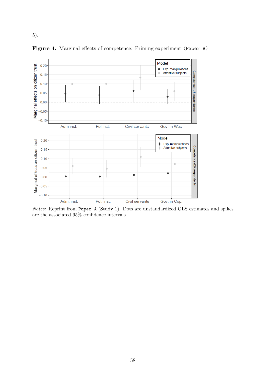

<span id="page-61-0"></span>Figure 4. Marginal effects of competence: Priming experiment (Paper A)

[5\)](#page-62-0).

Notes: Reprint from Paper A (Study 1). Dots are unstandardized OLS estimates and spikes are the associated 95% confidence intervals.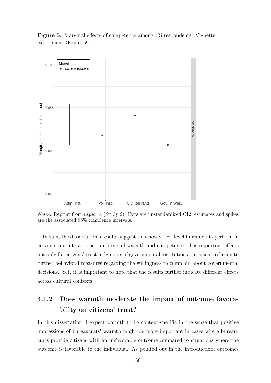<span id="page-62-0"></span>Figure 5. Marginal effects of competence among US respondents: Vignette experiment (Paper A)



Notes: Reprint from Paper A (Study 2). Dots are unstandardized OLS estimates and spikes are the associated 95% confidence intervals.

In sum, the dissertation's results suggest that how street-level bureaucrats perform in citizen-state interactions - in terms of warmth and competence - has important effects not only for citizens' trust judgments of governmental institutions but also in relation to further behavioral measures regarding the willingness to complain about governmental decisions. Yet, it is important to note that the results further indicate different effects across cultural contexts.

## 4.1.2 Does warmth moderate the impact of outcome favorability on citizens' trust?

In this dissertation, I expect warmth to be context-specific in the sense that positive impressions of bureaucrats' warmth might be more important in cases where bureaucrats provide citizens with an unfavorable outcome compared to situations where the outcome is favorable to the individual. As pointed out in the introduction, outcomes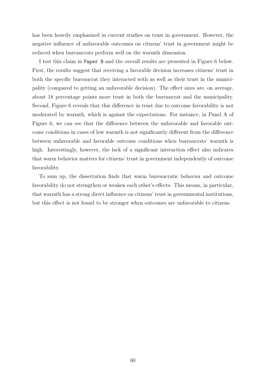has been heavily emphasized in current studies on trust in government. However, the negative influence of unfavorable outcomes on citizens' trust in government might be reduced when bureaucrats perform well on the warmth dimension.

I test this claim in Paper B and the overall results are presented in Figure [6](#page-64-0) below. First, the results suggest that receiving a favorable decision increases citizens' trust in both the specific bureaucrat they interacted with as well as their trust in the municipality (compared to getting an unfavorable decision). The effect sizes are, on average, about 18 percentage points more trust in both the bureaucrat and the municipality. Second, Figure [6](#page-64-0) reveals that this difference in trust due to outcome favorability is not moderated by warmth, which is against the expectations. For instance, in Panel A of Figure [6,](#page-64-0) we can see that the difference between the unfavorable and favorable outcome conditions in cases of low warmth is not significantly different from the difference between unfavorable and favorable outcome conditions when bureaucrats' warmth is high. Interestingly, however, the lack of a significant interaction effect also indicates that warm behavior matters for citizens' trust in government independently of outcome favorability.

To sum up, the dissertation finds that warm bureaucratic behavior and outcome favorability do not strengthen or weaken each other's effects. This means, in particular, that warmth has a strong direct influence on citizens' trust in governmental institutions, but this effect is not found to be stronger when outcomes are unfavorable to citizens.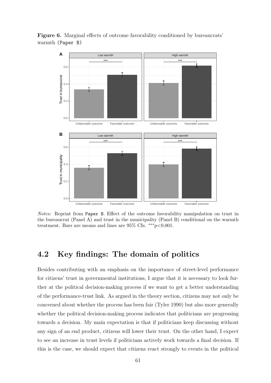

<span id="page-64-0"></span>Figure 6. Marginal effects of outcome favorability conditioned by bureaucrats' warmth (Paper B)

Notes: Reprint from Paper B. Effect of the outcome favorability manipulation on trust in the bureaucrat (Panel A) and trust in the municipality (Panel B) conditional on the warmth treatment. Bars are means and lines are  $95\%$  CIs. \*\*\* p<0.001.

### 4.2 Key findings: The domain of politics

Besides contributing with an emphasis on the importance of street-level performance for citizens' trust in governmental institutions, I argue that it is necessary to look further at the political decision-making process if we want to get a better understanding of the performance-trust link. As argued in the theory section, citizens may not only be concerned about whether the process has been fair (Tyler [1990\)](#page-100-3) but also more generally whether the political decision-making process indicates that politicians are progressing towards a decision. My main expectation is that if politicians keep discussing without any sign of an end product, citizens will lower their trust. On the other hand, I expect to see an increase in trust levels if politicians actively work towards a final decision. If this is the case, we should expect that citizens react strongly to events in the political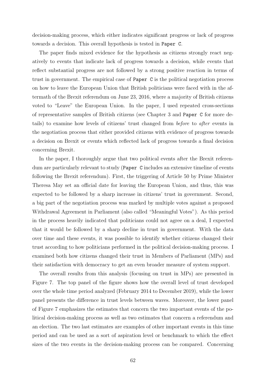decision-making process, which either indicates significant progress or lack of progress towards a decision. This overall hypothesis is tested in Paper C.

The paper finds mixed evidence for the hypothesis as citizens strongly react negatively to events that indicate lack of progress towards a decision, while events that reflect substantial progress are not followed by a strong positive reaction in terms of trust in government. The empirical case of Paper C is the political negotiation process on how to leave the European Union that British politicians were faced with in the aftermath of the Brexit referendum on June 23, 2016, where a majority of British citizens voted to "Leave" the European Union. In the paper, I used repeated cross-sections of representative samples of British citizens (see Chapter 3 and Paper C for more details) to examine how levels of citizens' trust changed from before to after events in the negotiation process that either provided citizens with evidence of progress towards a decision on Brexit or events which reflected lack of progress towards a final decision concerning Brexit.

In the paper, I thoroughly argue that two political events after the Brexit referendum are particularly relevant to study (Paper C includes an extensive timeline of events following the Brexit referendum). First, the triggering of Article 50 by Prime Minister Theresa May set an official date for leaving the European Union, and thus, this was expected to be followed by a sharp increase in citizens' trust in government. Second, a big part of the negotiation process was marked by multiple votes against a proposed Withdrawal Agreement in Parliament (also called "Meaningful Votes"). As this period in the process heavily indicated that politicians could not agree on a deal, I expected that it would be followed by a sharp decline in trust in government. With the data over time and these events, it was possible to identify whether citizens changed their trust according to how politicians performed in the political decision-making process. I examined both how citizens changed their trust in Members of Parliament (MPs) and their satisfaction with democracy to get an even broader measure of system support.

The overall results from this analysis (focusing on trust in MPs) are presented in Figure [7.](#page-67-0) The top panel of the figure shows how the overall level of trust developed over the whole time period analyzed (February 2014 to December 2019), while the lower panel presents the difference in trust levels between waves. Moreover, the lower panel of Figure [7](#page-67-0) emphasizes the estimates that concern the two important events of the political decision-making process as well as two estimates that concern a referendum and an election. The two last estimates are examples of other important events in this time period and can be used as a sort of aspiration level or benchmark to which the effect sizes of the two events in the decision-making process can be compared. Concerning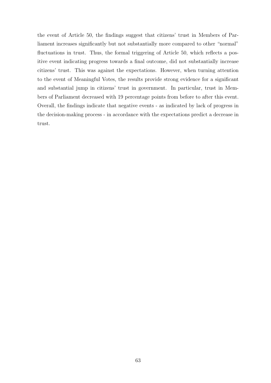the event of Article 50, the findings suggest that citizens' trust in Members of Parliament increases significantly but not substantially more compared to other "normal" fluctuations in trust. Thus, the formal triggering of Article 50, which reflects a positive event indicating progress towards a final outcome, did not substantially increase citizens' trust. This was against the expectations. However, when turning attention to the event of Meaningful Votes, the results provide strong evidence for a significant and substantial jump in citizens' trust in government. In particular, trust in Members of Parliament decreased with 19 percentage points from before to after this event. Overall, the findings indicate that negative events - as indicated by lack of progress in the decision-making process - in accordance with the expectations predict a decrease in trust.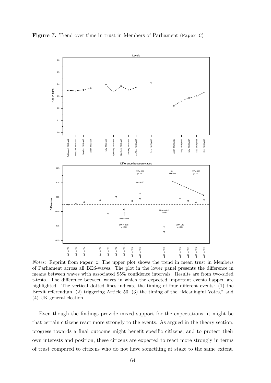<span id="page-67-0"></span>

Notes: Reprint from Paper C. The upper plot shows the trend in mean trust in Members of Parliament across all BES-waves. The plot in the lower panel presents the difference in means between waves with associated 95% confidence intervals. Results are from two-sided t-tests. The difference between waves in which the expected important events happen are highlighted. The vertical dotted lines indicate the timing of four different events: (1) the Brexit referendum, (2) triggering Article 50, (3) the timing of the "Meaningful Votes," and (4) UK general election.

Even though the findings provide mixed support for the expectations, it might be that certain citizens react more strongly to the events. As argued in the theory section, progress towards a final outcome might benefit specific citizens, and to protect their own interests and position, these citizens are expected to react more strongly in terms of trust compared to citizens who do not have something at stake to the same extent.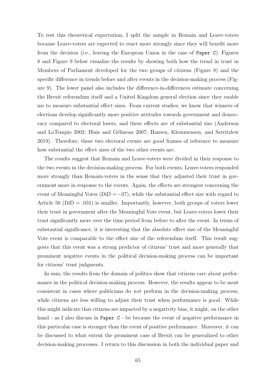To test this theoretical expectation, I split the sample in Remain and Leave-voters because Leave-voters are expected to react more strongly since they will benefit more from the decision (i.e., leaving the European Union in the case of Paper C). Figures [8](#page-69-0) and [Figure 9](#page-70-0) below visualize the results by showing both how the trend in trust in Members of Parliament developed for the two groups of citizens (Figure [8\)](#page-69-0) and the specific difference in trends before and after events in the decision-making process [\(Fig](#page-70-0)[ure 9\)](#page-70-0). The lower panel also includes the difference-in-differences estimate concerning the Brexit referendum itself and a United Kingdom general election since they enable me to measure substantial effect sizes. From current studies, we know that winners of elections develop significantly more positive attitudes towards government and democracy compared to electoral losers, and these effects are of substantial size (Anderson and LoTempio [2002;](#page-85-5) Blais and Gélineau [2007;](#page-86-0) Hansen, Klemmensen, and Serritzlew [2019\)](#page-91-1). Therefore, these two electoral events are good frames of reference to measure how substantial the effect sizes of the two other events are.

The results suggest that Remain and Leave-voters were divided in their response to the two events in the decision-making process. For both events, Leave-voters responded more strongly than Remain-voters in the sense that they adjusted their trust in government more in response to the events. Again, the effects are strongest concerning the event of Meaningful Votes ( $DiD = -.07$ ), while the substantial effect size with regard to Article 50 ( $D$ i $D = .031$ ) is smaller. Importantly, however, both groups of voters lower their trust in government after the Meaningful Vote event, but Leave-voters lower their trust significantly more over the time period from before to after the event. In terms of substantial significance, it is interesting that the absolute effect size of the Meaningful Vote event is comparable to the effect size of the referendum itself. This result suggests that this event was a strong predictor of citizens' trust and more generally that prominent negative events in the political decision-making process can be important for citizens' trust judgments.

In sum, the results from the domain of politics show that citizens care about performance in the political decision-making process. However, the results appear to be most consistent in cases where politicians do not perform in the decision-making process, while citizens are less willing to adjust their trust when performance is good. While this might indicate that citizens are impacted by a negativity bias, it might, on the other hand - as I also discuss in Paper C - be because the event of negative performance in this particular case is stronger than the event of positive performance. Moreover, it can be discussed to what extent the prominent case of Brexit can be generalized to other decision-making processes. I return to this discussion in both the individual paper and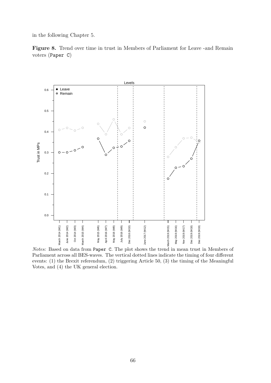<span id="page-69-0"></span>in the following Chapter 5.





Notes: Based on data from Paper C. The plot shows the trend in mean trust in Members of Parliament across all BES-waves. The vertical dotted lines indicate the timing of four different events: (1) the Brexit referendum, (2) triggering Article 50, (3) the timing of the Meaningful Votes, and (4) the UK general election.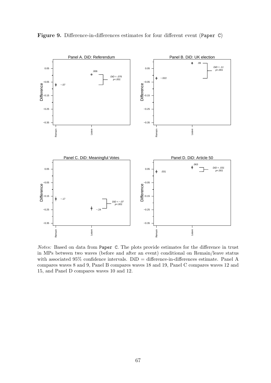

<span id="page-70-0"></span>Figure 9. Difference-in-differences estimates for four different event (Paper C)

Notes: Based on data from Paper C. The plots provide estimates for the difference in trust in MPs between two waves (before and after an event) conditional on Remain/leave status with associated  $95\%$  confidence intervals.  $DiD =$  difference-in-differences estimate. Panel A compares waves 8 and 9, Panel B compares waves 18 and 19, Panel C compares waves 12 and 15, and Panel D compares waves 10 and 12.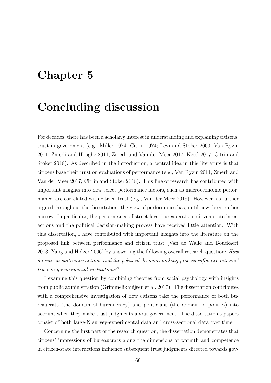## Chapter 5

### Concluding discussion

For decades, there has been a scholarly interest in understanding and explaining citizens' trust in government (e.g., Miller [1974;](#page-95-0) Citrin [1974;](#page-87-0) Levi and Stoker [2000;](#page-94-0) Van Ryzin [2011;](#page-101-0) Zmerli and Hooghe [2011;](#page-102-0) Zmerli and Van der Meer [2017;](#page-102-1) Kettl [2017;](#page-93-0) Citrin and Stoker [2018\)](#page-87-1). As described in the introduction, a central idea in this literature is that citizens base their trust on evaluations of performance (e.g., Van Ryzin [2011;](#page-101-0) Zmerli and Van der Meer [2017;](#page-102-1) Citrin and Stoker [2018\)](#page-87-1). This line of research has contributed with important insights into how select performance factors, such as macroeconomic performance, are correlated with citizen trust (e.g., Van der Meer [2018\)](#page-101-1). However, as further argued throughout the dissertation, the view of performance has, until now, been rather narrow. In particular, the performance of street-level bureaucrats in citizen-state interactions and the political decision-making process have received little attention. With this dissertation, I have contributed with important insights into the literature on the proposed link between performance and citizen trust (Van de Walle and Bouckaert [2003;](#page-100-0) Yang and Holzer [2006\)](#page-102-2) by answering the following overall research question: How do citizen-state interactions and the political decision-making process influence citizens' trust in governmental institutions?

I examine this question by combining theories from social psychology with insights from public administration (Grimmelikhuijsen et al. [2017\)](#page-90-0). The dissertation contributes with a comprehensive investigation of how citizens take the performance of both bureaucrats (the domain of bureaucracy) and politicians (the domain of politics) into account when they make trust judgments about government. The dissertation's papers consist of both large-N survey-experimental data and cross-sectional data over time.

Concerning the first part of the research question, the dissertation demonstrates that citizens' impressions of bureaucrats along the dimensions of warmth and competence in citizen-state interactions influence subsequent trust judgments directed towards gov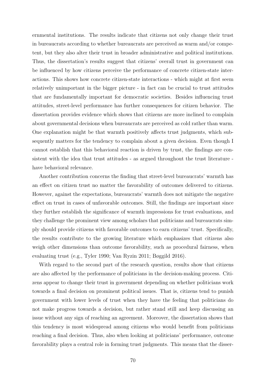ernmental institutions. The results indicate that citizens not only change their trust in bureaucrats according to whether bureaucrats are perceived as warm and/or competent, but they also alter their trust in broader administrative and political institutions. Thus, the dissertation's results suggest that citizens' overall trust in government can be influenced by how citizens perceive the performance of concrete citizen-state interactions. This shows how concrete citizen-state interactions - which might at first seem relatively unimportant in the bigger picture - in fact can be crucial to trust attitudes that are fundamentally important for democratic societies. Besides influencing trust attitudes, street-level performance has further consequences for citizen behavior. The dissertation provides evidence which shows that citizens are more inclined to complain about governmental decisions when bureaucrats are perceived as cold rather than warm. One explanation might be that warmth positively affects trust judgments, which subsequently matters for the tendency to complain about a given decision. Even though I cannot establish that this behavioral reaction is driven by trust, the findings are consistent with the idea that trust attitudes - as argued throughout the trust literature have behavioral relevance.

Another contribution concerns the finding that street-level bureaucrats' warmth has an effect on citizen trust no matter the favorability of outcomes delivered to citizens. However, against the expectations, bureaucrats' warmth does not mitigate the negative effect on trust in cases of unfavorable outcomes. Still, the findings are important since they further establish the significance of warmth impressions for trust evaluations, and they challenge the prominent view among scholars that politicians and bureaucrats simply should provide citizens with favorable outcomes to earn citizens' trust. Specifically, the results contribute to the growing literature which emphasizes that citizens also weigh other dimensions than outcome favorability, such as procedural fairness, when evaluating trust (e.g., Tyler [1990;](#page-100-1) Van Ryzin [2011;](#page-101-0) Bøggild [2016\)](#page-86-0).

With regard to the second part of the research question, results show that citizens are also affected by the performance of politicians in the decision-making process. Citizens appear to change their trust in government depending on whether politicians work towards a final decision on prominent political issues. That is, citizens tend to punish government with lower levels of trust when they have the feeling that politicians do not make progress towards a decision, but rather stand still and keep discussing an issue without any sign of reaching an agreement. Moreover, the dissertation shows that this tendency is most widespread among citizens who would benefit from politicians reaching a final decision. Thus, also when looking at politicians' performance, outcome favorability plays a central role in forming trust judgments. This means that the disser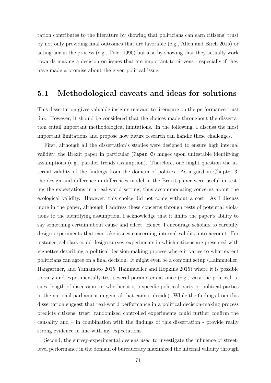tation contributes to the literature by showing that politicians can earn citizens' trust by not only providing final outcomes that are favorable (e.g., Allen and Birch [2015\)](#page-84-0) or acting fair in the process (e.g., Tyler [1990\)](#page-100-1) but also by showing that they actually work towards making a decision on issues that are important to citizens - especially if they have made a promise about the given political issue.

### 5.1 Methodological caveats and ideas for solutions

This dissertation gives valuable insights relevant to literature on the performance-trust link. However, it should be considered that the choices made throughout the dissertation entail important methodological limitations. In the following, I discuss the most important limitations and propose how future research can handle these challenges.

First, although all the dissertation's studies were designed to ensure high internal validity, the Brexit paper in particular (Paper C) hinges upon untestable identifying assumptions (e.g., parallel trends assumption). Therefore, one might question the internal validity of the findings from the domain of politics. As argued in Chapter 3, the design and difference-in-differences model in the Brexit paper were useful in testing the expectations in a real-world setting, thus accommodating concerns about the ecological validity. However, this choice did not come without a cost. As I discuss more in the paper, although I address these concerns through tests of potential violations to the identifying assumption, I acknowledge that it limits the paper's ability to say something certain about cause and effect. Hence, I encourage scholars to carefully design experiments that can take issues concerning internal validity into account. For instance, scholars could design survey-experiments in which citizens are presented with vignettes describing a political decision-making process where it varies to what extent politicians can agree on a final decision. It might even be a conjoint setup (Hainmueller, Hangartner, and Yamamoto [2015;](#page-91-0) Hainmueller and Hopkins [2015\)](#page-91-1) where it is possible to vary and experimentally test several parameters at once (e.g., vary the political issues, length of discussion, or whether it is a specific political party or political parties in the national parliament in general that cannot decide). While the findings from this dissertation suggest that real-world performance in a political decision-making process predicts citizens' trust, randomized controlled experiments could further confirm the causality and – in combination with the findings of this dissertation - provide really strong evidence in line with my expectations.

Second, the survey-experimental designs used to investigate the influence of streetlevel performance in the domain of bureaucracy maximized the internal validity through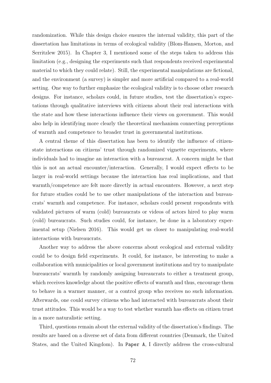randomization. While this design choice ensures the internal validity, this part of the dissertation has limitations in terms of ecological validity (Blom-Hansen, Morton, and Serritzlew [2015\)](#page-86-1). In Chapter 3, I mentioned some of the steps taken to address this limitation (e.g., designing the experiments such that respondents received experimental material to which they could relate). Still, the experimental manipulations are fictional, and the environment (a survey) is simpler and more artificial compared to a real-world setting. One way to further emphasize the ecological validity is to choose other research designs. For instance, scholars could, in future studies, test the dissertation's expectations through qualitative interviews with citizens about their real interactions with the state and how these interactions influence their views on government. This would also help in identifying more clearly the theoretical mechanism connecting perceptions of warmth and competence to broader trust in governmental institutions.

A central theme of this dissertation has been to identify the influence of citizenstate interactions on citizens' trust through randomized vignette experiments, where individuals had to imagine an interaction with a bureaucrat. A concern might be that this is not an actual encounter/interaction. Generally, I would expect effects to be larger in real-world settings because the interaction has real implications, and that warmth/competence are felt more directly in actual encounters. However, a next step for future studies could be to use other manipulations of the interaction and bureaucrats' warmth and competence. For instance, scholars could present respondents with validated pictures of warm (cold) bureaucrats or videos of actors hired to play warm (cold) bureaucrats. Such studies could, for instance, be done in a laboratory experimental setup (Nielsen [2016\)](#page-96-0). This would get us closer to manipulating real-world interactions with bureaucrats.

Another way to address the above concerns about ecological and external validity could be to design field experiments. It could, for instance, be interesting to make a collaboration with municipalities or local government institutions and try to manipulate bureaucrats' warmth by randomly assigning bureaucrats to either a treatment group, which receives knowledge about the positive effects of warmth and thus, encourage them to behave in a warmer manner, or a control group who receives no such information. Afterwards, one could survey citizens who had interacted with bureaucrats about their trust attitudes. This would be a way to test whether warmth has effects on citizen trust in a more naturalistic setting.

Third, questions remain about the external validity of the dissertation's findings. The results are based on a diverse set of data from different countries (Denmark, the United States, and the United Kingdom). In Paper A, I directly address the cross-cultural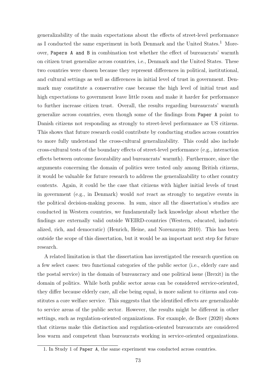generalizability of the main expectations about the effects of street-level performance as I conducted the same experiment in both Denmark and the United States.<sup>[1](#page-76-0)</sup> Moreover, Papers A and B in combination test whether the effect of bureaucrats' warmth on citizen trust generalize across countries, i.e., Denmark and the United States. These two countries were chosen because they represent differences in political, institutional, and cultural settings as well as differences in initial level of trust in government. Denmark may constitute a conservative case because the high level of initial trust and high expectations to government leave little room and make it harder for performance to further increase citizen trust. Overall, the results regarding bureaucrats' warmth generalize across countries, even though some of the findings from Paper A point to Danish citizens not responding as strongly to street-level performance as US citizens. This shows that future research could contribute by conducting studies across countries to more fully understand the cross-cultural generalizability. This could also include cross-cultural tests of the boundary effects of street-level performance (e.g., interaction effects between outcome favorability and bureaucrats' warmth). Furthermore, since the arguments concerning the domain of politics were tested only among British citizens, it would be valuable for future research to address the generalizability to other country contexts. Again, it could be the case that citizens with higher initial levels of trust in government (e.g., in Denmark) would not react as strongly to negative events in the political decision-making process. In sum, since all the dissertation's studies are conducted in Western countries, we fundamentally lack knowledge about whether the findings are externally valid outside WEIRD-countries (Western, educated, industrialized, rich, and democratic) (Henrich, Heine, and Norenzayan [2010\)](#page-91-2). This has been outside the scope of this dissertation, but it would be an important next step for future research.

A related limitation is that the dissertation has investigated the research question on a few select cases: two functional categories of the public sector (i.e., elderly care and the postal service) in the domain of bureaucracy and one political issue (Brexit) in the domain of politics. While both public sector areas can be considered service-oriented, they differ because elderly care, all else being equal, is more salient to citizens and constitutes a core welfare service. This suggests that the identified effects are generalizable to service areas of the public sector. However, the results might be different in other settings, such as regulation-oriented organizations. For example, de Boer [\(2020\)](#page-88-0) shows that citizens make this distinction and regulation-oriented bureaucrats are considered less warm and competent than bureaucrats working in service-oriented organizations.

<span id="page-76-0"></span><sup>1.</sup> In Study 1 of Paper A, the same experiment was conducted across countries.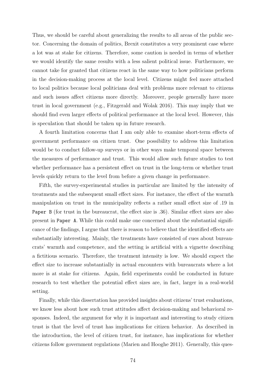Thus, we should be careful about generalizing the results to all areas of the public sector. Concerning the domain of politics, Brexit constitutes a very prominent case where a lot was at stake for citizens. Therefore, some caution is needed in terms of whether we would identify the same results with a less salient political issue. Furthermore, we cannot take for granted that citizens react in the same way to how politicians perform in the decision-making process at the local level. Citizens might feel more attached to local politics because local politicians deal with problems more relevant to citizens and such issues affect citizens more directly. Moreover, people generally have more trust in local government (e.g., Fitzgerald and Wolak [2016\)](#page-90-1). This may imply that we should find even larger effects of political performance at the local level. However, this is speculation that should be taken up in future research.

A fourth limitation concerns that I am only able to examine short-term effects of government performance on citizen trust. One possibility to address this limitation would be to conduct follow-up surveys or in other ways make temporal space between the measures of performance and trust. This would allow such future studies to test whether performance has a persistent effect on trust in the long-term or whether trust levels quickly return to the level from before a given change in performance.

Fifth, the survey-experimental studies in particular are limited by the intensity of treatments and the subsequent small effect sizes. For instance, the effect of the warmth manipulation on trust in the municipality reflects a rather small effect size of .19 in Paper B (for trust in the bureaucrat, the effect size is .36). Similar effect sizes are also present in Paper A. While this could make one concerned about the substantial significance of the findings, I argue that there is reason to believe that the identified effects are substantially interesting. Mainly, the treatments have consisted of cues about bureaucrats' warmth and competence, and the setting is artificial with a vignette describing a fictitious scenario. Therefore, the treatment intensity is low. We should expect the effect size to increase substantially in actual encounters with bureaucrats where a lot more is at stake for citizens. Again, field experiments could be conducted in future research to test whether the potential effect sizes are, in fact, larger in a real-world setting.

Finally, while this dissertation has provided insights about citizens' trust evaluations, we know less about how such trust attitudes affect decision-making and behavioral responses. Indeed, the argument for why it is important and interesting to study citizen trust is that the level of trust has implications for citizen behavior. As described in the introduction, the level of citizen trust, for instance, has implications for whether citizens follow government regulations (Marien and Hooghe [2011\)](#page-94-1). Generally, this ques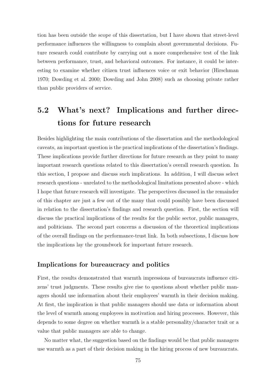tion has been outside the scope of this dissertation, but I have shown that street-level performance influences the willingness to complain about governmental decisions. Future research could contribute by carrying out a more comprehensive test of the link between performance, trust, and behavioral outcomes. For instance, it could be interesting to examine whether citizen trust influences voice or exit behavior (Hirschman [1970;](#page-92-0) Dowding et al. [2000;](#page-89-0) Dowding and John [2008\)](#page-88-1) such as choosing private rather than public providers of service.

### 5.2 What's next? Implications and further directions for future research

Besides highlighting the main contributions of the dissertation and the methodological caveats, an important question is the practical implications of the dissertation's findings. These implications provide further directions for future research as they point to many important research questions related to this dissertation's overall research question. In this section, I propose and discuss such implications. In addition, I will discuss select research questions - unrelated to the methodological limitations presented above - which I hope that future research will investigate. The perspectives discussed in the remainder of this chapter are just a few out of the many that could possibly have been discussed in relation to the dissertation's findings and research question. First, the section will discuss the practical implications of the results for the public sector, public managers, and politicians. The second part concerns a discussion of the theoretical implications of the overall findings on the performance-trust link. In both subsections, I discuss how the implications lay the groundwork for important future research.

#### Implications for bureaucracy and politics

First, the results demonstrated that warmth impressions of bureaucrats influence citizens' trust judgments. These results give rise to questions about whether public managers should use information about their employees' warmth in their decision making. At first, the implication is that public managers should use data or information about the level of warmth among employees in motivation and hiring processes. However, this depends to some degree on whether warmth is a stable personality/character trait or a value that public managers are able to change.

No matter what, the suggestion based on the findings would be that public managers use warmth as a part of their decision making in the hiring process of new bureaucrats.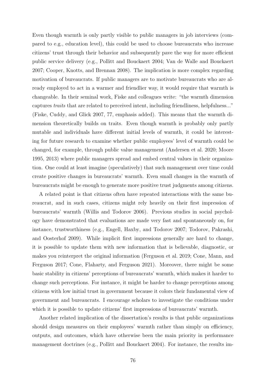Even though warmth is only partly visible to public managers in job interviews (compared to e.g., education level), this could be used to choose bureaucrats who increase citizens' trust through their behavior and subsequently pave the way for more efficient public service delivery (e.g., Pollitt and Bouckaert [2004;](#page-97-0) Van de Walle and Bouckaert [2007;](#page-100-2) Cooper, Knotts, and Brennan [2008\)](#page-88-2). The implication is more complex regarding motivation of bureaucrats. If public managers are to motivate bureaucrats who are already employed to act in a warmer and friendlier way, it would require that warmth is changeable. In their seminal work, Fiske and colleagues write: "the warmth dimension captures traits that are related to perceived intent, including friendliness, helpfulness..." (Fiske, Cuddy, and Glick [2007,](#page-89-1) 77, emphasis added). This means that the warmth dimension theoretically builds on traits. Even though warmth is probably only partly mutable and individuals have different initial levels of warmth, it could be interesting for future research to examine whether public employees' level of warmth could be changed, for example, through public value management (Andersen et al. [2020;](#page-84-1) Moore [1995,](#page-95-1) [2013\)](#page-95-2) where public managers spread and embed central values in their organization. One could at least imagine (speculatively) that such management over time could create positive changes in bureaucrats' warmth. Even small changes in the warmth of bureaucrats might be enough to generate more positive trust judgments among citizens.

A related point is that citizens often have repeated interactions with the same bureaucrat, and in such cases, citizens might rely heavily on their first impression of bureaucrats' warmth (Willis and Todorov [2006\)](#page-102-3). Previous studies in social psychology have demonstrated that evaluations are made very fast and spontaneously on, for instance, trustworthiness (e.g., Engell, Haxby, and Todorov [2007;](#page-89-2) Todorov, Pakrashi, and Oosterhof [2009\)](#page-99-0). While implicit first impressions generally are hard to change, it is possible to update them with new information that is believable, diagnostic, or makes you reinterpret the original information (Ferguson et al. [2019;](#page-89-3) Cone, Mann, and Ferguson [2017;](#page-87-2) Cone, Flaharty, and Ferguson [2021\)](#page-87-3). Moreover, there might be some basic stability in citizens' perceptions of bureaucrats' warmth, which makes it harder to change such perceptions. For instance, it might be harder to change perceptions among citizens with low initial trust in government because it colors their fundamental view of government and bureaucrats. I encourage scholars to investigate the conditions under which it is possible to update citizens' first impressions of bureaucrats' warmth.

Another related implication of the dissertation's results is that public organizations should design measures on their employees' warmth rather than simply on efficiency, outputs, and outcomes, which have otherwise been the main priority in performance management doctrines (e.g., Pollitt and Bouckaert [2004\)](#page-97-0). For instance, the results im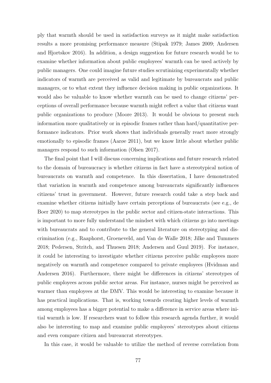ply that warmth should be used in satisfaction surveys as it might make satisfaction results a more promising performance measure (Stipak [1979;](#page-99-1) James [2009;](#page-92-1) Andersen and Hjortskov [2016\)](#page-84-2). In addition, a design suggestion for future research would be to examine whether information about public employees' warmth can be used actively by public managers. One could imagine future studies scrutinizing experimentally whether indicators of warmth are perceived as valid and legitimate by bureaucrats and public managers, or to what extent they influence decision making in public organizations. It would also be valuable to know whether warmth can be used to change citizens' perceptions of overall performance because warmth might reflect a value that citizens want public organizations to produce (Moore [2013\)](#page-95-2). It would be obvious to present such information more qualitatively or in episodic frames rather than hard/quantitative performance indicators. Prior work shows that individuals generally react more strongly emotionally to episodic frames (Aarøe [2011\)](#page-84-3), but we know little about whether public managers respond to such information (Olsen [2017\)](#page-96-1).

The final point that I will discuss concerning implications and future research related to the domain of bureaucracy is whether citizens in fact have a stereotypical notion of bureaucrats on warmth and competence. In this dissertation, I have demonstrated that variation in warmth and competence among bureaucrats significantly influences citizens' trust in government. However, future research could take a step back and examine whether citizens initially have certain perceptions of bureaucrats (see e.g., de Boer [2020\)](#page-88-0) to map stereotypes in the public sector and citizen-state interactions. This is important to more fully understand the mindset with which citizens go into meetings with bureaucrats and to contribute to the general literature on stereotyping and discrimination (e.g., Raaphorst, Groeneveld, and Van de Walle [2018;](#page-97-1) Jilke and Tummers [2018;](#page-93-1) Pedersen, Stritch, and Thuesen [2018;](#page-97-2) Andersen and Guul [2019\)](#page-84-4). For instance, it could be interesting to investigate whether citizens perceive public employees more negatively on warmth and competence compared to private employees (Hvidman and Andersen [2016\)](#page-92-2). Furthermore, there might be differences in citizens' stereotypes of public employees across public sector areas. For instance, nurses might be perceived as warmer than employees at the DMV. This would be interesting to examine because it has practical implications. That is, working towards creating higher levels of warmth among employees has a bigger potential to make a difference in service areas where initial warmth is low. If researchers want to follow this research agenda further, it would also be interesting to map and examine public employees' stereotypes about citizens and even compare citizen and bureaucrat stereotypes.

In this case, it would be valuable to utilize the method of reverse correlation from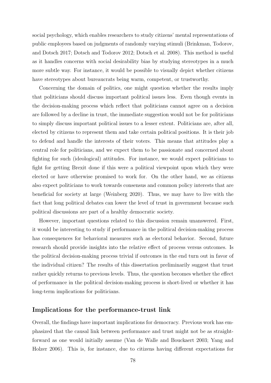social psychology, which enables researchers to study citizens' mental representations of public employees based on judgments of randomly varying stimuli (Brinkman, Todorov, and Dotsch [2017;](#page-87-4) Dotsch and Todorov [2012;](#page-88-3) Dotsch et al. [2008\)](#page-88-4). This method is useful as it handles concerns with social desirability bias by studying stereotypes in a much more subtle way. For instance, it would be possible to visually depict whether citizens have stereotypes about bureaucrats being warm, competent, or trustworthy.

Concerning the domain of politics, one might question whether the results imply that politicians should discuss important political issues less. Even though events in the decision-making process which reflect that politicians cannot agree on a decision are followed by a decline in trust, the immediate suggestion would not be for politicians to simply discuss important political issues to a lesser extent. Politicians are, after all, elected by citizens to represent them and take certain political positions. It is their job to defend and handle the interests of their voters. This means that attitudes play a central role for politicians, and we expect them to be passionate and concerned about fighting for such (ideological) attitudes. For instance, we would expect politicians to fight for getting Brexit done if this were a political viewpoint upon which they were elected or have otherwise promised to work for. On the other hand, we as citizens also expect politicians to work towards consensus and common policy interests that are beneficial for society at large (Weinberg [2020\)](#page-102-4). Thus, we may have to live with the fact that long political debates can lower the level of trust in government because such political discussions are part of a healthy democratic society.

However, important questions related to this discussion remain unanswered. First, it would be interesting to study if performance in the political decision-making process has consequences for behavioral measures such as electoral behavior. Second, future research should provide insights into the relative effect of process versus outcomes. Is the political decision-making process trivial if outcomes in the end turn out in favor of the individual citizen? The results of this dissertation preliminarily suggest that trust rather quickly returns to previous levels. Thus, the question becomes whether the effect of performance in the political decision-making process is short-lived or whether it has long-term implications for politicians.

#### Implications for the performance-trust link

Overall, the findings have important implications for democracy. Previous work has emphasized that the causal link between performance and trust might not be as straightforward as one would initially assume (Van de Walle and Bouckaert [2003;](#page-100-0) Yang and Holzer [2006\)](#page-102-2). This is, for instance, due to citizens having different expectations for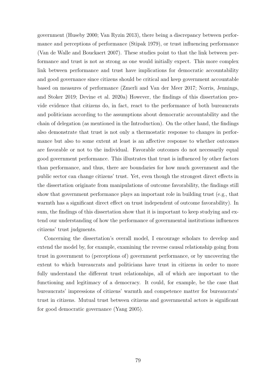government (Huseby [2000;](#page-92-3) Van Ryzin [2013\)](#page-101-2), there being a discrepancy between performance and perceptions of performance (Stipak [1979\)](#page-99-1), or trust influencing performance (Van de Walle and Bouckaert [2007\)](#page-100-2). These studies point to that the link between performance and trust is not as strong as one would initially expect. This more complex link between performance and trust have implications for democratic accountability and good governance since citizens should be critical and keep government accountable based on measures of performance (Zmerli and Van der Meer [2017;](#page-102-1) Norris, Jennings, and Stoker [2019;](#page-96-2) Devine et al. [2020a\)](#page-88-5) However, the findings of this dissertation provide evidence that citizens do, in fact, react to the performance of both bureaucrats and politicians according to the assumptions about democratic accountability and the chain of delegation (as mentioned in the Introduction). On the other hand, the findings also demonstrate that trust is not only a thermostatic response to changes in performance but also to some extent at least is an affective response to whether outcomes are favorable or not to the individual. Favorable outcomes do not necessarily equal good government performance. This illustrates that trust is influenced by other factors than performance, and thus, there are boundaries for how much government and the public sector can change citizens' trust. Yet, even though the strongest direct effects in the dissertation originate from manipulations of outcome favorability, the findings still show that government performance plays an important role in building trust (e.g., that warmth has a significant direct effect on trust independent of outcome favorability). In sum, the findings of this dissertation show that it is important to keep studying and extend our understanding of how the performance of governmental institutions influences citizens' trust judgments.

Concerning the dissertation's overall model, I encourage scholars to develop and extend the model by, for example, examining the reverse causal relationship going from trust in government to (perceptions of) government performance, or by uncovering the extent to which bureaucrats and politicians have trust in citizens in order to more fully understand the different trust relationships, all of which are important to the functioning and legitimacy of a democracy. It could, for example, be the case that bureaucrats' impressions of citizens' warmth and competence matter for bureaucrats' trust in citizens. Mutual trust between citizens and governmental actors is significant for good democratic governance (Yang [2005\)](#page-102-5).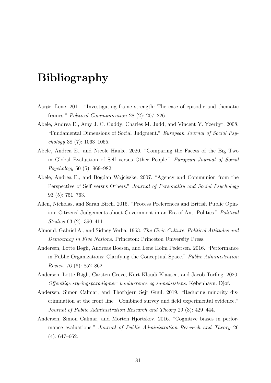# Bibliography

- <span id="page-84-3"></span>Aarøe, Lene. 2011. "Investigating frame strength: The case of episodic and thematic frames." Political Communication 28 (2): 207–226.
- Abele, Andrea E., Amy J. C. Cuddy, Charles M. Judd, and Vincent Y. Yzerbyt. 2008. "Fundamental Dimensions of Social Judgment." European Journal of Social Psy $chology$  38 (7): 1063-1065.
- Abele, Andrea E., and Nicole Hauke. 2020. "Comparing the Facets of the Big Two in Global Evaluation of Self versus Other People." European Journal of Social Psychology 50 (5): 969–982.
- Abele, Andrea E., and Bogdan Wojciszke. 2007. "Agency and Communion from the Perspective of Self versus Others." Journal of Personality and Social Psychology 93 (5): 751–763.
- <span id="page-84-0"></span>Allen, Nicholas, and Sarah Birch. 2015. "Process Preferences and British Public Opinion: Citizens' Judgements about Government in an Era of Anti-Politics." Political Studies 63 (2): 390–411.
- Almond, Gabriel A., and Sidney Verba. 1963. The Civic Culture: Political Attitudes and Democracy in Five Nations. Princeton: Princeton University Press.
- Andersen, Lotte Bøgh, Andreas Boesen, and Lene Holm Pedersen. 2016. "Performance in Public Organizations: Clarifying the Conceptual Space." Public Administration Review 76 (6): 852–862.
- <span id="page-84-1"></span>Andersen, Lotte Bøgh, Carsten Greve, Kurt Klaudi Klausen, and Jacob Torfing. 2020. Offentlige styringsparadigmer: konkurrence og sameksistens. København: Djøf.
- <span id="page-84-4"></span>Andersen, Simon Calmar, and Thorbjørn Sejr Guul. 2019. "Reducing minority discrimination at the front line—Combined survey and field experimental evidence." Journal of Public Administration Research and Theory 29 (3): 429–444.
- <span id="page-84-2"></span>Andersen, Simon Calmar, and Morten Hjortskov. 2016. "Cognitive biases in performance evaluations." Journal of Public Administration Research and Theory 26  $(4): 647-662.$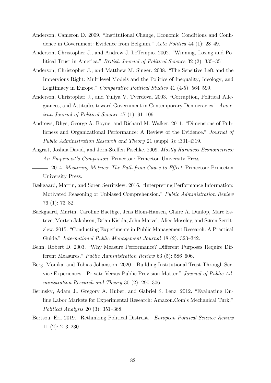- Anderson, Cameron D. 2009. "Institutional Change, Economic Conditions and Confidence in Government: Evidence from Belgium." Acta Politica 44 (1): 28–49.
- Anderson, Christopher J., and Andrew J. LoTempio. 2002. "Winning, Losing and Political Trust in America." British Journal of Political Science 32 (2): 335–351.
- Anderson, Christopher J., and Matthew M. Singer. 2008. "The Sensitive Left and the Impervious Right: Multilevel Models and the Politics of Inequality, Ideology, and Legitimacy in Europe." Comparative Political Studies 41 (4-5): 564–599.
- Anderson, Christopher J., and Yuliya V. Tverdova. 2003. "Corruption, Political Allegiances, and Attitudes toward Government in Contemporary Democracies." American Journal of Political Science 47 (1): 91–109.
- Andrews, Rhys, George A. Boyne, and Richard M. Walker. 2011. "Dimensions of Publicness and Organizational Performance: A Review of the Evidence." Journal of Public Administration Research and Theory 21 (suppl.3):  $i301-i319$ .
- Angrist, Joshua David, and Jörn-Steffen Pischke. 2009. Mostly Harmless Econometrics: An Empiricist's Companion. Princeton: Princeton University Press.
- . 2014. Mastering Metrics: The Path from Cause to Effect. Princeton: Princeton University Press.
- Bækgaard, Martin, and Søren Serritzlew. 2016. "Interpreting Performance Information: Motivated Reasoning or Unbiased Comprehension." Public Administration Review 76 (1): 73–82.
- Baekgaard, Martin, Caroline Baethge, Jens Blom-Hansen, Claire A. Dunlop, Marc Esteve, Morten Jakobsen, Brian Kisida, John Marvel, Alice Moseley, and Søren Serritzlew. 2015. "Conducting Experiments in Public Management Research: A Practical Guide." International Public Management Journal 18 (2): 323–342.
- Behn, Robert D. 2003. "Why Measure Performance? Different Purposes Require Different Measures." Public Administration Review 63 (5): 586–606.
- Berg, Monika, and Tobias Johansson. 2020. "Building Institutional Trust Through Service Experiences—Private Versus Public Provision Matter." Journal of Public Administration Research and Theory 30 (2): 290–306.
- Berinsky, Adam J., Gregory A. Huber, and Gabriel S. Lenz. 2012. "Evaluating Online Labor Markets for Experimental Research: Amazon.Com's Mechanical Turk." Political Analysis 20 (3): 351–368.
- Bertsou, Eri. 2019. "Rethinking Political Distrust." European Political Science Review 11 (2): 213–230.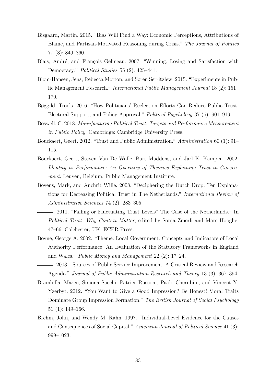- Bisgaard, Martin. 2015. "Bias Will Find a Way: Economic Perceptions, Attributions of Blame, and Partisan-Motivated Reasoning during Crisis." The Journal of Politics 77 (3): 849–860.
- Blais, André, and François Gélineau. 2007. "Winning, Losing and Satisfaction with Democracy." Political Studies 55 (2): 425–441.
- <span id="page-86-1"></span>Blom-Hansen, Jens, Rebecca Morton, and Søren Serritzlew. 2015. "Experiments in Public Management Research." International Public Management Journal 18 (2): 151– 170.
- <span id="page-86-0"></span>Bøggild, Troels. 2016. "How Politicians' Reelection Efforts Can Reduce Public Trust, Electoral Support, and Policy Approval." Political Psychology 37 (6): 901–919.
- Boswell, C. 2018. Manufacturing Political Trust: Targets and Performance Measurement in Public Policy. Cambridge: Cambridge University Press.
- Bouckaert, Geert. 2012. "Trust and Public Administration." Administration 60 (1): 91– 115.
- Bouckaert, Geert, Steven Van De Walle, Bart Maddens, and Jarl K. Kampen. 2002. Identity vs Performance: An Overview of Theories Explaining Trust in Government. Leuven, Belgium: Public Management Institute.
- Bovens, Mark, and Anchrit Wille. 2008. "Deciphering the Dutch Drop: Ten Explanations for Decreasing Political Trust in The Netherlands." International Review of Administrative Sciences 74 (2): 283–305.
- . 2011. "Falling or Fluctuating Trust Levels? The Case of the Netherlands." In Political Trust: Why Context Matter, edited by Sonja Zmerli and Marc Hooghe, 47–66. Colchester, UK: ECPR Press.
- Boyne, George A. 2002. "Theme: Local Government: Concepts and Indicators of Local Authority Performance: An Evaluation of the Statutory Frameworks in England and Wales." Public Money and Management 22 (2): 17–24.
- . 2003. "Sources of Public Service Improvement: A Critical Review and Research Agenda." Journal of Public Administration Research and Theory 13 (3): 367–394.
- Brambilla, Marco, Simona Sacchi, Patrice Rusconi, Paolo Cherubini, and Vincent Y. Yzerbyt. 2012. "You Want to Give a Good Impression? Be Honest! Moral Traits Dominate Group Impression Formation." The British Journal of Social Psychology 51 (1): 149–166.
- Brehm, John, and Wendy M. Rahn. 1997. "Individual-Level Evidence for the Causes and Consequences of Social Capital." American Journal of Political Science 41 (3): 999–1023.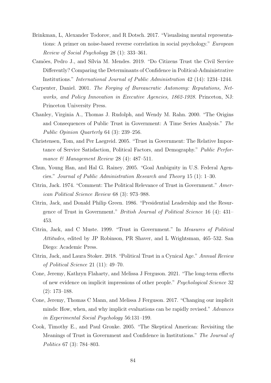- <span id="page-87-4"></span>Brinkman, L, Alexander Todorov, and R Dotsch. 2017. "Visualising mental representations: A primer on noise-based reverse correlation in social psychology." European Review of Social Psychology 28 (1): 333–361.
- Camões, Pedro J., and Sílvia M. Mendes. 2019. "Do Citizens Trust the Civil Service Differently? Comparing the Determinants of Confidence in Political-Administrative Institutions." International Journal of Public Administration 42 (14): 1234–1244.
- Carpenter, Daniel. 2001. The Forging of Bureaucratic Autonomy: Reputations, Networks, and Policy Innovation in Executive Agencies, 1862-1928. Princeton, NJ: Princeton University Press.
- Chanley, Virginia A., Thomas J. Rudolph, and Wendy M. Rahn. 2000. "The Origins and Consequences of Public Trust in Government: A Time Series Analysis." The Public Opinion Quarterly 64 (3): 239–256.
- Christensen, Tom, and Per Laegreid. 2005. "Trust in Government: The Relative Importance of Service Satisfaction, Political Factors, and Demography." Public Performance  $\mathcal{B}$  Management Review 28 (4): 487–511.
- Chun, Young Han, and Hal G. Rainey. 2005. "Goal Ambiguity in U.S. Federal Agencies." Journal of Public Administration Research and Theory 15 (1): 1–30.
- <span id="page-87-0"></span>Citrin, Jack. 1974. "Comment: The Political Relevance of Trust in Government." American Political Science Review 68 (3): 973–988.
- Citrin, Jack, and Donald Philip Green. 1986. "Presidential Leadership and the Resurgence of Trust in Government." British Journal of Political Science 16 (4): 431– 453.
- Citrin, Jack, and C Muste. 1999. "Trust in Government." In Measures of Political Attitudes, edited by JP Robinson, PR Shaver, and L Wrightsman, 465–532. San Diego: Academic Press.
- <span id="page-87-1"></span>Citrin, Jack, and Laura Stoker. 2018. "Political Trust in a Cynical Age." Annual Review of Political Science 21 (11): 49–70.
- <span id="page-87-3"></span>Cone, Jeremy, Kathryn Flaharty, and Melissa J Ferguson. 2021. "The long-term effects of new evidence on implicit impressions of other people." Psychological Science 32 (2): 173–188.
- <span id="page-87-2"></span>Cone, Jeremy, Thomas C Mann, and Melissa J Ferguson. 2017. "Changing our implicit minds: How, when, and why implicit evaluations can be rapidly revised." Advances in Experimental Social Psychology 56:131–199.
- Cook, Timothy E., and Paul Gronke. 2005. "The Skeptical American: Revisiting the Meanings of Trust in Government and Confidence in Institutions." The Journal of Politics 67 (3): 784–803.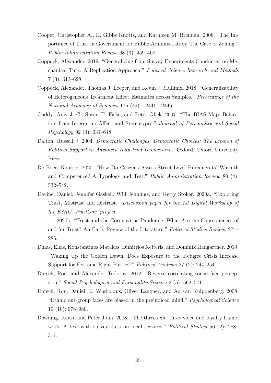- <span id="page-88-2"></span>Cooper, Christopher A., H. Gibbs Knotts, and Kathleen M. Brennan. 2008. "The Importance of Trust in Government for Public Administration: The Case of Zoning." Public Administration Review 68 (3): 459–468.
- Coppock, Alexander. 2019. "Generalizing from Survey Experiments Conducted on Mechanical Turk: A Replication Approach." Political Science Research and Methods 7 (3): 613–628.
- Coppock, Alexander, Thomas J. Leeper, and Kevin J. Mullinix. 2018. "Generalizability of Heterogeneous Treatment Effect Estimates across Samples." Proceedings of the National Academy of Sciences 115 (49): 12441–12446.
- Cuddy, Amy J. C., Susan T. Fiske, and Peter Glick. 2007. "The BIAS Map: Behaviors from Intergroup Affect and Stereotypes." Journal of Personality and Social Psychology 92 (4): 631–648.
- Dalton, Russell J. 2004. Democratic Challenges, Democratic Choices: The Erosion of Political Support in Advanced Industrial Democracies. Oxford: Oxford University Press.
- <span id="page-88-0"></span>De Boer, Noortje. 2020. "How Do Citizens Assess Street-Level Bureaucrats' Warmth and Competence? A Typology and Test." Public Administration Review 80 (4): 532–542.
- <span id="page-88-5"></span>Devine, Daniel, Jennifer Gaskell, Will Jennings, and Gerry Stoker. 2020a. "Exploring Trust, Mistrust and Distrust." Discussion paper for the 1st Digital Workshop of the ESRC 'TrustGov' project.
- . 2020b. "Trust and the Coronavirus Pandemic: What Are the Consequences of and for Trust? An Early Review of the Literature." Political Studies Review, 274– 285.
- Dinas, Elias, Konstantinos Matakos, Dimitrios Xefteris, and Dominik Hangartner. 2019. "Waking Up the Golden Dawn: Does Exposure to the Refugee Crisis Increase Support for Extreme-Right Parties?" Political Analysis 27 (2): 244–254.
- <span id="page-88-3"></span>Dotsch, Ron, and Alexander Todorov. 2012. "Reverse correlating social face perception." Social Psychological and Personality Science 3 (5): 562–571.
- <span id="page-88-4"></span>Dotsch, Ron, Daniël HJ Wigboldus, Oliver Langner, and Ad van Knippenberg. 2008. "Ethnic out-group faces are biased in the prejudiced mind." Psychological Science 19 (10): 978–980.
- <span id="page-88-1"></span>Dowding, Keith, and Peter John. 2008. "The three exit, three voice and loyalty framework: A test with survey data on local services." Political Studies 56 (2): 288– 311.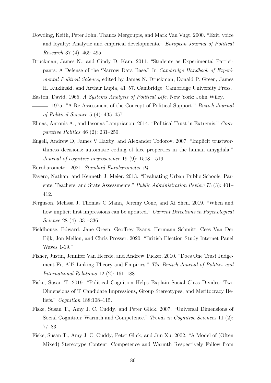- <span id="page-89-0"></span>Dowding, Keith, Peter John, Thanos Mergoupis, and Mark Van Vugt. 2000. "Exit, voice and loyalty: Analytic and empirical developments." European Journal of Political Research 37 (4): 469–495.
- Druckman, James N., and Cindy D. Kam. 2011. "Students as Experimental Participants: A Defense of the 'Narrow Data Base." In Cambridge Handbook of Experimental Political Science, edited by James N. Druckman, Donald P. Green, James H. Kuklinski, and Arthur Lupia, 41–57. Cambridge: Cambridge University Press.
- Easton, David. 1965. A Systems Analysis of Political Life. New York: John Wiley.
- . 1975. "A Re-Assessment of the Concept of Political Support." British Journal of Political Science 5 (4): 435–457.
- Elinas, Antonis A., and Iasonas Lamprianou. 2014. "Political Trust in Extremis." Comparative Politics 46 (2): 231–250.
- <span id="page-89-2"></span>Engell, Andrew D, James V Haxby, and Alexander Todorov. 2007. "Implicit trustworthiness decisions: automatic coding of face properties in the human amygdala." Journal of cognitive neuroscience 19 (9): 1508–1519.

Eurobarometer. 2021. Standard Eurobarometer 94.

- Favero, Nathan, and Kenneth J. Meier. 2013. "Evaluating Urban Public Schools: Parents, Teachers, and State Assessments." Public Administration Review 73 (3): 401– 412.
- <span id="page-89-3"></span>Ferguson, Melissa J, Thomas C Mann, Jeremy Cone, and Xi Shen. 2019. "When and how implicit first impressions can be updated." Current Directions in Psychological Science 28 (4): 331–336.
- Fieldhouse, Edward, Jane Green, Geoffrey Evans, Hermann Schmitt, Cees Van Der Eijk, Jon Mellon, and Chris Prosser. 2020. "British Election Study Internet Panel Waves 1-19."
- Fisher, Justin, Jennifer Van Heerde, and Andrew Tucker. 2010. "Does One Trust Judgement Fit All? Linking Theory and Empirics." The British Journal of Politics and International Relations 12 (2): 161–188.
- Fiske, Susan T. 2019. "Political Cognition Helps Explain Social Class Divides: Two Dimensions of T Candidate Impressions, Group Stereotypes, and Meritocracy Beliefs." Cognition 188:108–115.
- <span id="page-89-1"></span>Fiske, Susan T., Amy J. C. Cuddy, and Peter Glick. 2007. "Universal Dimensions of Social Cognition: Warmth and Competence." Trends in Cognitive Sciences 11 (2): 77–83.
- Fiske, Susan T., Amy J. C. Cuddy, Peter Glick, and Jun Xu. 2002. "A Model of (Often Mixed) Stereotype Content: Competence and Warmth Respectively Follow from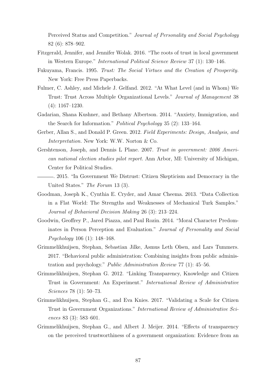Perceived Status and Competition." Journal of Personality and Social Psychology 82 (6): 878–902.

- <span id="page-90-1"></span>Fitzgerald, Jennifer, and Jennifer Wolak. 2016. "The roots of trust in local government in Western Europe." International Political Science Review 37 (1): 130–146.
- Fukuyama, Francis. 1995. Trust: The Social Virtues and the Creation of Prosperity. New York: Free Press Paperbacks.
- Fulmer, C. Ashley, and Michele J. Gelfand. 2012. "At What Level (and in Whom) We Trust: Trust Across Multiple Organizational Levels." Journal of Management 38 (4): 1167–1230.
- Gadarian, Shana Kushner, and Bethany Albertson. 2014. "Anxiety, Immigration, and the Search for Information." Political Psychology 35 (2): 133–164.
- Gerber, Allan S., and Donald P. Green. 2012. Field Experiments: Design, Analysis, and Interpretation. New York: W.W. Norton & Co.
- Gershtenson, Joseph, and Dennis L Plane. 2007. Trust in government: 2006 American national election studies pilot report. Ann Arbor, MI: University of Michigan, Center for Political Studies.
- . 2015. "In Government We Distrust: Citizen Skepticism and Democracy in the United States." The Forum 13 (3).
- Goodman, Joseph K., Cynthia E. Cryder, and Amar Cheema. 2013. "Data Collection in a Flat World: The Strengths and Weaknesses of Mechanical Turk Samples." Journal of Behavioral Decision Making 26 (3): 213–224.
- Goodwin, Geoffrey P., Jared Piazza, and Paul Rozin. 2014. "Moral Character Predominates in Person Perception and Evaluation." Journal of Personality and Social Psychology 106 (1): 148–168.
- <span id="page-90-0"></span>Grimmelikhuijsen, Stephan, Sebastian Jilke, Asmus Leth Olsen, and Lars Tummers. 2017. "Behavioral public administration: Combining insights from public administration and psychology." Public Administration Review 77 (1): 45–56.
- Grimmelikhuijsen, Stephan G. 2012. "Linking Transparency, Knowledge and Citizen Trust in Government: An Experiment." International Review of Administrative Sciences 78 (1): 50–73.
- Grimmelikhuijsen, Stephan G., and Eva Knies. 2017. "Validating a Scale for Citizen Trust in Government Organizations." International Review of Administrative Sciences 83 (3): 583–601.
- Grimmelikhuijsen, Stephan G., and Albert J. Meijer. 2014. "Effects of transparency on the perceived trustworthiness of a government organization: Evidence from an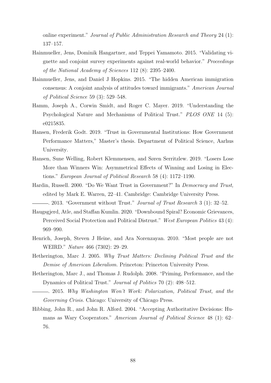online experiment." Journal of Public Administration Research and Theory 24 (1): 137–157.

- <span id="page-91-0"></span>Hainmueller, Jens, Dominik Hangartner, and Teppei Yamamoto. 2015. "Validating vignette and conjoint survey experiments against real-world behavior." Proceedings of the National Academy of Sciences 112 (8): 2395–2400.
- <span id="page-91-1"></span>Hainmueller, Jens, and Daniel J Hopkins. 2015. "The hidden American immigration consensus: A conjoint analysis of attitudes toward immigrants." American Journal of Political Science 59 (3): 529–548.
- Hamm, Joseph A., Corwin Smidt, and Roger C. Mayer. 2019. "Understanding the Psychological Nature and Mechanisms of Political Trust." PLOS ONE 14 (5): e0215835.
- Hansen, Frederik Godt. 2019. "Trust in Governmental Institutions: How Government Performance Matters," Master's thesis. Department of Political Science, Aarhus University.
- Hansen, Sune Welling, Robert Klemmensen, and Søren Serritzlew. 2019. "Losers Lose More than Winners Win: Asymmetrical Effects of Winning and Losing in Elections." European Journal of Political Research 58 (4): 1172–1190.
- Hardin, Russell. 2000. "Do We Want Trust in Government?" In Democracy and Trust, edited by Mark E. Warren, 22–41. Cambridge: Cambridge University Press.

... 2013. "Government without Trust." Journal of Trust Research 3 (1): 32–52.

- Haugsgjerd, Atle, and Staffan Kumlin. 2020. "Downbound Spiral? Economic Grievances, Perceived Social Protection and Political Distrust." West European Politics 43 (4): 969–990.
- <span id="page-91-2"></span>Henrich, Joseph, Steven J Heine, and Ara Norenzayan. 2010. "Most people are not WEIRD." Nature 466 (7302): 29–29.
- Hetherington, Marc J. 2005. Why Trust Matters: Declining Political Trust and the Demise of American Liberalism. Princeton: Princeton University Press.
- Hetherington, Marc J., and Thomas J. Rudolph. 2008. "Priming, Performance, and the Dynamics of Political Trust." Journal of Politics 70 (2): 498–512.
- . 2015. Why Washington Won't Work: Polarization, Political Trust, and the Governing Crisis. Chicago: University of Chicago Press.
- Hibbing, John R., and John R. Alford. 2004. "Accepting Authoritative Decisions: Humans as Wary Cooperators." American Journal of Political Science 48 (1): 62– 76.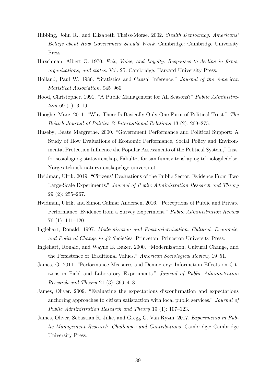- Hibbing, John R., and Elizabeth Theiss-Morse. 2002. Stealth Democracy: Americans' Beliefs about How Government Should Work. Cambridge: Cambridge University Press.
- <span id="page-92-0"></span>Hirschman, Albert O. 1970. Exit, Voice, and Loyalty: Responses to decline in firms, organizations, and states. Vol. 25. Cambridge: Harvard University Press.
- Holland, Paul W. 1986. "Statistics and Causal Inference." Journal of the American Statistical Association, 945–960.
- Hood, Christopher. 1991. "A Public Management for All Seasons?" Public Administration 69  $(1)$ : 3-19.
- Hooghe, Marc. 2011. "Why There Is Basically Only One Form of Political Trust." The British Journal of Politics & International Relations 13 (2): 269–275.
- <span id="page-92-3"></span>Huseby, Beate Margrethe. 2000. "Government Performance and Political Support: A Study of How Evaluations of Economic Performance, Social Policy and Environmental Protection Influence the Popular Assessments of the Political System," Inst. for sosiologi og statsvitenskap, Fakultet for samfunnsvitenskap og teknologiledelse, Norges teknisk-naturvitenskapelige universitet.
- Hvidman, Ulrik. 2019. "Citizens' Evaluations of the Public Sector: Evidence From Two Large-Scale Experiments." Journal of Public Administration Research and Theory 29 (2): 255–267.
- <span id="page-92-2"></span>Hvidman, Ulrik, and Simon Calmar Andersen. 2016. "Perceptions of Public and Private Performance: Evidence from a Survey Experiment." Public Administration Review 76 (1): 111–120.
- Inglehart, Ronald. 1997. Modernization and Postmodernization: Cultural, Economic, and Political Change in 43 Societies. Princeton: Princeton University Press.
- Inglehart, Ronald, and Wayne E. Baker. 2000. "Modernization, Cultural Change, and the Persistence of Traditional Values." American Sociological Review, 19–51.
- James, O. 2011. "Performance Measures and Democracy: Information Effects on Citizens in Field and Laboratory Experiments." Journal of Public Administration Research and Theory 21 (3): 399–418.
- <span id="page-92-1"></span>James, Oliver. 2009. "Evaluating the expectations disconfirmation and expectations anchoring approaches to citizen satisfaction with local public services." Journal of Public Administration Research and Theory 19 (1): 107–123.
- James, Oliver, Sebastian R. Jilke, and Gregg G. Van Ryzin. 2017. Experiments in Public Management Research: Challenges and Contributions. Cambridge: Cambridge University Press.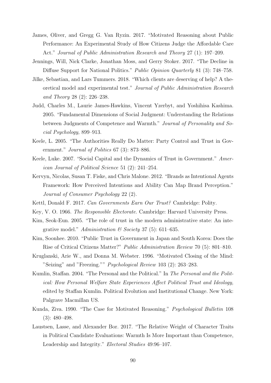- James, Oliver, and Gregg G. Van Ryzin. 2017. "Motivated Reasoning about Public Performance: An Experimental Study of How Citizens Judge the Affordable Care Act." Journal of Public Administration Research and Theory 27 (1): 197–209.
- Jennings, Will, Nick Clarke, Jonathan Moss, and Gerry Stoker. 2017. "The Decline in Diffuse Support for National Politics." Public Opinion Quarterly 81 (3): 748–758.
- <span id="page-93-1"></span>Jilke, Sebastian, and Lars Tummers. 2018. "Which clients are deserving of help? A theoretical model and experimental test." Journal of Public Administration Research and Theory 28 (2): 226–238.
- Judd, Charles M., Laurie James-Hawkins, Vincent Yzerbyt, and Yoshihisa Kashima. 2005. "Fundamental Dimensions of Social Judgment: Understanding the Relations between Judgments of Competence and Warmth." Journal of Personality and Social Psychology, 899–913.
- Keele, L. 2005. "The Authorities Really Do Matter: Party Control and Trust in Government." Journal of Politics 67 (3): 873–886.
- Keele, Luke. 2007. "Social Capital and the Dynamics of Trust in Government." American Journal of Political Science 51 (2): 241–254.
- Kervyn, Nicolas, Susan T. Fiske, and Chris Malone. 2012. "Brands as Intentional Agents Framework: How Perceived Intentions and Ability Can Map Brand Perception." Journal of Consumer Psychology 22 (2).
- <span id="page-93-0"></span>Kettl, Donald F. 2017. Can Governments Earn Our Trust? Cambridge: Polity.
- Key, V. O. 1966. The Responsible Electorate. Cambridge: Harvard University Press.
- Kim, Seok-Eun. 2005. "The role of trust in the modern administrative state: An integrative model." Administration  $\mathcal C$  Society 37 (5): 611–635.
- Kim, Soonhee. 2010. "Public Trust in Government in Japan and South Korea: Does the Rise of Critical Citizens Matter?" Public Administration Review 70 (5): 801–810.
- Kruglanski, Arie W., and Donna M. Webster. 1996. "Motivated Closing of the Mind: "Seizing" and "Freezing."" Psychological Review 103 (2): 263–283.
- Kumlin, Staffan. 2004. "The Personal and the Political." In The Personal and the Political: How Personal Welfare State Experiences Affect Political Trust and Ideology, edited by Staffan Kumlin. Political Evolution and Institutional Change. New York: Palgrave Macmillan US.
- Kunda, Ziva. 1990. "The Case for Motivated Reasoning." Psychological Bulletin 108 (3): 480–498.
- Laustsen, Lasse, and Alexander Bor. 2017. "The Relative Weight of Character Traits in Political Candidate Evaluations: Warmth Is More Important than Competence, Leadership and Integrity." Electoral Studies 49:96–107.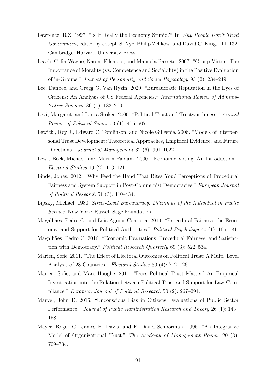- Lawrence, R.Z. 1997. "Is It Really the Economy Stupid?" In Why People Don't Trust Government, edited by Joseph S. Nye, Philip Zelikow, and David C. King, 111–132. Cambridge: Harvard University Press.
- Leach, Colin Wayne, Naomi Ellemers, and Manuela Barreto. 2007. "Group Virtue: The Importance of Morality (vs. Competence and Sociability) in the Positive Evaluation of in-Groups." Journal of Personality and Social Psychology 93 (2): 234–249.
- Lee, Danbee, and Gregg G. Van Ryzin. 2020. "Bureaucratic Reputation in the Eyes of Citizens: An Analysis of US Federal Agencies." International Review of Administrative Sciences 86 (1): 183–200.
- <span id="page-94-0"></span>Levi, Margaret, and Laura Stoker. 2000. "Political Trust and Trustworthiness." Annual Review of Political Science 3 (1): 475–507.
- Lewicki, Roy J., Edward C. Tomlinson, and Nicole Gillespie. 2006. "Models of Interpersonal Trust Development: Theoretical Approaches, Empirical Evidence, and Future Directions." Journal of Management 32 (6): 991–1022.
- Lewis-Beck, Michael, and Martin Paldam. 2000. "Economic Voting: An Introduction." Electoral Studies 19 (2): 113–121.
- Linde, Jonas. 2012. "Why Feed the Hand That Bites You? Perceptions of Procedural Fairness and System Support in Post-Communist Democracies." European Journal of Political Research 51 (3): 410–434.
- Lipsky, Michael. 1980. Street-Level Bureaucracy: Dilemmas of the Individual in Public Service. New York: Russell Sage Foundation.
- Magalhães, Pedro C, and Luis Aguiar-Conraria. 2019. "Procedural Fairness, the Economy, and Support for Political Authorities." Political Psychology 40 (1): 165–181.
- Magalhães, Pedro C. 2016. "Economic Evaluations, Procedural Fairness, and Satisfaction with Democracy." Political Research Quarterly 69 (3): 522–534.
- Marien, Sofie. 2011. "The Effect of Electoral Outcomes on Political Trust: A Multi–Level Analysis of 23 Countries." Electoral Studies 30 (4): 712–726.
- <span id="page-94-1"></span>Marien, Sofie, and Marc Hooghe. 2011. "Does Political Trust Matter? An Empirical Investigation into the Relation between Political Trust and Support for Law Compliance." European Journal of Political Research 50 (2): 267–291.
- Marvel, John D. 2016. "Unconscious Bias in Citizens' Evaluations of Public Sector Performance." Journal of Public Administration Research and Theory 26 (1): 143– 158.
- Mayer, Roger C., James H. Davis, and F. David Schoorman. 1995. "An Integrative Model of Organizational Trust." The Academy of Management Review 20 (3): 709–734.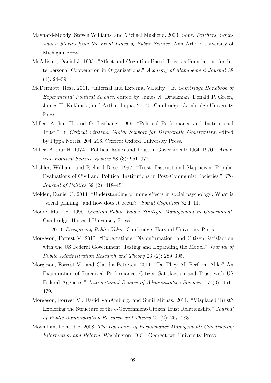- Maynard-Moody, Steven Williams, and Michael Musheno. 2003. Cops, Teachers, Counselors: Stories from the Front Lines of Public Service. Ann Arbor: University of Michigan Press.
- McAllister, Daniel J. 1995. "Affect-and Cognition-Based Trust as Foundations for Interpersonal Cooperation in Organizations." Academy of Management Journal 38  $(1): 24-59.$
- McDermott, Rose. 2011. "Internal and External Validity." In Cambridge Handbook of Experimental Political Science, edited by James N. Druckman, Donald P. Green, James H. Kuklinski, and Arthur Lupia, 27–40. Cambridge: Cambridge University Press.
- Miller, Arthur H, and O. Listhaug. 1999. "Political Performance and Institutional Trust." In Critical Citizens: Global Support for Democratic Government, edited by Pippa Norris, 204–216. Oxford: Oxford University Press.
- <span id="page-95-0"></span>Miller, Arthur H. 1974. "Political Issues and Trust in Government: 1964–1970." American Political Science Review 68 (3): 951–972.
- Mishler, William, and Richard Rose. 1997. "Trust, Distrust and Skepticism: Popular Evaluations of Civil and Political Institutions in Post-Communist Societies." The Journal of Politics 59 (2): 418–451.
- Molden, Daniel C. 2014. "Understanding priming effects in social psychology: What is "social priming" and how does it occur?" Social Cognition 32:1-11.
- <span id="page-95-1"></span>Moore, Mark H. 1995. Creating Public Value: Strategic Management in Government. Cambridge: Harvard University Press.

<span id="page-95-2"></span>. 2013. Recognizing Public Value. Cambridge: Harvard University Press.

- Morgeson, Forrest V. 2013. "Expectations, Disconfirmation, and Citizen Satisfaction with the US Federal Government: Testing and Expanding the Model." *Journal of* Public Administration Research and Theory 23 (2): 289–305.
- Morgeson, Forrest V., and Claudia Petrescu. 2011. "Do They All Perform Alike? An Examination of Perceived Performance, Citizen Satisfaction and Trust with US Federal Agencies." International Review of Administrative Sciences 77 (3): 451– 479.
- Morgeson, Forrest V., David VanAmburg, and Sunil Mithas. 2011. "Misplaced Trust? Exploring the Structure of the e-Government-Citizen Trust Relationship." Journal of Public Administration Research and Theory 21 (2): 257–283.
- Moynihan, Donald P. 2008. The Dynamics of Performance Management: Constructing Information and Reform. Washington, D.C.: Georgetown University Press.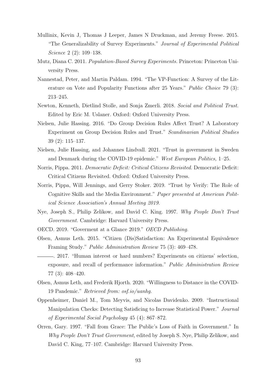- Mullinix, Kevin J, Thomas J Leeper, James N Druckman, and Jeremy Freese. 2015. "The Generalizability of Survey Experiments." Journal of Experimental Political Science 2 (2): 109–138.
- Mutz, Diana C. 2011. Population-Based Survey Experiments. Princeton: Princeton University Press.
- Nannestad, Peter, and Martin Paldam. 1994. "The VP-Function: A Survey of the Literature on Vote and Popularity Functions after 25 Years." Public Choice 79 (3): 213–245.
- Newton, Kenneth, Dietlind Stolle, and Sonja Zmerli. 2018. Social and Political Trust. Edited by Eric M. Uslaner. Oxford: Oxford University Press.
- <span id="page-96-0"></span>Nielsen, Julie Hassing. 2016. "Do Group Decision Rules Affect Trust? A Laboratory Experiment on Group Decision Rules and Trust." Scandinavian Political Studies 39 (2): 115–137.
- Nielsen, Julie Hassing, and Johannes Lindvall. 2021. "Trust in government in Sweden and Denmark during the COVID-19 epidemic." West European Politics, 1–25.
- Norris, Pippa. 2011. Democratic Deficit: Critical Citizens Revisited. Democratic Deficit: Critical Citizens Revisited. Oxford: Oxford University Press.
- <span id="page-96-2"></span>Norris, Pippa, Will Jennings, and Gerry Stoker. 2019. "Trust by Verify: The Role of Cognitive Skills and the Media Environment." Paper presented at American Political Science Association's Annual Meeting 2019.
- Nye, Joseph S., Philip Zelikow, and David C. King. 1997. Why People Don't Trust Government. Cambridge: Harvard University Press.
- OECD. 2019. "Goverment at a Glance 2019." OECD Publishing.
- Olsen, Asmus Leth. 2015. "Citizen (Dis)Satisfaction: An Experimental Equivalence Framing Study." Public Administration Review 75 (3): 469–478.
- <span id="page-96-1"></span>. 2017. "Human interest or hard numbers? Experiments on citizens' selection, exposure, and recall of performance information." Public Administration Review 77 (3): 408–420.
- Olsen, Asmus Leth, and Frederik Hjorth. 2020. "Willingness to Distance in the COVID-19 Pandemic." Retrieved from: osf.io/uanhg.
- Oppenheimer, Daniel M., Tom Meyvis, and Nicolas Davidenko. 2009. "Instructional Manipulation Checks: Detecting Satisficing to Increase Statistical Power." Journal of Experimental Social Psychology 45 (4): 867–872.
- Orren, Gary. 1997. "Fall from Grace: The Public's Loss of Faith in Government." In Why People Don't Trust Government, edited by Joseph S. Nye, Philip Zelikow, and David C. King, 77–107. Cambridge: Harvard University Press.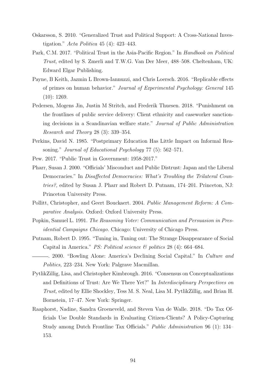- Oskarsson, S. 2010. "Generalized Trust and Political Support: A Cross-National Investigation." Acta Politica 45 (4): 423–443.
- Park, C.M. 2017. "Political Trust in the Asia-Pacific Region." In Handbook on Political Trust, edited by S. Zmerli and T.W.G. Van Der Meer, 488–508. Cheltenham, UK: Edward Elgar Publishing.
- Payne, B Keith, Jazmin L Brown-Iannuzzi, and Chris Loersch. 2016. "Replicable effects of primes on human behavior." Journal of Experimental Psychology: General 145 (10): 1269.
- <span id="page-97-2"></span>Pedersen, Mogens Jin, Justin M Stritch, and Frederik Thuesen. 2018. "Punishment on the frontlines of public service delivery: Client ethnicity and caseworker sanctioning decisions in a Scandinavian welfare state." Journal of Public Administration Research and Theory 28 (3): 339–354.
- Perkins, David N. 1985. "Postprimary Education Has Little Impact on Informal Reasoning." Journal of Educational Psychology 77 (5): 562–571.
- Pew. 2017. "Public Trust in Government: 1958-2017."
- Pharr, Susan J. 2000. "Officials' Misconduct and Public Distrust: Japan and the Liberal Democracies." In Disaffected Democracies: What's Troubling the Trilateral Countries?, edited by Susan J. Pharr and Robert D. Putnam, 174–201. Princeton, NJ: Princeton University Press.
- <span id="page-97-0"></span>Pollitt, Christopher, and Geert Bouckaert. 2004. Public Management Reform: A Comparative Analysis. Oxford: Oxford University Press.
- Popkin, Samuel L. 1991. The Reasoning Voter: Communication and Persuasion in Presidential Campaigns Chicago. Chicago: University of Chicago Press.
- Putnam, Robert D. 1995. "Tuning in, Tuning out: The Strange Disappearance of Social Capital in America." *PS: Political science*  $\mathcal{C}$  *politics* 28 (4): 664–684.
- . 2000. "Bowling Alone: America's Declining Social Capital." In Culture and Politics, 223–234. New York: Palgrave Macmillan.
- PytlikZillig, Lisa, and Christopher Kimbrough. 2016. "Consensus on Conceptualizations and Definitions of Trust: Are We There Yet?" In Interdisciplinary Perspectives on Trust, edited by Ellie Shockley, Tess M. S. Neal, Lisa M. PytlikZillig, and Brian H. Bornstein, 17–47. New York: Springer.
- <span id="page-97-1"></span>Raaphorst, Nadine, Sandra Groeneveld, and Steven Van de Walle. 2018. "Do Tax Officials Use Double Standards in Evaluating Citizen-Clients? A Policy-Capturing Study among Dutch Frontline Tax Officials." Public Administration 96 (1): 134– 153.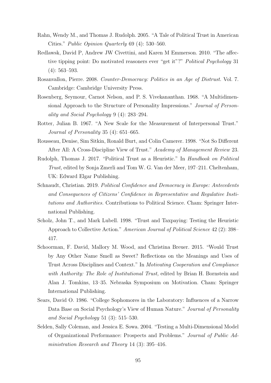- Rahn, Wendy M., and Thomas J. Rudolph. 2005. "A Tale of Political Trust in American Cities." Public Opinion Quarterly 69 (4): 530–560.
- Redlawsk, David P, Andrew JW Civettini, and Karen M Emmerson. 2010. "The affective tipping point: Do motivated reasoners ever "get it"?" Political Psychology 31 (4): 563–593.
- Rosanvallon, Pierre. 2008. Counter-Democracy: Politics in an Age of Distrust. Vol. 7. Cambridge: Cambridge University Press.
- Rosenberg, Seymour, Carnot Nelson, and P. S. Vivekananthan. 1968. "A Multidimensional Approach to the Structure of Personality Impressions." Journal of Personality and Social Psychology 9 (4): 283–294.
- Rotter, Julian B. 1967. "A New Scale for the Measurement of Interpersonal Trust." Journal of Personality 35 (4): 651–665.
- Rousseau, Denise, Sim Sitkin, Ronald Burt, and Colin Camerer. 1998. "Not So Different After All: A Cross-Discipline View of Trust." Academy of Management Review 23.
- Rudolph, Thomas J. 2017. "Political Trust as a Heuristic." In Handbook on Political Trust, edited by Sonja Zmerli and Tom W. G. Van der Meer, 197–211. Cheltenham, UK: Edward Elgar Publishing.
- Schnaudt, Christian. 2019. Political Confidence and Democracy in Europe: Antecedents and Consequences of Citizens' Confidence in Representative and Regulative Institutions and Authorities. Contributions to Political Science. Cham: Springer International Publishing.
- Scholz, John T., and Mark Lubell. 1998. "Trust and Taxpaying: Testing the Heuristic Approach to Collective Action." American Journal of Political Science 42 (2): 398– 417.
- Schoorman, F. David, Mallory M. Wood, and Christina Breuer. 2015. "Would Trust by Any Other Name Smell as Sweet? Reflections on the Meanings and Uses of Trust Across Disciplines and Context." In Motivating Cooperation and Compliance with Authority: The Role of Institutional Trust, edited by Brian H. Bornstein and Alan J. Tomkins, 13–35. Nebraska Symposium on Motivation. Cham: Springer International Publishing.
- Sears, David O. 1986. "College Sophomores in the Laboratory: Influences of a Narrow Data Base on Social Psychology's View of Human Nature." Journal of Personality and Social Psychology 51 (3): 515–530.
- Selden, Sally Coleman, and Jessica E. Sowa. 2004. "Testing a Multi-Dimensional Model of Organizational Performance: Prospects and Problems." Journal of Public Administration Research and Theory 14 (3): 395–416.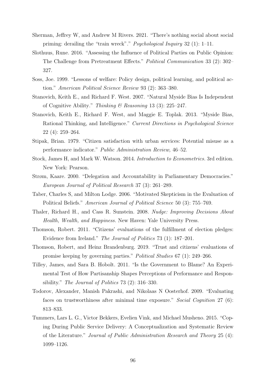- Sherman, Jeffrey W, and Andrew M Rivers. 2021. "There's nothing social about social priming: derailing the "train wreck"." Psychological Inquiry 32 (1): 1–11.
- Slothuus, Rune. 2016. "Assessing the Influence of Political Parties on Public Opinion: The Challenge from Pretreatment Effects." Political Communication 33 (2): 302– 327.
- Soss, Joe. 1999. "Lessons of welfare: Policy design, political learning, and political action." American Political Science Review 93 (2): 363–380.
- Stanovich, Keith E., and Richard F. West. 2007. "Natural Myside Bias Is Independent of Cognitive Ability." Thinking & Reasoning 13 (3): 225–247.
- Stanovich, Keith E., Richard F. West, and Maggie E. Toplak. 2013. "Myside Bias, Rational Thinking, and Intelligence." Current Directions in Psychological Science 22 (4): 259–264.
- <span id="page-99-1"></span>Stipak, Brian. 1979. "Citizen satisfaction with urban services: Potential misuse as a performance indicator." Public Administration Review, 46–52.
- Stock, James H, and Mark W. Watson. 2014. Introduction to Econometrics. 3rd edition. New York: Pearson.
- Strøm, Kaare. 2000. "Delegation and Accountability in Parliamentary Democracies." European Journal of Political Research 37 (3): 261–289.
- Taber, Charles S, and Milton Lodge. 2006. "Motivated Skepticism in the Evaluation of Political Beliefs." American Journal of Political Science 50 (3): 755–769.
- Thaler, Richard H., and Cass R. Sunstein. 2008. Nudge: Improving Decisions About Health, Wealth, and Happiness. New Haven: Yale University Press.
- Thomson, Robert. 2011. "Citizens' evaluations of the fulfillment of election pledges: Evidence from Ireland." The Journal of Politics 73 (1): 187–201.
- Thomson, Robert, and Heinz Brandenburg. 2019. "Trust and citizens' evaluations of promise keeping by governing parties." Political Studies 67 (1): 249–266.
- Tilley, James, and Sara B. Hobolt. 2011. "Is the Government to Blame? An Experimental Test of How Partisanship Shapes Perceptions of Performance and Responsibility." The Journal of Politics 73 (2): 316–330.
- <span id="page-99-0"></span>Todorov, Alexander, Manish Pakrashi, and Nikolaas N Oosterhof. 2009. "Evaluating faces on trustworthiness after minimal time exposure." Social Cognition 27 (6): 813–833.
- Tummers, Lars L. G., Victor Bekkers, Evelien Vink, and Michael Musheno. 2015. "Coping During Public Service Delivery: A Conceptualization and Systematic Review of the Literature." Journal of Public Administration Research and Theory 25 (4): 1099–1126.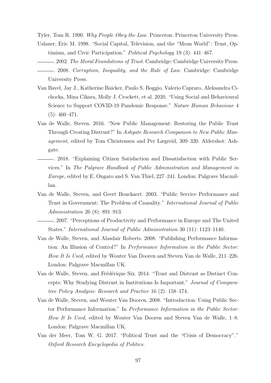<span id="page-100-1"></span>Tyler, Tom R. 1990. Why People Obey the Law. Princeton: Princeton University Press.

- Uslaner, Eric M. 1998. "Social Capital, Television, and the "Mean World": Trust, Optimism, and Civic Participation." Political Psychology 19 (3): 441–467.
- . 2002. The Moral Foundations of Trust. Cambridge: Cambridge University Press. . 2008. Corruption, Inequality, and the Rule of Law. Cambridge: Cambridge University Press.
- Van Bavel, Jay J., Katherine Baicker, Paulo S. Boggio, Valerio Capraro, Aleksandra Cichocka, Mina Cikara, Molly J. Crockett, et al. 2020. "Using Social and Behavioural Science to Support COVID-19 Pandemic Response." Nature Human Behaviour 4  $(5): 460 - 471.$
- Van de Walle, Steven. 2016. "New Public Management: Restoring the Public Trust Through Creating Distrust?" In Ashgate Research Companion to New Public Management, edited by Tom Christensen and Per Lægreid, 309–320. Aldershot: Ashgate.
	- . 2018. "Explaining Citizen Satisfaction and Dissatisfaction with Public Services." In The Palgrave Handbook of Public Administration and Management in Europe, edited by E. Ongaro and S. Van Thiel, 227–241. London: Palgrave Macmillan.
- <span id="page-100-0"></span>Van de Walle, Steven, and Geert Bouckaert. 2003. "Public Service Performance and Trust in Government: The Problem of Causality." International Journal of Public Administration 26 (8): 891–913.
	- . 2007. "Perceptions of Productivity and Performance in Europe and The United States." International Journal of Public Administration 30 (11): 1123–1140.
- <span id="page-100-2"></span>Van de Walle, Steven, and Alasdair Roberts. 2008. "Publishing Performance Information: An Illusion of Control?" In Performance Information in the Public Sector: How It Is Used, edited by Wouter Van Dooren and Steven Van de Walle, 211–226. London: Palgrave Macmillan UK.
- Van de Walle, Steven, and Frédérique Six. 2014. "Trust and Distrust as Distinct Concepts: Why Studying Distrust in Institutions Is Important." Journal of Comparative Policy Analysis: Research and Practice 16 (2): 158–174.
- Van de Walle, Steven, and Wouter Van Dooren. 2008. "Introduction: Using Public Sector Performance Information." In Performance Information in the Public Sector: How It Is Used, edited by Wouter Van Dooren and Steven Van de Walle, 1–8. London: Palgrave Macmillan UK.
- Van der Meer, Tom W. G. 2017. "Political Trust and the "Crisis of Democracy"." Oxford Research Encyclopedia of Politics.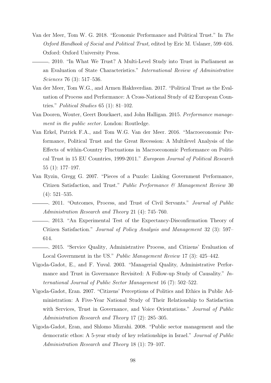- <span id="page-101-1"></span>Van der Meer, Tom W. G. 2018. "Economic Performance and Political Trust." In The Oxford Handbook of Social and Political Trust, edited by Eric M. Uslaner, 599–616. Oxford: Oxford University Press.
	- . 2010. "In What We Trust? A Multi-Level Study into Trust in Parliament as an Evaluation of State Characteristics." International Review of Administrative Sciences 76 (3): 517–536.
- Van der Meer, Tom W.G., and Armen Hakhverdian. 2017. "Political Trust as the Evaluation of Process and Performance: A Cross-National Study of 42 European Countries." Political Studies 65 (1): 81–102.
- Van Dooren, Wouter, Geert Bouckaert, and John Halligan. 2015. Performance management in the public sector. London: Routledge.
- Van Erkel, Patrick F.A., and Tom W.G. Van der Meer. 2016. "Macroeconomic Performance, Political Trust and the Great Recession: A Multilevel Analysis of the Effects of within-Country Fluctuations in Macroeconomic Performance on Political Trust in 15 EU Countries, 1999-2011." European Journal of Political Research 55 (1): 177–197.
- <span id="page-101-0"></span>Van Ryzin, Gregg G. 2007. "Pieces of a Puzzle: Linking Government Performance, Citizen Satisfaction, and Trust." Public Performance & Management Review 30 (4): 521–535.
	- . 2011. "Outcomes, Process, and Trust of Civil Servants." Journal of Public Administration Research and Theory 21 (4): 745–760.
	- . 2013. "An Experimental Test of the Expectancy-Disconfirmation Theory of Citizen Satisfaction." Journal of Policy Analysis and Management 32 (3): 597– 614.
- <span id="page-101-2"></span>. 2015. "Service Quality, Administrative Process, and Citizens' Evaluation of Local Government in the US." Public Management Review 17 (3): 425–442.
- Vigoda-Gadot, E., and F. Yuval. 2003. "Managerial Quality, Administrative Performance and Trust in Governance Revisited: A Follow-up Study of Causality." International Journal of Public Sector Management 16 (7): 502–522.
- Vigoda-Gadot, Eran. 2007. "Citizens' Perceptions of Politics and Ethics in Public Administration: A Five-Year National Study of Their Relationship to Satisfaction with Services, Trust in Governance, and Voice Orientations." Journal of Public Administration Research and Theory 17 (2): 285–305.
- Vigoda-Gadot, Eran, and Shlomo Mizrahi. 2008. "Public sector management and the democratic ethos: A 5-year study of key relationships in Israel." Journal of Public Administration Research and Theory 18 (1): 79–107.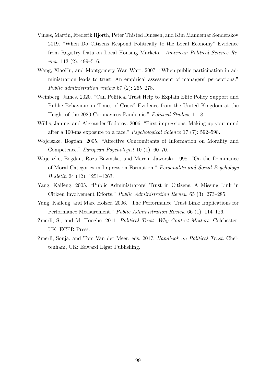- Vinæs, Martin, Frederik Hjorth, Peter Thisted Dinesen, and Kim Mannemar Sønderskov. 2019. "When Do Citizens Respond Politically to the Local Economy? Evidence from Registry Data on Local Housing Markets." American Political Science Review 113 (2): 499–516.
- Wang, XiaoHu, and Montgomery Wan Wart. 2007. "When public participation in administration leads to trust: An empirical assessment of managers' perceptions." Public administration review 67 (2): 265–278.
- <span id="page-102-4"></span>Weinberg, James. 2020. "Can Political Trust Help to Explain Elite Policy Support and Public Behaviour in Times of Crisis? Evidence from the United Kingdom at the Height of the 2020 Coronavirus Pandemic." Political Studies, 1–18.
- <span id="page-102-3"></span>Willis, Janine, and Alexander Todorov. 2006. "First impressions: Making up your mind after a 100-ms exposure to a face." Psychological Science 17 (7): 592–598.
- Wojciszke, Bogdan. 2005. "Affective Concomitants of Information on Morality and Competence." European Psychologist 10 (1): 60–70.
- Wojciszke, Bogdan, Roza Bazinska, and Marcin Jaworski. 1998. "On the Dominance of Moral Categories in Impression Formation:" Personality and Social Psychology Bulletin 24 (12): 1251–1263.
- <span id="page-102-5"></span>Yang, Kaifeng. 2005. "Public Administrators' Trust in Citizens: A Missing Link in Citizen Involvement Efforts." Public Administration Review 65 (3): 273–285.
- <span id="page-102-2"></span>Yang, Kaifeng, and Marc Holzer. 2006. "The Performance–Trust Link: Implications for Performance Measurement." Public Administration Review 66 (1): 114–126.
- <span id="page-102-0"></span>Zmerli, S., and M. Hooghe. 2011. Political Trust: Why Context Matters. Colchester, UK: ECPR Press.
- <span id="page-102-1"></span>Zmerli, Sonja, and Tom Van der Meer, eds. 2017. Handbook on Political Trust. Cheltenham, UK: Edward Elgar Publishing.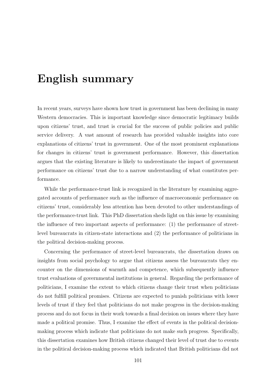# English summary

In recent years, surveys have shown how trust in government has been declining in many Western democracies. This is important knowledge since democratic legitimacy builds upon citizens' trust, and trust is crucial for the success of public policies and public service delivery. A vast amount of research has provided valuable insights into core explanations of citizens' trust in government. One of the most prominent explanations for changes in citizens' trust is government performance. However, this dissertation argues that the existing literature is likely to underestimate the impact of government performance on citizens' trust due to a narrow understanding of what constitutes performance.

While the performance-trust link is recognized in the literature by examining aggregated accounts of performance such as the influence of macroeconomic performance on citizens' trust, considerably less attention has been devoted to other understandings of the performance-trust link. This PhD dissertation sheds light on this issue by examining the influence of two important aspects of performance: (1) the performance of streetlevel bureaucrats in citizen-state interactions and (2) the performance of politicians in the political decision-making process.

Concerning the performance of street-level bureaucrats, the dissertation draws on insights from social psychology to argue that citizens assess the bureaucrats they encounter on the dimensions of warmth and competence, which subsequently influence trust evaluations of governmental institutions in general. Regarding the performance of politicians, I examine the extent to which citizens change their trust when politicians do not fulfill political promises. Citizens are expected to punish politicians with lower levels of trust if they feel that politicians do not make progress in the decision-making process and do not focus in their work towards a final decision on issues where they have made a political promise. Thus, I examine the effect of events in the political decisionmaking process which indicate that politicians do not make such progress. Specifically, this dissertation examines how British citizens changed their level of trust due to events in the political decision-making process which indicated that British politicians did not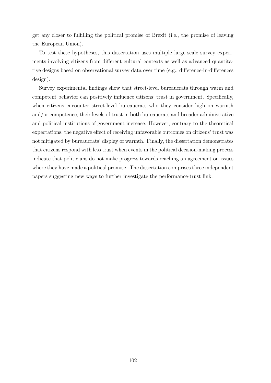get any closer to fulfilling the political promise of Brexit (i.e., the promise of leaving the European Union).

To test these hypotheses, this dissertation uses multiple large-scale survey experiments involving citizens from different cultural contexts as well as advanced quantitative designs based on observational survey data over time (e.g., difference-in-differences design).

Survey experimental findings show that street-level bureaucrats through warm and competent behavior can positively influence citizens' trust in government. Specifically, when citizens encounter street-level bureaucrats who they consider high on warmth and/or competence, their levels of trust in both bureaucrats and broader administrative and political institutions of government increase. However, contrary to the theoretical expectations, the negative effect of receiving unfavorable outcomes on citizens' trust was not mitigated by bureaucrats' display of warmth. Finally, the dissertation demonstrates that citizens respond with less trust when events in the political decision-making process indicate that politicians do not make progress towards reaching an agreement on issues where they have made a political promise. The dissertation comprises three independent papers suggesting new ways to further investigate the performance-trust link.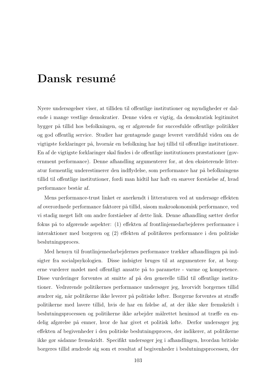## Dansk resumé

Nyere undersøgelser viser, at tilliden til offentlige institutioner og myndigheder er dalende i mange vestlige demokratier. Denne viden er vigtig, da demokratisk legitimitet bygger på tillid hos befolkningen, og er afgørende for succesfulde offentlige politikker og god offentlig service. Studier har gentagende gange leveret værdifuld viden om de vigtigste forklaringer på, hvornår en befolkning har høj tillid til offentlige institutioner. En af de vigtigste forklaringer skal findes i de offentlige institutioners præstationer (government performance). Denne afhandling argumenterer for, at den eksisterende litteratur formentlig underestimerer den indflydelse, som performance har på befolkningens tillid til offentlige institutioner, fordi man hidtil har haft en snæver forståelse af, hvad performance består af.

Mens performance-trust linket er anerkendt i litteraturen ved at undersøge effekten af overordnede performance faktorer på tillid, såsom makroøkonomisk performance, ved vi stadig meget lidt om andre forståelser af dette link. Denne afhandling sætter derfor fokus på to afgørende aspekter: (1) effekten af frontlinjemedarbejderes performance i interaktioner med borgeren og (2) effekten af politikeres performance i den politiske beslutningsproces.

Med hensyn til frontlinjemedarbejdernes performance trækker afhandlingen på indsigter fra socialpsykologien. Disse indsigter bruges til at argumentere for, at borgerne vurderer mødet med offentligt ansatte på to parametre - varme og kompetence. Disse vurderinger forventes at smitte af på den generelle tillid til offentlige institutioner. Vedrørende politikernes performance undersøger jeg, hvorvidt borgernes tillid ændrer sig, når politikerne ikke leverer på politiske løfter. Borgerne forventes at straffe politikerne med lavere tillid, hvis de har en følelse af, at der ikke sker fremskridt i beslutningsprocessen og politikerne ikke arbejder målrettet henimod at træffe en endelig afgørelse på emner, hvor de har givet et politisk løfte. Derfor undersøger jeg effekten af begivenheder i den politiske beslutningsproces, der indikerer, at politikerne ikke gør sådanne fremskridt. Specifikt undersøger jeg i afhandlingen, hvordan britiske borgeres tillid ændrede sig som et resultat af begivenheder i beslutningsprocessen, der